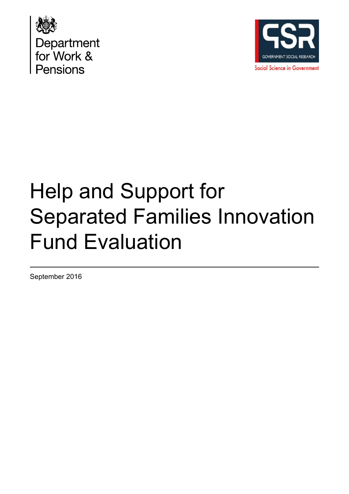



# Help and Support for Separated Families Innovation Fund Evaluation

September 2016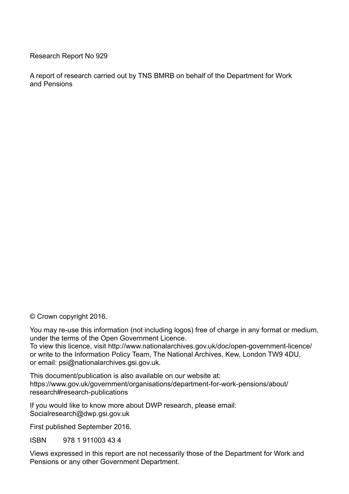Research Report No 929

A report of research carried out by TNS BMRB on behalf of the Department for Work and Pensions

© Crown copyright 2016.

You may re-use this information (not including logos) free of charge in any format or medium, under the terms of the Open Government Licence. To view this licence, visit http://www.nationalarchives.gov.uk/doc/open-government-licence/ or write to the Information Policy Team, The National Archives, Kew, London TW9 4DU,

or email: psi@nationalarchives.gsi.gov.uk.

This document/publication is also available on our website at: https://www.gov.uk/government/organisations/department-for-work-pensions/about/ research#research-publications

If you would like to know more about DWP research, please email: Socialresearch@dwp.gsi.gov.uk

First published September 2016.

ISBN 978 1 911003 43 4

Views expressed in this report are not necessarily those of the Department for Work and Pensions or any other Government Department.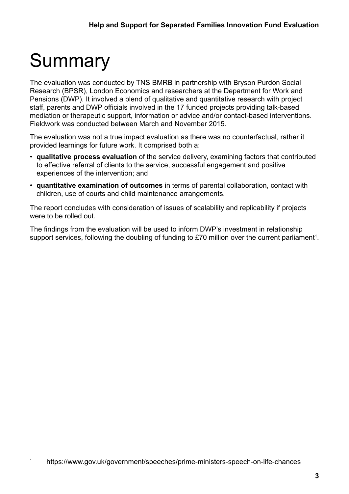# **Summary**

The evaluation was conducted by TNS BMRB in partnership with Bryson Purdon Social Research (BPSR), London Economics and researchers at the Department for Work and Pensions (DWP). It involved a blend of qualitative and quantitative research with project staff, parents and DWP officials involved in the 17 funded projects providing talk-based mediation or therapeutic support, information or advice and/or contact-based interventions. Fieldwork was conducted between March and November 2015.

The evaluation was not a true impact evaluation as there was no counterfactual, rather it provided learnings for future work. It comprised both a:

- **qualitative process evaluation** of the service delivery, examining factors that contributed to effective referral of clients to the service, successful engagement and positive experiences of the intervention; and
- **quantitative examination of outcomes** in terms of parental collaboration, contact with children, use of courts and child maintenance arrangements.

The report concludes with consideration of issues of scalability and replicability if projects were to be rolled out.

The findings from the evaluation will be used to inform DWP's investment in relationship support services, following the doubling of funding to £70 million over the current parliament<sup>1</sup>.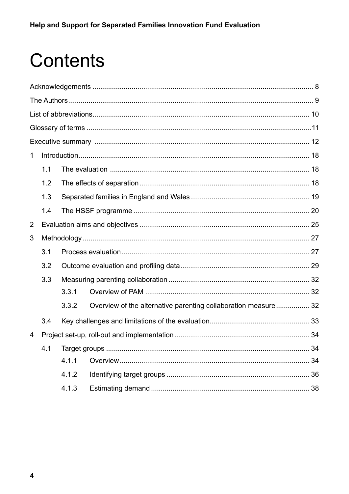# Contents

| 1 |     |       |                                                                |    |  |  |  |
|---|-----|-------|----------------------------------------------------------------|----|--|--|--|
|   | 1.1 |       |                                                                |    |  |  |  |
|   | 1.2 |       |                                                                |    |  |  |  |
|   | 1.3 |       |                                                                |    |  |  |  |
|   | 1.4 |       |                                                                |    |  |  |  |
| 2 |     |       |                                                                |    |  |  |  |
| 3 |     |       |                                                                |    |  |  |  |
|   | 3.1 |       |                                                                |    |  |  |  |
|   | 3.2 |       |                                                                |    |  |  |  |
|   | 3.3 |       |                                                                |    |  |  |  |
|   |     | 3.3.1 |                                                                |    |  |  |  |
|   |     | 3.3.2 | Overview of the alternative parenting collaboration measure 32 |    |  |  |  |
|   | 3.4 |       |                                                                |    |  |  |  |
| 4 |     |       |                                                                |    |  |  |  |
|   | 4.1 |       |                                                                | 34 |  |  |  |
|   |     | 4.1.1 |                                                                | 34 |  |  |  |
|   |     | 4.1.2 |                                                                |    |  |  |  |
|   |     | 4.1.3 |                                                                |    |  |  |  |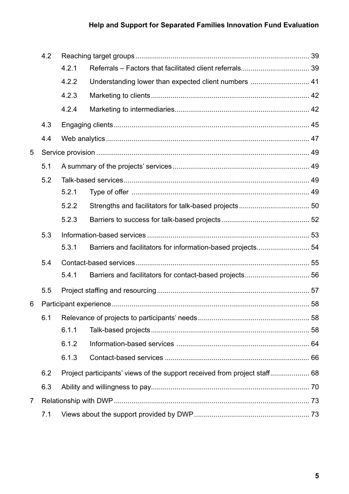### **Help and Support for Separated Families Innovation Fund Evaluation**

|                | 4.2 |       |                                                                           |  |  |
|----------------|-----|-------|---------------------------------------------------------------------------|--|--|
|                |     | 4.2.1 |                                                                           |  |  |
|                |     | 4.2.2 | Understanding lower than expected client numbers  41                      |  |  |
|                |     | 4.2.3 |                                                                           |  |  |
|                |     | 4.2.4 |                                                                           |  |  |
|                | 4.3 |       |                                                                           |  |  |
|                | 4.4 |       |                                                                           |  |  |
| 5              |     |       |                                                                           |  |  |
|                | 5.1 |       |                                                                           |  |  |
|                | 5.2 |       |                                                                           |  |  |
|                |     | 5.2.1 |                                                                           |  |  |
|                |     | 5.2.2 |                                                                           |  |  |
|                |     | 5.2.3 |                                                                           |  |  |
|                | 5.3 |       |                                                                           |  |  |
|                |     | 5.3.1 | Barriers and facilitators for information-based projects 54               |  |  |
|                | 5.4 |       |                                                                           |  |  |
|                |     | 5.4.1 |                                                                           |  |  |
|                | 5.5 |       |                                                                           |  |  |
| 6              |     |       |                                                                           |  |  |
|                | 6.1 |       |                                                                           |  |  |
|                |     | 6.1.1 |                                                                           |  |  |
|                |     | 6.1.2 |                                                                           |  |  |
|                |     | 6.1.3 |                                                                           |  |  |
|                | 6.2 |       | Project participants' views of the support received from project staff 68 |  |  |
|                | 6.3 |       |                                                                           |  |  |
| $\overline{7}$ |     |       |                                                                           |  |  |
|                | 7.1 |       |                                                                           |  |  |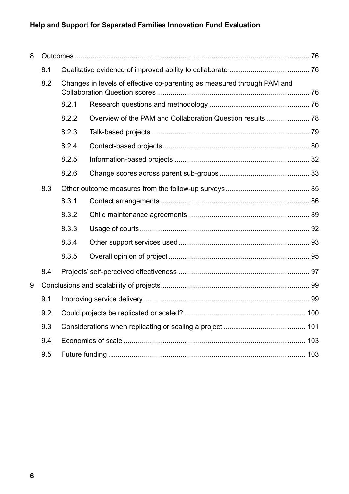### **Help and Support for Separated Families Innovation Fund Evaluation**

| 8 |     |                                                                         |  |  |  |
|---|-----|-------------------------------------------------------------------------|--|--|--|
|   | 8.1 |                                                                         |  |  |  |
|   | 8.2 | Changes in levels of effective co-parenting as measured through PAM and |  |  |  |
|   |     | 8.2.1                                                                   |  |  |  |
|   |     | 8.2.2                                                                   |  |  |  |
|   |     | 8.2.3                                                                   |  |  |  |
|   |     | 8.2.4                                                                   |  |  |  |
|   |     | 8.2.5                                                                   |  |  |  |
|   |     | 8.2.6                                                                   |  |  |  |
|   | 8.3 |                                                                         |  |  |  |
|   |     | 8.3.1                                                                   |  |  |  |
|   |     | 8.3.2                                                                   |  |  |  |
|   |     | 8.3.3                                                                   |  |  |  |
|   |     | 8.3.4                                                                   |  |  |  |
|   |     | 8.3.5                                                                   |  |  |  |
|   | 8.4 |                                                                         |  |  |  |
| 9 |     |                                                                         |  |  |  |
|   | 9.1 |                                                                         |  |  |  |
|   | 9.2 |                                                                         |  |  |  |
|   | 9.3 |                                                                         |  |  |  |
|   | 9.4 |                                                                         |  |  |  |
|   | 9.5 |                                                                         |  |  |  |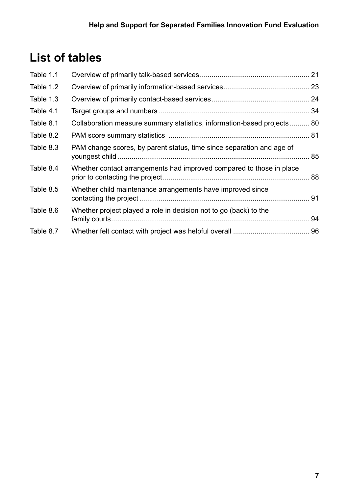# **List of tables**

| Table 1.1 |                                                                         |  |
|-----------|-------------------------------------------------------------------------|--|
| Table 1.2 |                                                                         |  |
| Table 1.3 |                                                                         |  |
| Table 4.1 |                                                                         |  |
| Table 8.1 | Collaboration measure summary statistics, information-based projects 80 |  |
| Table 8.2 |                                                                         |  |
| Table 8.3 | PAM change scores, by parent status, time since separation and age of   |  |
| Table 8.4 | Whether contact arrangements had improved compared to those in place    |  |
| Table 8.5 | Whether child maintenance arrangements have improved since              |  |
| Table 8.6 | Whether project played a role in decision not to go (back) to the       |  |
| Table 8.7 |                                                                         |  |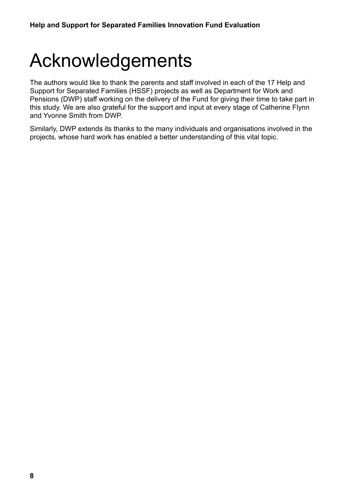# <span id="page-7-0"></span>Acknowledgements

The authors would like to thank the parents and staff involved in each of the 17 Help and Support for Separated Families (HSSF) projects as well as Department for Work and Pensions (DWP) staff working on the delivery of the Fund for giving their time to take part in this study. We are also grateful for the support and input at every stage of Catherine Flynn and Yvonne Smith from DWP.

Similarly, DWP extends its thanks to the many individuals and organisations involved in the projects, whose hard work has enabled a better understanding of this vital topic.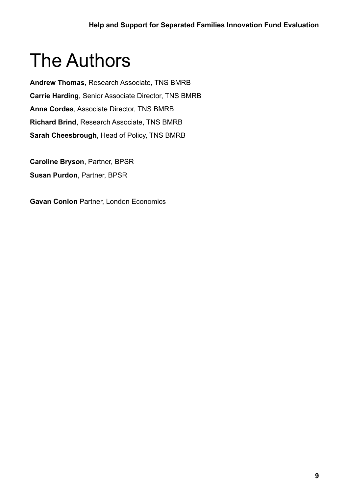# <span id="page-8-0"></span>The Authors

**Andrew Thomas**, Research Associate, TNS BMRB **Carrie Harding**, Senior Associate Director, TNS BMRB **Anna Cordes**, Associate Director, TNS BMRB **Richard Brind**, Research Associate, TNS BMRB **Sarah Cheesbrough**, Head of Policy, TNS BMRB

**Caroline Bryson**, Partner, BPSR **Susan Purdon**, Partner, BPSR

**Gavan Conlon** Partner, London Economics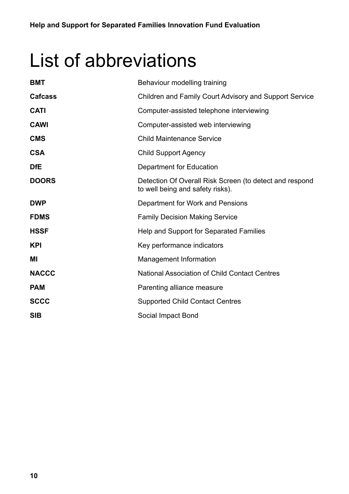# <span id="page-9-0"></span>List of abbreviations

| <b>BMT</b>     | Behaviour modelling training                                                                |
|----------------|---------------------------------------------------------------------------------------------|
| <b>Cafcass</b> | <b>Children and Family Court Advisory and Support Service</b>                               |
| <b>CATI</b>    | Computer-assisted telephone interviewing                                                    |
| <b>CAWI</b>    | Computer-assisted web interviewing                                                          |
| <b>CMS</b>     | <b>Child Maintenance Service</b>                                                            |
| <b>CSA</b>     | <b>Child Support Agency</b>                                                                 |
| <b>DfE</b>     | <b>Department for Education</b>                                                             |
| <b>DOORS</b>   | Detection Of Overall Risk Screen (to detect and respond<br>to well being and safety risks). |
| <b>DWP</b>     | Department for Work and Pensions                                                            |
| <b>FDMS</b>    | <b>Family Decision Making Service</b>                                                       |
| <b>HSSF</b>    | Help and Support for Separated Families                                                     |
| <b>KPI</b>     | Key performance indicators                                                                  |
| ΜI             | <b>Management Information</b>                                                               |
| <b>NACCC</b>   | <b>National Association of Child Contact Centres</b>                                        |
| <b>PAM</b>     | Parenting alliance measure                                                                  |
| <b>SCCC</b>    | <b>Supported Child Contact Centres</b>                                                      |
| <b>SIB</b>     | Social Impact Bond                                                                          |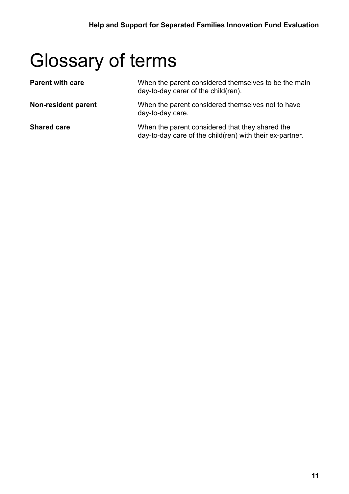# <span id="page-10-0"></span>Glossary of terms

| <b>Parent with care</b> | When the parent considered themselves to be the main<br>day-to-day carer of the child(ren).                 |
|-------------------------|-------------------------------------------------------------------------------------------------------------|
| Non-resident parent     | When the parent considered themselves not to have<br>day-to-day care.                                       |
| <b>Shared care</b>      | When the parent considered that they shared the<br>day-to-day care of the child(ren) with their ex-partner. |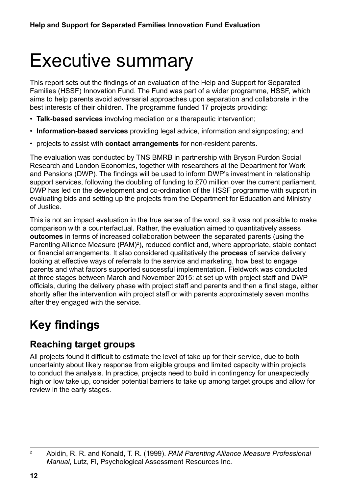# <span id="page-11-0"></span>Executive summary

This report sets out the findings of an evaluation of the Help and Support for Separated Families (HSSF) Innovation Fund. The Fund was part of a wider programme, HSSF, which aims to help parents avoid adversarial approaches upon separation and collaborate in the best interests of their children. The programme funded 17 projects providing:

- **Talk-based services** involving mediation or a therapeutic intervention;
- **Information-based services** providing legal advice, information and signposting; and
- projects to assist with **contact arrangements** for non-resident parents.

The evaluation was conducted by TNS BMRB in partnership with Bryson Purdon Social Research and London Economics, together with researchers at the Department for Work and Pensions (DWP). The findings will be used to inform DWP's investment in relationship support services, following the doubling of funding to £70 million over the current parliament. DWP has led on the development and co-ordination of the HSSF programme with support in evaluating bids and setting up the projects from the Department for Education and Ministry of Justice.

This is not an impact evaluation in the true sense of the word, as it was not possible to make comparison with a counterfactual. Rather, the evaluation aimed to quantitatively assess **outcomes** in terms of increased collaboration between the separated parents (using the Parenting Alliance Measure (PAM)<sup>2</sup>), reduced conflict and, where appropriate, stable contact or financial arrangements. It also considered qualitatively the **process** of service delivery looking at effective ways of referrals to the service and marketing, how best to engage parents and what factors supported successful implementation. Fieldwork was conducted at three stages between March and November 2015: at set up with project staff and DWP officials, during the delivery phase with project staff and parents and then a final stage, either shortly after the intervention with project staff or with parents approximately seven months after they engaged with the service.

# **Key findings**

### **Reaching target groups**

All projects found it difficult to estimate the level of take up for their service, due to both uncertainty about likely response from eligible groups and limited capacity within projects to conduct the analysis. In practice, projects need to build in contingency for unexpectedly high or low take up, consider potential barriers to take up among target groups and allow for review in the early stages.

<sup>2</sup> Abidin, R. R. and Konald, T. R. (1999). *PAM Parenting Alliance Measure Professional Manual*, Lutz, Fl, Psychological Assessment Resources Inc.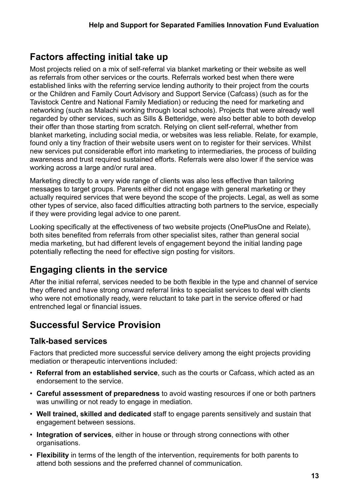## **Factors affecting initial take up**

Most projects relied on a mix of self-referral via blanket marketing or their website as well as referrals from other services or the courts. Referrals worked best when there were established links with the referring service lending authority to their project from the courts or the Children and Family Court Advisory and Support Service (Cafcass) (such as for the Tavistock Centre and National Family Mediation) or reducing the need for marketing and networking (such as Malachi working through local schools). Projects that were already well regarded by other services, such as Sills & Betteridge, were also better able to both develop their offer than those starting from scratch. Relying on client self-referral, whether from blanket marketing, including social media, or websites was less reliable. Relate, for example, found only a tiny fraction of their website users went on to register for their services. Whilst new services put considerable effort into marketing to intermediaries, the process of building awareness and trust required sustained efforts. Referrals were also lower if the service was working across a large and/or rural area.

Marketing directly to a very wide range of clients was also less effective than tailoring messages to target groups. Parents either did not engage with general marketing or they actually required services that were beyond the scope of the projects. Legal, as well as some other types of service, also faced difficulties attracting both partners to the service, especially if they were providing legal advice to one parent.

Looking specifically at the effectiveness of two website projects (OnePlusOne and Relate), both sites benefited from referrals from other specialist sites, rather than general social media marketing, but had different levels of engagement beyond the initial landing page potentially reflecting the need for effective sign posting for visitors.

## **Engaging clients in the service**

After the initial referral, services needed to be both flexible in the type and channel of service they offered and have strong onward referral links to specialist services to deal with clients who were not emotionally ready, were reluctant to take part in the service offered or had entrenched legal or financial issues.

### **Successful Service Provision**

#### **Talk-based services**

Factors that predicted more successful service delivery among the eight projects providing mediation or therapeutic interventions included:

- **Referral from an established service**, such as the courts or Cafcass, which acted as an endorsement to the service.
- **Careful assessment of preparedness** to avoid wasting resources if one or both partners was unwilling or not ready to engage in mediation.
- **Well trained, skilled and dedicated** staff to engage parents sensitively and sustain that engagement between sessions.
- **Integration of services**, either in house or through strong connections with other organisations.
- **Flexibility** in terms of the length of the intervention, requirements for both parents to attend both sessions and the preferred channel of communication.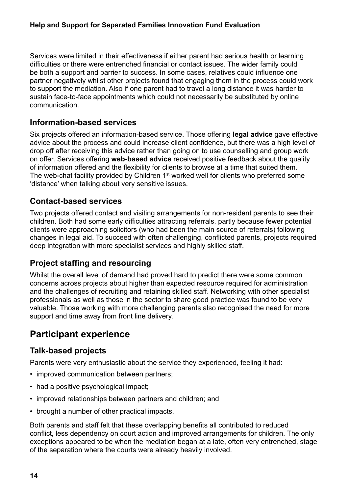Services were limited in their effectiveness if either parent had serious health or learning difficulties or there were entrenched financial or contact issues. The wider family could be both a support and barrier to success. In some cases, relatives could influence one partner negatively whilst other projects found that engaging them in the process could work to support the mediation. Also if one parent had to travel a long distance it was harder to sustain face-to-face appointments which could not necessarily be substituted by online communication.

#### **Information-based services**

Six projects offered an information-based service. Those offering **legal advice** gave effective advice about the process and could increase client confidence, but there was a high level of drop off after receiving this advice rather than going on to use counselling and group work on offer. Services offering **web-based advice** received positive feedback about the quality of information offered and the flexibility for clients to browse at a time that suited them. The web-chat facility provided by Children 1<sup>st</sup> worked well for clients who preferred some 'distance' when talking about very sensitive issues.

#### **Contact-based services**

Two projects offered contact and visiting arrangements for non-resident parents to see their children. Both had some early difficulties attracting referrals, partly because fewer potential clients were approaching solicitors (who had been the main source of referrals) following changes in legal aid. To succeed with often challenging, conflicted parents, projects required deep integration with more specialist services and highly skilled staff.

### **Project staffing and resourcing**

Whilst the overall level of demand had proved hard to predict there were some common concerns across projects about higher than expected resource required for administration and the challenges of recruiting and retaining skilled staff. Networking with other specialist professionals as well as those in the sector to share good practice was found to be very valuable. Those working with more challenging parents also recognised the need for more support and time away from front line delivery.

### **Participant experience**

#### **Talk-based projects**

Parents were very enthusiastic about the service they experienced, feeling it had:

- improved communication between partners;
- had a positive psychological impact;
- improved relationships between partners and children; and
- brought a number of other practical impacts.

Both parents and staff felt that these overlapping benefits all contributed to reduced conflict, less dependency on court action and improved arrangements for children. The only exceptions appeared to be when the mediation began at a late, often very entrenched, stage of the separation where the courts were already heavily involved.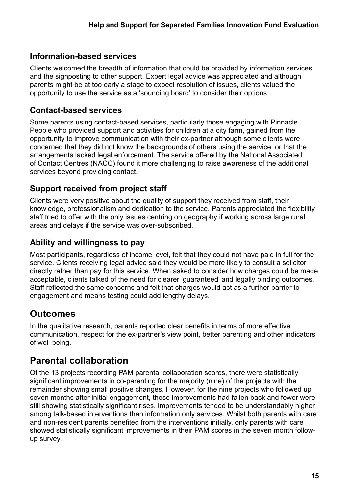#### **Information-based services**

Clients welcomed the breadth of information that could be provided by information services and the signposting to other support. Expert legal advice was appreciated and although parents might be at too early a stage to expect resolution of issues, clients valued the opportunity to use the service as a 'sounding board' to consider their options.

#### **Contact-based services**

Some parents using contact-based services, particularly those engaging with Pinnacle People who provided support and activities for children at a city farm, gained from the opportunity to improve communication with their ex-partner although some clients were concerned that they did not know the backgrounds of others using the service, or that the arrangements lacked legal enforcement. The service offered by the National Associated of Contact Centres (NACC) found it more challenging to raise awareness of the additional services beyond providing contact.

#### **Support received from project staff**

Clients were very positive about the quality of support they received from staff, their knowledge, professionalism and dedication to the service. Parents appreciated the flexibility staff tried to offer with the only issues centring on geography if working across large rural areas and delays if the service was over-subscribed.

#### **Ability and willingness to pay**

Most participants, regardless of income level, felt that they could not have paid in full for the service. Clients receiving legal advice said they would be more likely to consult a solicitor directly rather than pay for this service. When asked to consider how charges could be made acceptable, clients talked of the need for clearer 'guaranteed' and legally binding outcomes. Staff reflected the same concerns and felt that charges would act as a further barrier to engagement and means testing could add lengthy delays.

### **Outcomes**

In the qualitative research, parents reported clear benefits in terms of more effective communication, respect for the ex-partner's view point, better parenting and other indicators of well-being.

### **Parental collaboration**

Of the 13 projects recording PAM parental collaboration scores, there were statistically significant improvements in co-parenting for the majority (nine) of the projects with the remainder showing small positive changes. However, for the nine projects who followed up seven months after initial engagement, these improvements had fallen back and fewer were still showing statistically significant rises. Improvements tended to be understandably higher among talk-based interventions than information only services. Whilst both parents with care and non-resident parents benefited from the interventions initially, only parents with care showed statistically significant improvements in their PAM scores in the seven month followup survey.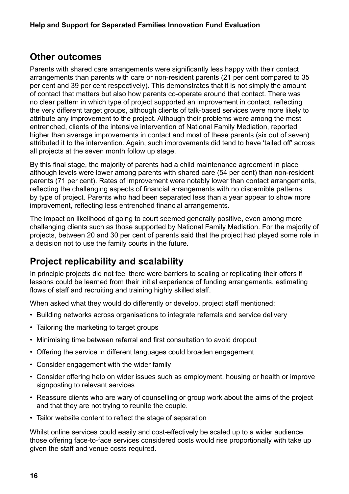### **Other outcomes**

Parents with shared care arrangements were significantly less happy with their contact arrangements than parents with care or non-resident parents (21 per cent compared to 35 per cent and 39 per cent respectively). This demonstrates that it is not simply the amount of contact that matters but also how parents co-operate around that contact. There was no clear pattern in which type of project supported an improvement in contact, reflecting the very different target groups, although clients of talk-based services were more likely to attribute any improvement to the project. Although their problems were among the most entrenched, clients of the intensive intervention of National Family Mediation, reported higher than average improvements in contact and most of these parents (six out of seven) attributed it to the intervention. Again, such improvements did tend to have 'tailed off' across all projects at the seven month follow up stage.

By this final stage, the majority of parents had a child maintenance agreement in place although levels were lower among parents with shared care (54 per cent) than non-resident parents (71 per cent). Rates of improvement were notably lower than contact arrangements, reflecting the challenging aspects of financial arrangements with no discernible patterns by type of project. Parents who had been separated less than a year appear to show more improvement, reflecting less entrenched financial arrangements.

The impact on likelihood of going to court seemed generally positive, even among more challenging clients such as those supported by National Family Mediation. For the majority of projects, between 20 and 30 per cent of parents said that the project had played some role in a decision not to use the family courts in the future.

## **Project replicability and scalability**

In principle projects did not feel there were barriers to scaling or replicating their offers if lessons could be learned from their initial experience of funding arrangements, estimating flows of staff and recruiting and training highly skilled staff.

When asked what they would do differently or develop, project staff mentioned:

- Building networks across organisations to integrate referrals and service delivery
- Tailoring the marketing to target groups
- Minimising time between referral and first consultation to avoid dropout
- Offering the service in different languages could broaden engagement
- Consider engagement with the wider family
- Consider offering help on wider issues such as employment, housing or health or improve signposting to relevant services
- Reassure clients who are wary of counselling or group work about the aims of the project and that they are not trying to reunite the couple.
- Tailor website content to reflect the stage of separation

Whilst online services could easily and cost-effectively be scaled up to a wider audience, those offering face-to-face services considered costs would rise proportionally with take up given the staff and venue costs required.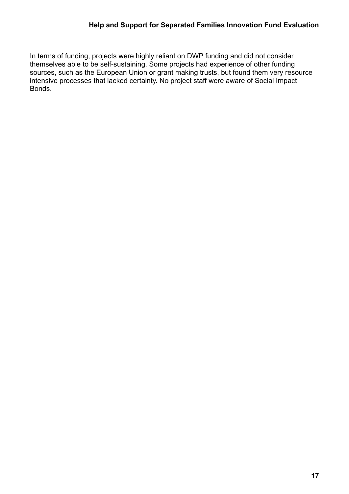In terms of funding, projects were highly reliant on DWP funding and did not consider themselves able to be self-sustaining. Some projects had experience of other funding sources, such as the European Union or grant making trusts, but found them very resource intensive processes that lacked certainty. No project staff were aware of Social Impact Bonds.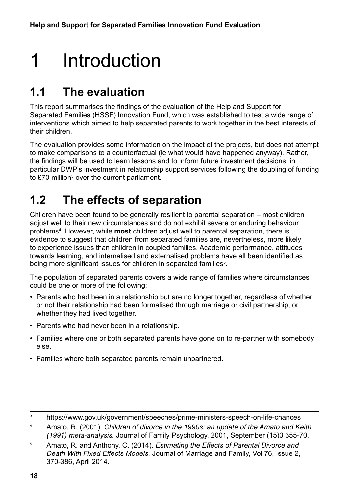# <span id="page-17-0"></span>1 Introduction

# **1.1 The evaluation**

This report summarises the findings of the evaluation of the Help and Support for Separated Families (HSSF) Innovation Fund, which was established to test a wide range of interventions which aimed to help separated parents to work together in the best interests of their children.

The evaluation provides some information on the impact of the projects, but does not attempt to make comparisons to a counterfactual (ie what would have happened anyway). Rather, the findings will be used to learn lessons and to inform future investment decisions, in particular DWP's investment in relationship support services following the doubling of funding to £70 million $^3$  over the current parliament.

## **1.2 The effects of separation**

Children have been found to be generally resilient to parental separation – most children adjust well to their new circumstances and do not exhibit severe or enduring behaviour problems4 . However, while **most** children adjust well to parental separation, there is evidence to suggest that children from separated families are, nevertheless, more likely to experience issues than children in coupled families. Academic performance, attitudes towards learning, and internalised and externalised problems have all been identified as being more significant issues for children in separated families $^5$ .

The population of separated parents covers a wide range of families where circumstances could be one or more of the following:

- Parents who had been in a relationship but are no longer together, regardless of whether or not their relationship had been formalised through marriage or civil partnership, or whether they had lived together.
- Parents who had never been in a relationship.
- Families where one or both separated parents have gone on to re-partner with somebody else.
- Families where both separated parents remain unpartnered.

<sup>3</sup> https://www.gov.uk/government/speeches/prime-ministers-speech-on-life-chances

<sup>4</sup> Amato, R. (2001). *Children of divorce in the 1990s: an update of the Amato and Keith (1991) meta-analysis.* Journal of Family Psychology, 2001, September (15)3 355-70.

<sup>5</sup> Amato, R. and Anthony, C. (2014). *Estimating the Effects of Parental Divorce and Death With Fixed Effects Models.* Journal of Marriage and Family, Vol 76, Issue 2, 370-386, April 2014.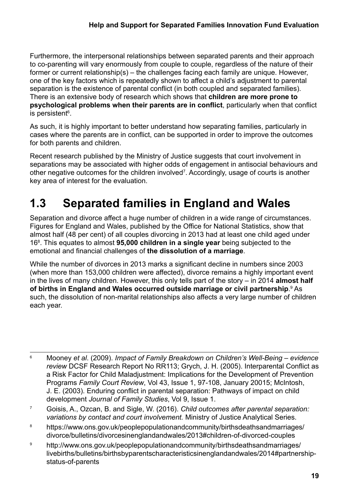<span id="page-18-0"></span>Furthermore, the interpersonal relationships between separated parents and their approach to co-parenting will vary enormously from couple to couple, regardless of the nature of their former or current relationship(s) – the challenges facing each family are unique. However, one of the key factors which is repeatedly shown to affect a child's adjustment to parental separation is the existence of parental conflict (in both coupled and separated families). There is an extensive body of research which shows that **children are more prone to psychological problems when their parents are in conflict**, particularly when that conflict is persistent<sup>6</sup>.

As such, it is highly important to better understand how separating families, particularly in cases where the parents are in conflict, can be supported in order to improve the outcomes for both parents and children.

Recent research published by the Ministry of Justice suggests that court involvement in separations may be associated with higher odds of engagement in antisocial behaviours and other negative outcomes for the children involved7 . Accordingly, usage of courts is another key area of interest for the evaluation.

# **1.3 Separated families in England and Wales**

Separation and divorce affect a huge number of children in a wide range of circumstances. Figures for England and Wales, published by the Office for National Statistics, show that almost half (48 per cent) of all couples divorcing in 2013 had at least one child aged under 168 . This equates to almost **95,000 children in a single year** being subjected to the emotional and financial challenges of **the dissolution of a marriage**.

While the number of divorces in 2013 marks a significant decline in numbers since 2003 (when more than 153,000 children were affected), divorce remains a highly important event in the lives of many children. However, this only tells part of the story – in 2014 **almost half**  of births in England and Wales occurred outside marriage or civil partnership.<sup>9</sup> As such, the dissolution of non-marital relationships also affects a very large number of children each year.

- <sup>7</sup> Goisis, A., Ozcan, B. and Sigle, W. (2016). *Child outcomes after parental separation: variations by contact and court involvement.* Ministry of Justice Analytical Series.
- <sup>8</sup> [https://www.ons.gov.uk/peoplepopulationandcommunity/birthsdeathsandmarriages/](https://www.ons.gov.uk/peoplepopulationandcommunity/birthsdeathsandmarriages/divorce/bulletins/divorcesinenglandandwales/2013#children-of-divorced-couples) [divorce/bulletins/divorcesinenglandandwales/2013#children-of-divorced-couples](https://www.ons.gov.uk/peoplepopulationandcommunity/birthsdeathsandmarriages/divorce/bulletins/divorcesinenglandandwales/2013#children-of-divorced-couples)
- <sup>9</sup> [http://www.ons.gov.uk/peoplepopulationandcommunity/birthsdeathsandmarriages/](http://www.ons.gov.uk/peoplepopulationandcommunity/birthsdeathsandmarriages/livebirths/bulletins/birthsbyparentscharacteristicsinenglandandwales/2014#partnership-status-of-parents) [livebirths/bulletins/birthsbyparentscharacteristicsinenglandandwales/2014#partnership](http://www.ons.gov.uk/peoplepopulationandcommunity/birthsdeathsandmarriages/livebirths/bulletins/birthsbyparentscharacteristicsinenglandandwales/2014#partnership-status-of-parents)[status-of-parents](http://www.ons.gov.uk/peoplepopulationandcommunity/birthsdeathsandmarriages/livebirths/bulletins/birthsbyparentscharacteristicsinenglandandwales/2014#partnership-status-of-parents)

<sup>6</sup> Mooney *et al*. (2009). *Impact of Family Breakdown on Children's Well-Being – evidence review* DCSF Research Report No RR113; Grych, J. H. (2005). Interparental Conflict as a Risk Factor for Child Maladjustment: Implications for the Development of Prevention Programs *Family Court Review*, Vol 43, Issue 1, 97-108, January 20015; McIntosh, J. E. (2003). Enduring conflict in parental separation: Pathways of impact on child development *Journal of Family Studies*, Vol 9, Issue 1.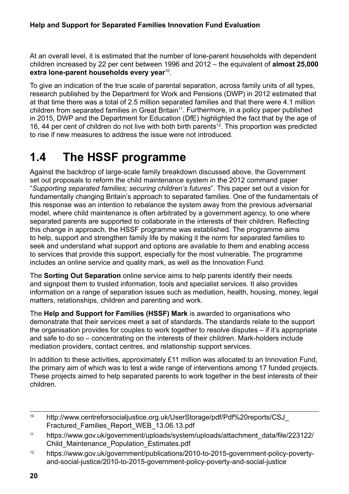<span id="page-19-0"></span>At an overall level, it is estimated that the number of lone-parent households with dependent children increased by 22 per cent between 1996 and 2012 – the equivalent of **almost 25,000 extra lone-parent households every year**10.

To give an indication of the true scale of parental separation, across family units of all types, research published by the Department for Work and Pensions (DWP) in 2012 estimated that at that time there was a total of 2.5 million separated families and that there were 4.1 million children from separated families in Great Britain<sup>11</sup>. Furthermore, in a policy paper published in 2015, DWP and the Department for Education (DfE) highlighted the fact that by the age of 16, 44 per cent of children do not live with both birth parents<sup>12</sup>. This proportion was predicted to rise if new measures to address the issue were not introduced.

# **1.4 The HSSF programme**

Against the backdrop of large-scale family breakdown discussed above, the Government set out proposals to reform the child maintenance system in the 2012 command paper "*Supporting separated families; securing children's futures*". This paper set out a vision for fundamentally changing Britain's approach to separated families. One of the fundamentals of this response was an intention to rebalance the system away from the previous adversarial model, where child maintenance is often arbitrated by a government agency, to one where separated parents are supported to collaborate in the interests of their children. Reflecting this change in approach, the HSSF programme was established. The programme aims to help, support and strengthen family life by making it the norm for separated families to seek and understand what support and options are available to them and enabling access to services that provide this support, especially for the most vulnerable. The programme includes an online service and quality mark, as well as the Innovation Fund.

The **Sorting Out Separation** online service aims to help parents identify their needs and signpost them to trusted information, tools and specialist services. It also provides information on a range of separation issues such as mediation, health, housing, money, legal matters, relationships, children and parenting and work.

The **Help and Support for Families (HSSF) Mark** is awarded to organisations who demonstrate that their services meet a set of standards. The standards relate to the support the organisation provides for couples to work together to resolve disputes – if it's appropriate and safe to do so – concentrating on the interests of their children. Mark-holders include mediation providers, contact centres, and relationship support services.

In addition to these activities, approximately £11 million was allocated to an Innovation Fund, the primary aim of which was to test a wide range of interventions among 17 funded projects. These projects aimed to help separated parents to work together in the best interests of their children.

<sup>10</sup> [http://www.centreforsocialjustice.org.uk/UserStorage/pdf/Pdf%20reports/CSJ\\_](http://www.centreforsocialjustice.org.uk/UserStorage/pdf/Pdf%20reports/CSJ_Fractured_Families_Report_WEB_13.06.13.pdf) [Fractured\\_Families\\_Report\\_WEB\\_13.06.13.pdf](http://www.centreforsocialjustice.org.uk/UserStorage/pdf/Pdf%20reports/CSJ_Fractured_Families_Report_WEB_13.06.13.pdf)

<sup>&</sup>lt;sup>11</sup> [https://www.gov.uk/government/uploads/system/uploads/attachment\\_data/file/223122/](https://www.gov.uk/government/uploads/system/uploads/attachment_data/file/223122/Child_Maintenance_Population_Estimates.pdf) [Child\\_Maintenance\\_Population\\_Estimates.pdf](https://www.gov.uk/government/uploads/system/uploads/attachment_data/file/223122/Child_Maintenance_Population_Estimates.pdf)

<sup>12</sup> [https://www.gov.uk/government/publications/2010-to-2015-government-policy-poverty](https://www.gov.uk/government/publications/2010-to-2015-government-policy-poverty-and-social-justice/2010-to-2015-government-policy-poverty-and-social-justice)[and-social-justice/2010-to-2015-government-policy-poverty-and-social-justice](https://www.gov.uk/government/publications/2010-to-2015-government-policy-poverty-and-social-justice/2010-to-2015-government-policy-poverty-and-social-justice)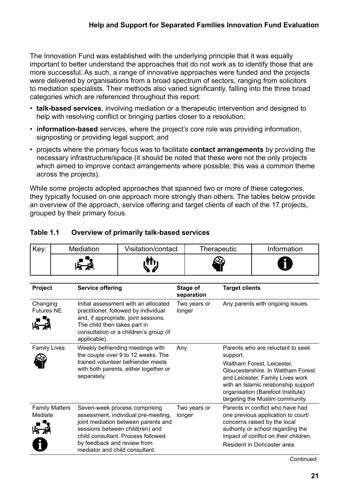<span id="page-20-0"></span>The Innovation Fund was established with the underlying principle that it was equally important to better understand the approaches that do not work as to identify those that are more successful. As such, a range of innovative approaches were funded and the projects were delivered by organisations from a broad spectrum of sectors, ranging from solicitors to mediation specialists. Their methods also varied significantly, falling into the three broad categories which are referenced throughout this report:

- **talk-based services**, involving mediation or a therapeutic intervention and designed to help with resolving conflict or bringing parties closer to a resolution;
- **information-based** services, where the project's core role was providing information, signposting or providing legal support; and
- projects where the primary focus was to facilitate **contact arrangements** by providing the necessary infrastructure/space (it should be noted that these were not the only projects which aimed to improve contact arrangements where possible; this was a common theme across the projects).

While some projects adopted approaches that spanned two or more of these categories, they typically focused on one approach more strongly than others. The tables below provide an overview of the approach, service offering and target clients of each of the 17 projects, grouped by their primary focus.

| Key:                          |                       | <b>Mediation</b>                                              | Visitation/contact                                                                                                                                                                   |     | Therapeutic            |                       | Information                                                                                                                                                                                                                                               |
|-------------------------------|-----------------------|---------------------------------------------------------------|--------------------------------------------------------------------------------------------------------------------------------------------------------------------------------------|-----|------------------------|-----------------------|-----------------------------------------------------------------------------------------------------------------------------------------------------------------------------------------------------------------------------------------------------------|
|                               |                       |                                                               |                                                                                                                                                                                      |     |                        |                       |                                                                                                                                                                                                                                                           |
| Project                       |                       | <b>Service offering</b>                                       |                                                                                                                                                                                      |     | Stage of<br>separation | <b>Target clients</b> |                                                                                                                                                                                                                                                           |
| Changing<br><b>Futures NE</b> |                       | The child then takes part in<br>applicable).                  | Initial assessment with an allocated<br>practitioner, followed by individual<br>and, if appropriate, joint sessions.<br>consultation or a children's group (if                       |     | Two years or<br>longer |                       | Any parents with ongoing issues.                                                                                                                                                                                                                          |
| <b>Family Lives</b>           |                       | separately.                                                   | Weekly befriending meetings with<br>the couple over 9 to 12 weeks. The<br>trained volunteer befriender meets<br>with both parents, either together or                                | Any |                        | support.              | Parents who are reluctant to seek<br>Waltham Forest, Leicester,<br>Gloucestershire. In Waltham Forest<br>and Leicester, Family Lives work<br>with an Islamic relationship support<br>organisation (Barefoot Institute)<br>targeting the Muslim community. |
| Mediate                       | <b>Family Matters</b> | by feedback and review from<br>mediator and child consultant. | Seven-week process comprising<br>assessment, individual pre-meeting,<br>joint mediation between parents and<br>sessions between child(ren) and<br>child consultant. Process followed |     | Two years or<br>longer |                       | Parents in conflict who have had<br>one previous application to court/<br>concerns raised by the local<br>authority or school regarding the<br>impact of conflict on their children.<br>Resident in Doncaster area.                                       |

#### **Table 1.1 Overview of primarily talk-based services**

**Continued**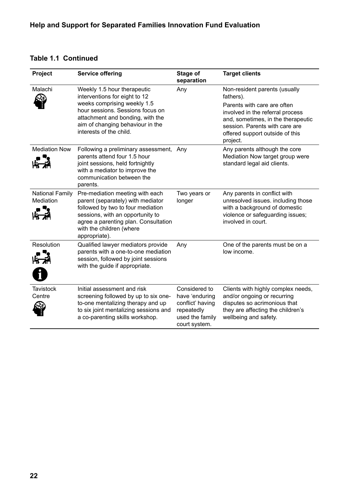| <b>Table 1.1 Continued</b> |  |
|----------------------------|--|
|----------------------------|--|

| Project                             | <b>Service offering</b>                                                                                                                                                                                                            | Stage of<br>separation                                                                                | <b>Target clients</b>                                                                                                                                                                                                                |
|-------------------------------------|------------------------------------------------------------------------------------------------------------------------------------------------------------------------------------------------------------------------------------|-------------------------------------------------------------------------------------------------------|--------------------------------------------------------------------------------------------------------------------------------------------------------------------------------------------------------------------------------------|
| Malachi                             | Weekly 1.5 hour therapeutic<br>interventions for eight to 12<br>weeks comprising weekly 1.5<br>hour sessions. Sessions focus on<br>attachment and bonding, with the<br>aim of changing behaviour in the<br>interests of the child. | Any                                                                                                   | Non-resident parents (usually<br>fathers).<br>Parents with care are often<br>involved in the referral process<br>and, sometimes, in the therapeutic<br>session. Parents with care are<br>offered support outside of this<br>project. |
| <b>Mediation Now</b>                | Following a preliminary assessment, Any<br>parents attend four 1.5 hour<br>joint sessions, held fortnightly<br>with a mediator to improve the<br>communication between the<br>parents.                                             |                                                                                                       | Any parents although the core<br>Mediation Now target group were<br>standard legal aid clients.                                                                                                                                      |
| <b>National Family</b><br>Mediation | Pre-mediation meeting with each<br>parent (separately) with mediator<br>followed by two to four mediation<br>sessions, with an opportunity to<br>agree a parenting plan. Consultation<br>with the children (where<br>appropriate). | Two years or<br>longer                                                                                | Any parents in conflict with<br>unresolved issues. including those<br>with a background of domestic<br>violence or safeguarding issues;<br>involved in court.                                                                        |
| <b>Resolution</b><br>$\mathbf i$    | Qualified lawyer mediators provide<br>parents with a one-to-one mediation<br>session, followed by joint sessions<br>with the guide if appropriate.                                                                                 | Any                                                                                                   | One of the parents must be on a<br>low income.                                                                                                                                                                                       |
| <b>Tavistock</b><br>Centre          | Initial assessment and risk<br>screening followed by up to six one-<br>to-one mentalizing therapy and up<br>to six joint mentalizing sessions and<br>a co-parenting skills workshop.                                               | Considered to<br>have 'enduring<br>conflict' having<br>repeatedly<br>used the family<br>court system. | Clients with highly complex needs,<br>and/or ongoing or recurring<br>disputes so acrimonious that<br>they are affecting the children's<br>wellbeing and safety.                                                                      |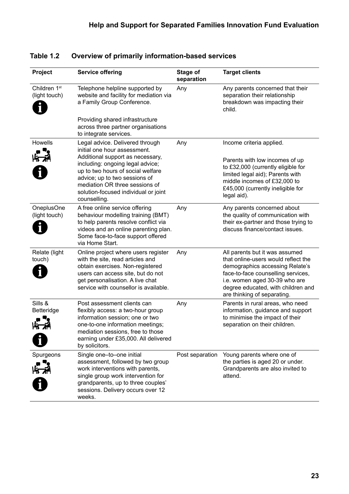| Project                       | <b>Service offering</b>                                                                                                                                                                                                                | Stage of<br>separation | <b>Target clients</b>                                                                                                                                                                                                                                |
|-------------------------------|----------------------------------------------------------------------------------------------------------------------------------------------------------------------------------------------------------------------------------------|------------------------|------------------------------------------------------------------------------------------------------------------------------------------------------------------------------------------------------------------------------------------------------|
| Children 1st<br>(light touch) | Telephone helpline supported by<br>website and facility for mediation via<br>a Family Group Conference.                                                                                                                                | Any                    | Any parents concerned that their<br>separation their relationship<br>breakdown was impacting their<br>child.                                                                                                                                         |
|                               | Providing shared infrastructure<br>across three partner organisations<br>to integrate services.                                                                                                                                        |                        |                                                                                                                                                                                                                                                      |
| Howells<br>ドネ                 | Legal advice. Delivered through<br>initial one hour assessment.<br>Additional support as necessary,                                                                                                                                    | Any                    | Income criteria applied.                                                                                                                                                                                                                             |
|                               | including: ongoing legal advice;<br>up to two hours of social welfare<br>advice; up to two sessions of<br>mediation OR three sessions of<br>solution-focused individual or joint<br>counselling.                                       |                        | Parents with low incomes of up<br>to £32,000 (currently eligible for<br>limited legal aid); Parents with<br>middle incomes of £32,000 to<br>£45,000 (currently ineligible for<br>legal aid).                                                         |
| OneplusOne<br>(light touch)   | A free online service offering<br>behaviour modelling training (BMT)<br>to help parents resolve conflict via<br>videos and an online parenting plan.<br>Some face-to-face support offered<br>via Home Start.                           | Any                    | Any parents concerned about<br>the quality of communication with<br>their ex-partner and those trying to<br>discuss finance/contact issues.                                                                                                          |
| Relate (light<br>touch)       | Online project where users register<br>with the site, read articles and<br>obtain exercises. Non-registered<br>users can access site, but do not<br>get personalisation. A live chat<br>service with counsellor is available.          | Any                    | All parents but it was assumed<br>that online-users would reflect the<br>demographics accessing Relate's<br>face-to-face counselling services,<br>i.e. women aged 30-39 who are<br>degree educated, with children and<br>are thinking of separating. |
| Sills &<br>Betteridge         | Post assessment clients can<br>flexibly access: a two-hour group<br>information session; one or two<br>one-to-one information meetings;<br>mediation sessions, free to those<br>earning under £35,000. All delivered<br>by solicitors. | Any                    | Parents in rural areas, who need<br>information, guidance and support<br>to minimise the impact of their<br>separation on their children.                                                                                                            |
| Spurgeons                     | Single one-to-one initial<br>assessment, followed by two group<br>work interventions with parents,<br>single group work intervention for<br>grandparents, up to three couples'<br>sessions. Delivery occurs over 12<br>weeks.          | Post separation        | Young parents where one of<br>the parties is aged 20 or under.<br>Grandparents are also invited to<br>attend.                                                                                                                                        |

#### <span id="page-22-0"></span>**Table 1.2 Overview of primarily information-based services**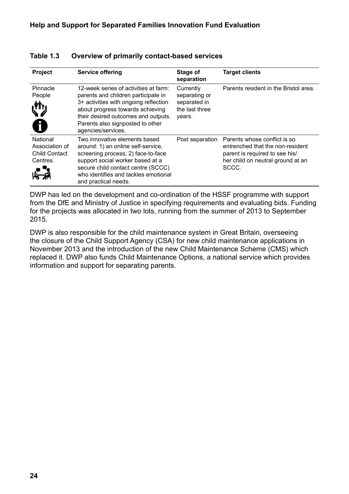| Project                                                       | <b>Service offering</b>                                                                                                                                                                                                                                    | Stage of<br>separation                                                 | <b>Target clients</b>                                                                                                                            |
|---------------------------------------------------------------|------------------------------------------------------------------------------------------------------------------------------------------------------------------------------------------------------------------------------------------------------------|------------------------------------------------------------------------|--------------------------------------------------------------------------------------------------------------------------------------------------|
| Pinnacle<br>People<br>1                                       | 12-week series of activities at farm:<br>parents and children participate in<br>3+ activities with ongoing reflection<br>about progress towards achieving<br>their desired outcomes and outputs.<br>Parents also signposted to other<br>agencies/services. | Currently<br>separating or<br>separated in<br>the last three<br>years. | Parents resident in the Bristol area.                                                                                                            |
| National<br>Association of<br><b>Child Contact</b><br>Centres | Two innovative elements based.<br>around: 1) an online self-service,<br>screening process; 2) face-to-face<br>support social worker based at a<br>secure child contact centre (SCCC)<br>who identifies and tackles emotional<br>and practical needs.       | Post separation                                                        | Parents whose conflict is so<br>entrenched that the non-resident<br>parent is required to see his/<br>her child on neutral ground at an<br>SCCC. |

#### <span id="page-23-0"></span>**Table 1.3 Overview of primarily contact-based services**

DWP has led on the development and co-ordination of the HSSF programme with support from the DfE and Ministry of Justice in specifying requirements and evaluating bids. Funding for the projects was allocated in two lots, running from the summer of 2013 to September 2015.

DWP is also responsible for the child maintenance system in Great Britain, overseeing the closure of the Child Support Agency (CSA) for new child maintenance applications in November 2013 and the introduction of the new Child Maintenance Scheme (CMS) which replaced it. DWP also funds Child Maintenance Options, a national service which provides information and support for separating parents.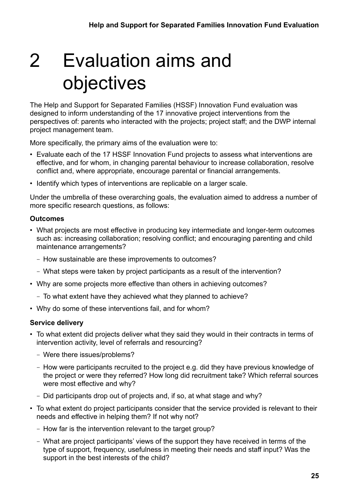# <span id="page-24-0"></span>2 Evaluation aims and objectives

The Help and Support for Separated Families (HSSF) Innovation Fund evaluation was designed to inform understanding of the 17 innovative project interventions from the perspectives of: parents who interacted with the projects; project staff; and the DWP internal project management team.

More specifically, the primary aims of the evaluation were to:

- Evaluate each of the 17 HSSF Innovation Fund projects to assess what interventions are effective, and for whom, in changing parental behaviour to increase collaboration, resolve conflict and, where appropriate, encourage parental or financial arrangements.
- Identify which types of interventions are replicable on a larger scale.

Under the umbrella of these overarching goals, the evaluation aimed to address a number of more specific research questions, as follows:

#### **Outcomes**

- What projects are most effective in producing key intermediate and longer-term outcomes such as: increasing collaboration; resolving conflict; and encouraging parenting and child maintenance arrangements?
	- How sustainable are these improvements to outcomes?
	- What steps were taken by project participants as a result of the intervention?
- Why are some projects more effective than others in achieving outcomes?
	- To what extent have they achieved what they planned to achieve?
- Why do some of these interventions fail, and for whom?

#### **Service delivery**

- To what extent did projects deliver what they said they would in their contracts in terms of intervention activity, level of referrals and resourcing?
	- Were there issues/problems?
	- How were participants recruited to the project e.g. did they have previous knowledge of the project or were they referred? How long did recruitment take? Which referral sources were most effective and why?
	- Did participants drop out of projects and, if so, at what stage and why?
- To what extent do project participants consider that the service provided is relevant to their needs and effective in helping them? If not why not?
	- How far is the intervention relevant to the target group?
	- What are project participants' views of the support they have received in terms of the type of support, frequency, usefulness in meeting their needs and staff input? Was the support in the best interests of the child?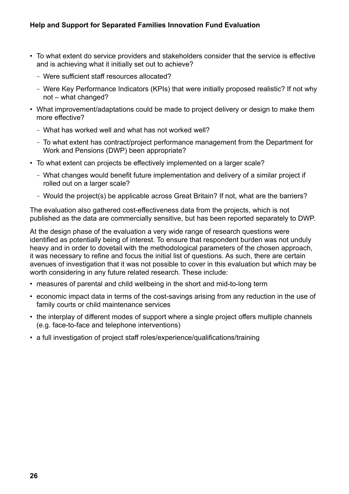- To what extent do service providers and stakeholders consider that the service is effective and is achieving what it initially set out to achieve?
	- Were sufficient staff resources allocated?
	- Were Key Performance Indicators (KPIs) that were initially proposed realistic? If not why not – what changed?
- What improvement/adaptations could be made to project delivery or design to make them more effective?
	- What has worked well and what has not worked well?
	- To what extent has contract/project performance management from the Department for Work and Pensions (DWP) been appropriate?
- To what extent can projects be effectively implemented on a larger scale?
	- What changes would benefit future implementation and delivery of a similar project if rolled out on a larger scale?
	- Would the project(s) be applicable across Great Britain? If not, what are the barriers?

The evaluation also gathered cost-effectiveness data from the projects, which is not published as the data are commercially sensitive, but has been reported separately to DWP.

At the design phase of the evaluation a very wide range of research questions were identified as potentially being of interest. To ensure that respondent burden was not unduly heavy and in order to dovetail with the methodological parameters of the chosen approach, it was necessary to refine and focus the initial list of questions. As such, there are certain avenues of investigation that it was not possible to cover in this evaluation but which may be worth considering in any future related research. These include:

- measures of parental and child wellbeing in the short and mid-to-long term
- economic impact data in terms of the cost-savings arising from any reduction in the use of family courts or child maintenance services
- the interplay of different modes of support where a single project offers multiple channels (e.g. face-to-face and telephone interventions)
- a full investigation of project staff roles/experience/qualifications/training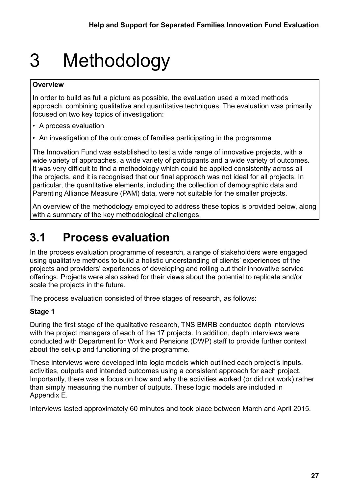# <span id="page-26-0"></span>3 Methodology

#### **Overview**

In order to build as full a picture as possible, the evaluation used a mixed methods approach, combining qualitative and quantitative techniques. The evaluation was primarily focused on two key topics of investigation:

- A process evaluation
- An investigation of the outcomes of families participating in the programme

The Innovation Fund was established to test a wide range of innovative projects, with a wide variety of approaches, a wide variety of participants and a wide variety of outcomes. It was very difficult to find a methodology which could be applied consistently across all the projects, and it is recognised that our final approach was not ideal for all projects. In particular, the quantitative elements, including the collection of demographic data and Parenting Alliance Measure (PAM) data, were not suitable for the smaller projects.

An overview of the methodology employed to address these topics is provided below, along with a summary of the key methodological challenges.

## **3.1 Process evaluation**

In the process evaluation programme of research, a range of stakeholders were engaged using qualitative methods to build a holistic understanding of clients' experiences of the projects and providers' experiences of developing and rolling out their innovative service offerings. Projects were also asked for their views about the potential to replicate and/or scale the projects in the future.

The process evaluation consisted of three stages of research, as follows:

#### **Stage 1**

During the first stage of the qualitative research, TNS BMRB conducted depth interviews with the project managers of each of the 17 projects. In addition, depth interviews were conducted with Department for Work and Pensions (DWP) staff to provide further context about the set-up and functioning of the programme.

These interviews were developed into logic models which outlined each project's inputs, activities, outputs and intended outcomes using a consistent approach for each project. Importantly, there was a focus on how and why the activities worked (or did not work) rather than simply measuring the number of outputs. These logic models are included in Appendix E.

Interviews lasted approximately 60 minutes and took place between March and April 2015.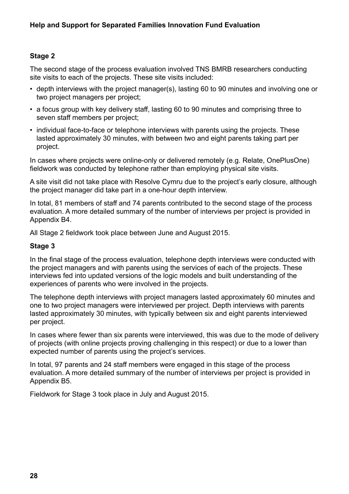#### **Stage 2**

The second stage of the process evaluation involved TNS BMRB researchers conducting site visits to each of the projects. These site visits included:

- depth interviews with the project manager(s), lasting 60 to 90 minutes and involving one or two project managers per project;
- a focus group with key delivery staff, lasting 60 to 90 minutes and comprising three to seven staff members per project;
- individual face-to-face or telephone interviews with parents using the projects. These lasted approximately 30 minutes, with between two and eight parents taking part per project.

In cases where projects were online-only or delivered remotely (e.g. Relate, OnePlusOne) fieldwork was conducted by telephone rather than employing physical site visits.

A site visit did not take place with Resolve Cymru due to the project's early closure, although the project manager did take part in a one-hour depth interview.

In total, 81 members of staff and 74 parents contributed to the second stage of the process evaluation. A more detailed summary of the number of interviews per project is provided in Appendix B4.

All Stage 2 fieldwork took place between June and August 2015.

#### **Stage 3**

In the final stage of the process evaluation, telephone depth interviews were conducted with the project managers and with parents using the services of each of the projects. These interviews fed into updated versions of the logic models and built understanding of the experiences of parents who were involved in the projects.

The telephone depth interviews with project managers lasted approximately 60 minutes and one to two project managers were interviewed per project. Depth interviews with parents lasted approximately 30 minutes, with typically between six and eight parents interviewed per project.

In cases where fewer than six parents were interviewed, this was due to the mode of delivery of projects (with online projects proving challenging in this respect) or due to a lower than expected number of parents using the project's services.

In total, 97 parents and 24 staff members were engaged in this stage of the process evaluation. A more detailed summary of the number of interviews per project is provided in Appendix B5.

Fieldwork for Stage 3 took place in July and August 2015.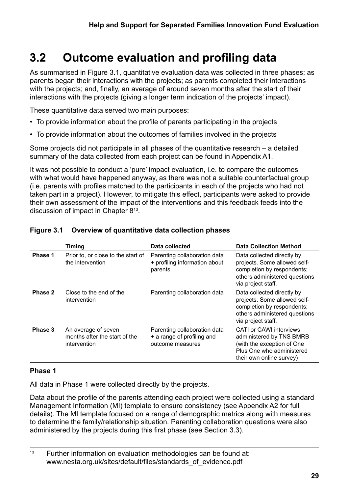# <span id="page-28-0"></span>**3.2 Outcome evaluation and profiling data**

As summarised in Figure 3.1, quantitative evaluation data was collected in three phases; as parents began their interactions with the projects; as parents completed their interactions with the projects; and, finally, an average of around seven months after the start of their interactions with the projects (giving a longer term indication of the projects' impact).

These quantitative data served two main purposes:

- To provide information about the profile of parents participating in the projects
- To provide information about the outcomes of families involved in the projects

Some projects did not participate in all phases of the quantitative research – a detailed summary of the data collected from each project can be found in Appendix A1.

It was not possible to conduct a 'pure' impact evaluation, i.e. to compare the outcomes with what would have happened anyway, as there was not a suitable counterfactual group (i.e. parents with profiles matched to the participants in each of the projects who had not taken part in a project). However, to mitigate this effect, participants were asked to provide their own assessment of the impact of the interventions and this feedback feeds into the discussion of impact in Chapter 813.

|         | <b>Timing</b>                                                        | Data collected                                                                 | <b>Data Collection Method</b>                                                                                                                     |
|---------|----------------------------------------------------------------------|--------------------------------------------------------------------------------|---------------------------------------------------------------------------------------------------------------------------------------------------|
| Phase 1 | Prior to, or close to the start of<br>the intervention               | Parenting collaboration data<br>+ profiling information about<br>parents       | Data collected directly by<br>projects. Some allowed self-<br>completion by respondents;<br>others administered questions<br>via project staff.   |
| Phase 2 | Close to the end of the<br>intervention                              | Parenting collaboration data                                                   | Data collected directly by<br>projects. Some allowed self-<br>completion by respondents;<br>others administered questions<br>via project staff.   |
| Phase 3 | An average of seven<br>months after the start of the<br>intervention | Parenting collaboration data<br>+ a range of profiling and<br>outcome measures | <b>CATI or CAWI interviews</b><br>administered by TNS BMRB<br>(with the exception of One<br>Plus One who administered<br>their own online survey) |

#### **Figure 3.1 Overview of quantitative data collection phases**

#### **Phase 1**

All data in Phase 1 were collected directly by the projects.

Data about the profile of the parents attending each project were collected using a standard Management Information (MI) template to ensure consistency (see Appendix A2 for full details). The MI template focused on a range of demographic metrics along with measures to determine the family/relationship situation. Parenting collaboration questions were also administered by the projects during this first phase (see Section 3.3).

 $13$  Further information on evaluation methodologies can be found at: www.nesta.org.uk/sites/default/files/standards\_of\_evidence.pdf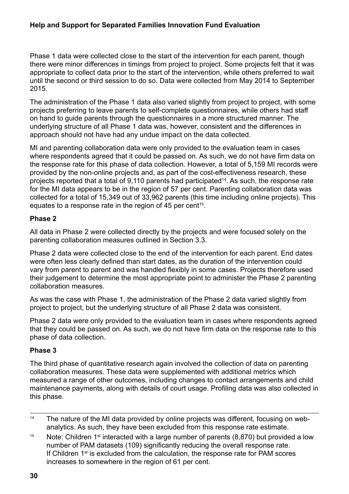#### **Help and Support for Separated Families Innovation Fund Evaluation**

Phase 1 data were collected close to the start of the intervention for each parent, though there were minor differences in timings from project to project. Some projects felt that it was appropriate to collect data prior to the start of the intervention, while others preferred to wait until the second or third session to do so. Data were collected from May 2014 to September 2015.

The administration of the Phase 1 data also varied slightly from project to project, with some projects preferring to leave parents to self-complete questionnaires, while others had staff on hand to guide parents through the questionnaires in a more structured manner. The underlying structure of all Phase 1 data was, however, consistent and the differences in approach should not have had any undue impact on the data collected.

MI and parenting collaboration data were only provided to the evaluation team in cases where respondents agreed that it could be passed on. As such, we do not have firm data on the response rate for this phase of data collection. However, a total of 5,159 MI records were provided by the non-online projects and, as part of the cost-effectiveness research, these projects reported that a total of 9,110 parents had participated<sup>14</sup>. As such, the response rate for the MI data appears to be in the region of 57 per cent. Parenting collaboration data was collected for a total of 15,349 out of 33,962 parents (this time including online projects). This equates to a response rate in the region of  $45$  per cent<sup>15</sup>.

#### **Phase 2**

All data in Phase 2 were collected directly by the projects and were focused solely on the parenting collaboration measures outlined in Section 3.3.

Phase 2 data were collected close to the end of the intervention for each parent. End dates were often less clearly defined than start dates, as the duration of the intervention could vary from parent to parent and was handled flexibly in some cases. Projects therefore used their judgement to determine the most appropriate point to administer the Phase 2 parenting collaboration measures.

As was the case with Phase 1, the administration of the Phase 2 data varied slightly from project to project, but the underlying structure of all Phase 2 data was consistent.

Phase 2 data were only provided to the evaluation team in cases where respondents agreed that they could be passed on. As such, we do not have firm data on the response rate to this phase of data collection.

#### **Phase 3**

The third phase of quantitative research again involved the collection of data on parenting collaboration measures. These data were supplemented with additional metrics which measured a range of other outcomes, including changes to contact arrangements and child maintenance payments, along with details of court usage. Profiling data was also collected in this phase.

- <sup>14</sup> The nature of the MI data provided by online projects was different, focusing on webanalytics. As such, they have been excluded from this response rate estimate.
- <sup>15</sup> Note: Children 1<sup>st</sup> interacted with a large number of parents  $(8,870)$  but provided a low number of PAM datasets (109) significantly reducing the overall response rate. If Children  $1<sup>st</sup>$  is excluded from the calculation, the response rate for PAM scores increases to somewhere in the region of 61 per cent.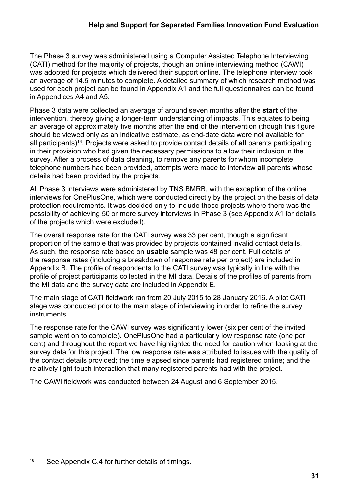The Phase 3 survey was administered using a Computer Assisted Telephone Interviewing (CATI) method for the majority of projects, though an online interviewing method (CAWI) was adopted for projects which delivered their support online. The telephone interview took an average of 14.5 minutes to complete. A detailed summary of which research method was used for each project can be found in Appendix A1 and the full questionnaires can be found in Appendices A4 and A5.

Phase 3 data were collected an average of around seven months after the **start** of the intervention, thereby giving a longer-term understanding of impacts. This equates to being an average of approximately five months after the **end** of the intervention (though this figure should be viewed only as an indicative estimate, as end-date data were not available for all participants)16. Projects were asked to provide contact details of **all** parents participating in their provision who had given the necessary permissions to allow their inclusion in the survey. After a process of data cleaning, to remove any parents for whom incomplete telephone numbers had been provided, attempts were made to interview **all** parents whose details had been provided by the projects.

All Phase 3 interviews were administered by TNS BMRB, with the exception of the online interviews for OnePlusOne, which were conducted directly by the project on the basis of data protection requirements. It was decided only to include those projects where there was the possibility of achieving 50 or more survey interviews in Phase 3 (see Appendix A1 for details of the projects which were excluded).

The overall response rate for the CATI survey was 33 per cent, though a significant proportion of the sample that was provided by projects contained invalid contact details. As such, the response rate based on **usable** sample was 48 per cent. Full details of the response rates (including a breakdown of response rate per project) are included in Appendix B. The profile of respondents to the CATI survey was typically in line with the profile of project participants collected in the MI data. Details of the profiles of parents from the MI data and the survey data are included in Appendix E.

The main stage of CATI fieldwork ran from 20 July 2015 to 28 January 2016. A pilot CATI stage was conducted prior to the main stage of interviewing in order to refine the survey instruments.

The response rate for the CAWI survey was significantly lower (six per cent of the invited sample went on to complete). OnePlusOne had a particularly low response rate (one per cent) and throughout the report we have highlighted the need for caution when looking at the survey data for this project. The low response rate was attributed to issues with the quality of the contact details provided; the time elapsed since parents had registered online; and the relatively light touch interaction that many registered parents had with the project.

The CAWI fieldwork was conducted between 24 August and 6 September 2015.

<sup>&</sup>lt;sup>16</sup> See Appendix C.4 for further details of timings.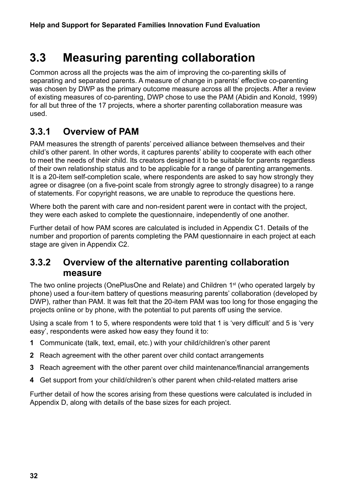## <span id="page-31-0"></span>**3.3 Measuring parenting collaboration**

Common across all the projects was the aim of improving the co-parenting skills of separating and separated parents. A measure of change in parents' effective co-parenting was chosen by DWP as the primary outcome measure across all the projects. After a review of existing measures of co-parenting, DWP chose to use the PAM (Abidin and Konold, 1999) for all but three of the 17 projects, where a shorter parenting collaboration measure was used.

## **3.3.1 Overview of PAM**

PAM measures the strength of parents' perceived alliance between themselves and their child's other parent. In other words, it captures parents' ability to cooperate with each other to meet the needs of their child. Its creators designed it to be suitable for parents regardless of their own relationship status and to be applicable for a range of parenting arrangements. It is a 20-item self-completion scale, where respondents are asked to say how strongly they agree or disagree (on a five-point scale from strongly agree to strongly disagree) to a range of statements. For copyright reasons, we are unable to reproduce the questions here.

Where both the parent with care and non-resident parent were in contact with the project, they were each asked to complete the questionnaire, independently of one another.

Further detail of how PAM scores are calculated is included in Appendix C1. Details of the number and proportion of parents completing the PAM questionnaire in each project at each stage are given in Appendix C2.

### **3.3.2 Overview of the alternative parenting collaboration measure**

The two online projects (OnePlusOne and Relate) and Children 1<sup>st</sup> (who operated largely by phone) used a four-item battery of questions measuring parents' collaboration (developed by DWP), rather than PAM. It was felt that the 20-item PAM was too long for those engaging the projects online or by phone, with the potential to put parents off using the service.

Using a scale from 1 to 5, where respondents were told that 1 is 'very difficult' and 5 is 'very easy', respondents were asked how easy they found it to:

- **1** Communicate (talk, text, email, etc.) with your child/children's other parent
- **2** Reach agreement with the other parent over child contact arrangements
- **3** Reach agreement with the other parent over child maintenance/financial arrangements
- **4** Get support from your child/children's other parent when child-related matters arise

Further detail of how the scores arising from these questions were calculated is included in Appendix D, along with details of the base sizes for each project.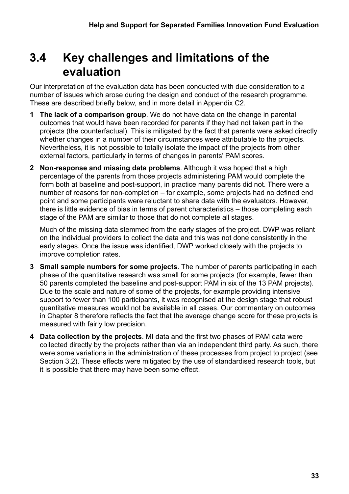## <span id="page-32-0"></span>**3.4 Key challenges and limitations of the evaluation**

Our interpretation of the evaluation data has been conducted with due consideration to a number of issues which arose during the design and conduct of the research programme. These are described briefly below, and in more detail in Appendix C2.

- **1 The lack of a comparison group**. We do not have data on the change in parental outcomes that would have been recorded for parents if they had not taken part in the projects (the counterfactual). This is mitigated by the fact that parents were asked directly whether changes in a number of their circumstances were attributable to the projects. Nevertheless, it is not possible to totally isolate the impact of the projects from other external factors, particularly in terms of changes in parents' PAM scores.
- **2 Non-response and missing data problems**. Although it was hoped that a high percentage of the parents from those projects administering PAM would complete the form both at baseline and post-support, in practice many parents did not. There were a number of reasons for non-completion – for example, some projects had no defined end point and some participants were reluctant to share data with the evaluators. However, there is little evidence of bias in terms of parent characteristics – those completing each stage of the PAM are similar to those that do not complete all stages.

Much of the missing data stemmed from the early stages of the project. DWP was reliant on the individual providers to collect the data and this was not done consistently in the early stages. Once the issue was identified, DWP worked closely with the projects to improve completion rates.

- **3 Small sample numbers for some projects**. The number of parents participating in each phase of the quantitative research was small for some projects (for example, fewer than 50 parents completed the baseline and post-support PAM in six of the 13 PAM projects). Due to the scale and nature of some of the projects, for example providing intensive support to fewer than 100 participants, it was recognised at the design stage that robust quantitative measures would not be available in all cases. Our commentary on outcomes in Chapter 8 therefore reflects the fact that the average change score for these projects is measured with fairly low precision.
- **4 Data collection by the projects**. MI data and the first two phases of PAM data were collected directly by the projects rather than via an independent third party. As such, there were some variations in the administration of these processes from project to project (see Section 3.2). These effects were mitigated by the use of standardised research tools, but it is possible that there may have been some effect.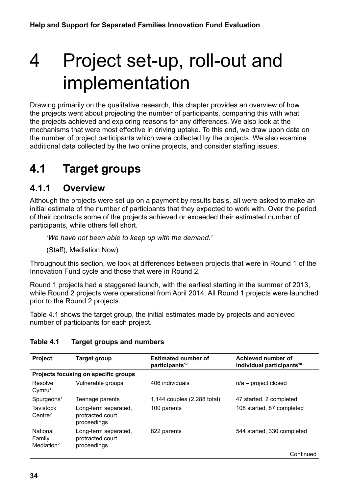# <span id="page-33-0"></span>4 Project set-up, roll-out and implementation

Drawing primarily on the qualitative research, this chapter provides an overview of how the projects went about projecting the number of participants, comparing this with what the projects achieved and exploring reasons for any differences. We also look at the mechanisms that were most effective in driving uptake. To this end, we draw upon data on the number of project participants which were collected by the projects. We also examine additional data collected by the two online projects, and consider staffing issues.

## **4.1 Target groups**

### **4.1.1 Overview**

Although the projects were set up on a payment by results basis, all were asked to make an initial estimate of the number of participants that they expected to work with. Over the period of their contracts some of the projects achieved or exceeded their estimated number of participants, while others fell short.

*'We have not been able to keep up with the demand.'* 

(Staff), Mediation Now)

Throughout this section, we look at differences between projects that were in Round 1 of the Innovation Fund cycle and those that were in Round 2.

Round 1 projects had a staggered launch, with the earliest starting in the summer of 2013, while Round 2 projects were operational from April 2014. All Round 1 projects were launched prior to the Round 2 projects.

Table 4.1 shows the target group, the initial estimates made by projects and achieved number of participants for each project.

#### **Table 4.1 Target groups and numbers**

| Project                                      | Target group                                            | <b>Estimated number of</b><br>participants <sup>17</sup> | Achieved number of<br>individual participants <sup>18</sup> |  |  |
|----------------------------------------------|---------------------------------------------------------|----------------------------------------------------------|-------------------------------------------------------------|--|--|
| Projects focusing on specific groups         |                                                         |                                                          |                                                             |  |  |
| Resolve<br>Cymru <sup>1</sup>                | Vulnerable groups                                       | 406 individuals                                          | $n/a$ – project closed                                      |  |  |
| S <sub>purgeons<sup>1</sup></sub>            | Teenage parents                                         | 1,144 couples (2,288 total)                              | 47 started, 2 completed                                     |  |  |
| Tavistock<br>Centre <sup>2</sup>             | Long-term separated,<br>protracted court<br>proceedings | 100 parents                                              | 108 started, 87 completed                                   |  |  |
| National<br>Family<br>Mediation <sup>2</sup> | Long-term separated,<br>protracted court<br>proceedings | 822 parents                                              | 544 started, 330 completed                                  |  |  |
|                                              |                                                         |                                                          | Continued                                                   |  |  |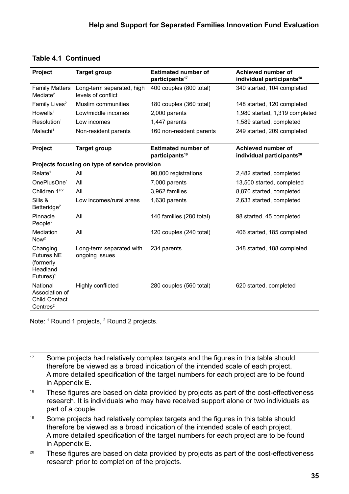#### **Table 4.1 Continued**

| Project                                                                         | <b>Target group</b>                             | <b>Estimated number of</b><br>participants <sup>17</sup> | Achieved number of<br>individual participants <sup>18</sup>        |  |  |
|---------------------------------------------------------------------------------|-------------------------------------------------|----------------------------------------------------------|--------------------------------------------------------------------|--|--|
| <b>Family Matters</b><br>Mediate <sup>2</sup>                                   | Long-term separated, high<br>levels of conflict | 400 couples (800 total)                                  | 340 started, 104 completed                                         |  |  |
| Family Lives <sup>2</sup>                                                       | Muslim communities                              | 180 couples (360 total)                                  | 148 started, 120 completed                                         |  |  |
| Howells <sup>1</sup>                                                            | Low/middle incomes                              | 2,000 parents                                            | 1,980 started, 1,319 completed                                     |  |  |
| Resolution <sup>1</sup>                                                         | Low incomes                                     | 1,447 parents                                            | 1,589 started, completed                                           |  |  |
| Malachi <sup>1</sup>                                                            | Non-resident parents                            | 160 non-resident parents                                 | 249 started, 209 completed                                         |  |  |
| Project                                                                         | <b>Target group</b>                             | <b>Estimated number of</b><br>participants <sup>19</sup> | <b>Achieved number of</b><br>individual participants <sup>20</sup> |  |  |
| Projects focusing on type of service provision                                  |                                                 |                                                          |                                                                    |  |  |
| Relate <sup>1</sup>                                                             | All                                             | 90,000 registrations                                     | 2,482 started, completed                                           |  |  |
| OnePlusOne <sup>1</sup>                                                         | All                                             | 7,000 parents                                            | 13,500 started, completed                                          |  |  |
| Children 1 <sup>st2</sup>                                                       | All                                             | 3,962 families                                           | 8,870 started, completed                                           |  |  |
| Sills &<br>Betteridge <sup>2</sup>                                              | Low incomes/rural areas                         | 1,630 parents                                            | 2,633 started, completed                                           |  |  |
| Pinnacle<br>People <sup>2</sup>                                                 | All                                             | 140 families (280 total)                                 | 98 started, 45 completed                                           |  |  |
| Mediation<br>Now <sup>2</sup>                                                   | All                                             | 120 couples (240 total)                                  | 406 started, 185 completed                                         |  |  |
| Changing<br><b>Futures NE</b><br>(formerly<br>Headland<br>Futures) <sup>1</sup> | Long-term separated with<br>ongoing issues      | 234 parents                                              | 348 started, 188 completed                                         |  |  |
| National<br>Association of<br><b>Child Contact</b><br>Centres <sup>2</sup>      | Highly conflicted                               | 280 couples (560 total)                                  | 620 started, completed                                             |  |  |

Note: 1 Round 1 projects, <sup>2</sup> Round 2 projects.

- <sup>17</sup> Some projects had relatively complex targets and the figures in this table should therefore be viewed as a broad indication of the intended scale of each project. A more detailed specification of the target numbers for each project are to be found in Appendix E.
- $18$  These figures are based on data provided by projects as part of the cost-effectiveness research. It is individuals who may have received support alone or two individuals as part of a couple.
- <sup>19</sup> Some projects had relatively complex targets and the figures in this table should therefore be viewed as a broad indication of the intended scale of each project. A more detailed specification of the target numbers for each project are to be found in Appendix E.
- $20$  These figures are based on data provided by projects as part of the cost-effectiveness research prior to completion of the projects.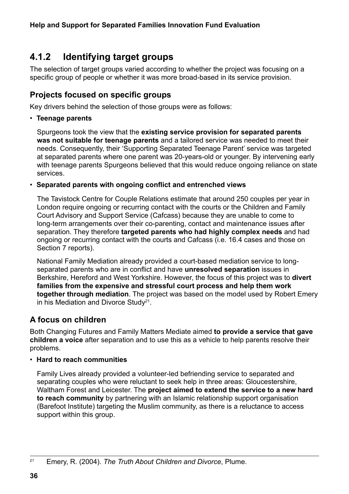## <span id="page-35-0"></span>**4.1.2 Identifying target groups**

The selection of target groups varied according to whether the project was focusing on a specific group of people or whether it was more broad-based in its service provision.

### **Projects focused on specific groups**

Key drivers behind the selection of those groups were as follows:

#### • **Teenage parents**

Spurgeons took the view that the **existing service provision for separated parents was not suitable for teenage parents** and a tailored service was needed to meet their needs. Consequently, their 'Supporting Separated Teenage Parent' service was targeted at separated parents where one parent was 20-years-old or younger. By intervening early with teenage parents Spurgeons believed that this would reduce ongoing reliance on state services.

#### • **Separated parents with ongoing conflict and entrenched views**

The Tavistock Centre for Couple Relations estimate that around 250 couples per year in London require ongoing or recurring contact with the courts or the Children and Family Court Advisory and Support Service (Cafcass) because they are unable to come to long-term arrangements over their co-parenting, contact and maintenance issues after separation. They therefore **targeted parents who had highly complex needs** and had ongoing or recurring contact with the courts and Cafcass (i.e. 16.4 cases and those on Section 7 reports).

National Family Mediation already provided a court-based mediation service to longseparated parents who are in conflict and have **unresolved separation** issues in Berkshire, Hereford and West Yorkshire. However, the focus of this project was to **divert families from the expensive and stressful court process and help them work together through mediation**. The project was based on the model used by Robert Emery in his Mediation and Divorce Study<sup>21</sup>.

#### **A focus on children**

Both Changing Futures and Family Matters Mediate aimed **to provide a service that gave children a voice** after separation and to use this as a vehicle to help parents resolve their problems.

#### • **Hard to reach communities**

Family Lives already provided a volunteer-led befriending service to separated and separating couples who were reluctant to seek help in three areas: Gloucestershire, Waltham Forest and Leicester. The **project aimed to extend the service to a new hard to reach community** by partnering with an Islamic relationship support organisation (Barefoot Institute) targeting the Muslim community, as there is a reluctance to access support within this group.

<sup>21</sup> Emery, R. (2004). *The Truth About Children and Divorce*, Plume.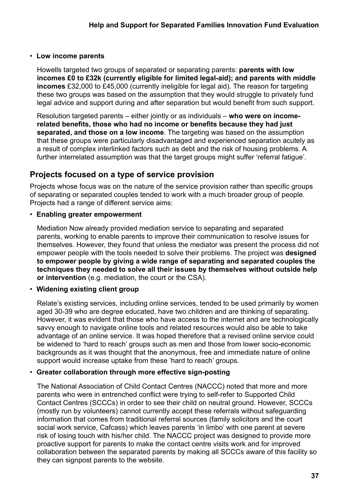#### • **Low income parents**

Howells targeted two groups of separated or separating parents: **parents with low incomes £0 to £32k (currently eligible for limited legal-aid); and parents with middle incomes** £32,000 to £45,000 (currently ineligible for legal aid). The reason for targeting these two groups was based on the assumption that they would struggle to privately fund legal advice and support during and after separation but would benefit from such support.

Resolution targeted parents – either jointly or as individuals – **who were on incomerelated benefits, those who had no income or benefits because they had just separated, and those on a low income**. The targeting was based on the assumption that these groups were particularly disadvantaged and experienced separation acutely as a result of complex interlinked factors such as debt and the risk of housing problems. A further interrelated assumption was that the target groups might suffer 'referral fatigue'.

### **Projects focused on a type of service provision**

Projects whose focus was on the nature of the service provision rather than specific groups of separating or separated couples tended to work with a much broader group of people. Projects had a range of different service aims:

#### • **Enabling greater empowerment**

Mediation Now already provided mediation service to separating and separated parents, working to enable parents to improve their communication to resolve issues for themselves. However, they found that unless the mediator was present the process did not empower people with the tools needed to solve their problems. The project was **designed to empower people by giving a wide range of separating and separated couples the techniques they needed to solve all their issues by themselves without outside help or intervention** (e.g. mediation, the court or the CSA).

### • **Widening existing client group**

Relate's existing services, including online services, tended to be used primarily by women aged 30-39 who are degree educated, have two children and are thinking of separating. However, it was evident that those who have access to the internet and are technologically savvy enough to navigate online tools and related resources would also be able to take advantage of an online service. It was hoped therefore that a revised online service could be widened to 'hard to reach' groups such as men and those from lower socio-economic backgrounds as it was thought that the anonymous, free and immediate nature of online support would increase uptake from these 'hard to reach' groups.

### • **Greater collaboration through more effective sign-posting**

The National Association of Child Contact Centres (NACCC) noted that more and more parents who were in entrenched conflict were trying to self-refer to Supported Child Contact Centres (SCCCs) in order to see their child on neutral ground. However, SCCCs (mostly run by volunteers) cannot currently accept these referrals without safeguarding information that comes from traditional referral sources (family solicitors and the court social work service, Cafcass) which leaves parents 'in limbo' with one parent at severe risk of losing touch with his/her child. The NACCC project was designed to provide more proactive support for parents to make the contact centre visits work and for improved collaboration between the separated parents by making all SCCCs aware of this facility so they can signpost parents to the website.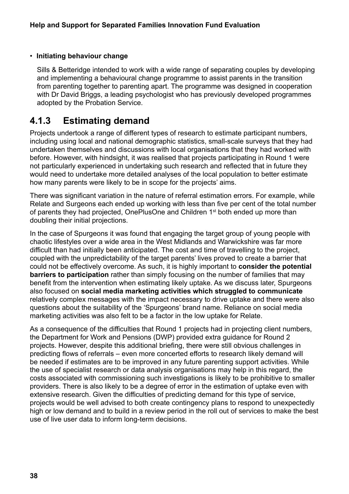### • **Initiating behaviour change**

Sills & Betteridge intended to work with a wide range of separating couples by developing and implementing a behavioural change programme to assist parents in the transition from parenting together to parenting apart. The programme was designed in cooperation with Dr David Briggs, a leading psychologist who has previously developed programmes adopted by the Probation Service.

### **4.1.3 Estimating demand**

Projects undertook a range of different types of research to estimate participant numbers, including using local and national demographic statistics, small-scale surveys that they had undertaken themselves and discussions with local organisations that they had worked with before. However, with hindsight, it was realised that projects participating in Round 1 were not particularly experienced in undertaking such research and reflected that in future they would need to undertake more detailed analyses of the local population to better estimate how many parents were likely to be in scope for the projects' aims.

There was significant variation in the nature of referral estimation errors. For example, while Relate and Surgeons each ended up working with less than five per cent of the total number of parents they had projected, OnePlusOne and Children 1<sup>st</sup> both ended up more than doubling their initial projections.

In the case of Spurgeons it was found that engaging the target group of young people with chaotic lifestyles over a wide area in the West Midlands and Warwickshire was far more difficult than had initially been anticipated. The cost and time of travelling to the project, coupled with the unpredictability of the target parents' lives proved to create a barrier that could not be effectively overcome. As such, it is highly important to **consider the potential barriers to participation** rather than simply focusing on the number of families that may benefit from the intervention when estimating likely uptake. As we discuss later, Spurgeons also focused on **social media marketing activities which struggled to communicate** relatively complex messages with the impact necessary to drive uptake and there were also questions about the suitability of the 'Spurgeons' brand name. Reliance on social media marketing activities was also felt to be a factor in the low uptake for Relate.

As a consequence of the difficulties that Round 1 projects had in projecting client numbers, the Department for Work and Pensions (DWP) provided extra guidance for Round 2 projects. However, despite this additional briefing, there were still obvious challenges in predicting flows of referrals – even more concerted efforts to research likely demand will be needed if estimates are to be improved in any future parenting support activities. While the use of specialist research or data analysis organisations may help in this regard, the costs associated with commissioning such investigations is likely to be prohibitive to smaller providers. There is also likely to be a degree of error in the estimation of uptake even with extensive research. Given the difficulties of predicting demand for this type of service, projects would be well advised to both create contingency plans to respond to unexpectedly high or low demand and to build in a review period in the roll out of services to make the best use of live user data to inform long-term decisions.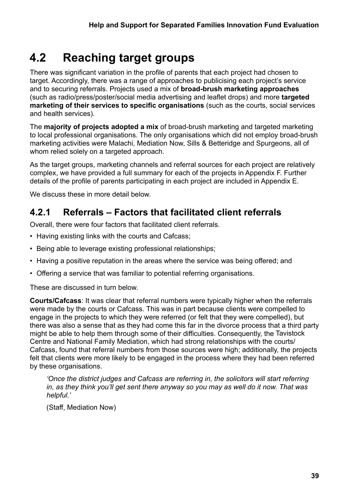# **4.2 Reaching target groups**

There was significant variation in the profile of parents that each project had chosen to target. Accordingly, there was a range of approaches to publicising each project's service and to securing referrals. Projects used a mix of **broad-brush marketing approaches** (such as radio/press/poster/social media advertising and leaflet drops) and more **targeted marketing of their services to specific organisations** (such as the courts, social services and health services).

The **majority of projects adopted a mix** of broad-brush marketing and targeted marketing to local professional organisations. The only organisations which did not employ broad-brush marketing activities were Malachi, Mediation Now, Sills & Betteridge and Spurgeons, all of whom relied solely on a targeted approach.

As the target groups, marketing channels and referral sources for each project are relatively complex, we have provided a full summary for each of the projects in Appendix F. Further details of the profile of parents participating in each project are included in Appendix E.

We discuss these in more detail below.

### **4.2.1 Referrals – Factors that facilitated client referrals**

Overall, there were four factors that facilitated client referrals.

- Having existing links with the courts and Cafcass;
- Being able to leverage existing professional relationships;
- Having a positive reputation in the areas where the service was being offered; and
- Offering a service that was familiar to potential referring organisations.

These are discussed in turn below.

**Courts/Cafcass**: It was clear that referral numbers were typically higher when the referrals were made by the courts or Cafcass. This was in part because clients were compelled to engage in the projects to which they were referred (or felt that they were compelled), but there was also a sense that as they had come this far in the divorce process that a third party might be able to help them through some of their difficulties. Consequently, the Tavistock Centre and National Family Mediation, which had strong relationships with the courts/ Cafcass, found that referral numbers from those sources were high; additionally, the projects felt that clients were more likely to be engaged in the process where they had been referred by these organisations.

*'Once the district judges and Cafcass are referring in, the solicitors will start referring in, as they think you'll get sent there anyway so you may as well do it now. That was helpful.'* 

(Staff, Mediation Now)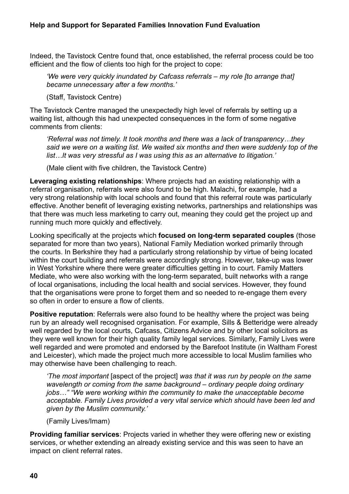Indeed, the Tavistock Centre found that, once established, the referral process could be too efficient and the flow of clients too high for the project to cope:

*'We were very quickly inundated by Cafcass referrals – my role [to arrange that] became unnecessary after a few months.'* 

(Staff, Tavistock Centre)

The Tavistock Centre managed the unexpectedly high level of referrals by setting up a waiting list, although this had unexpected consequences in the form of some negative comments from clients:

*'Referral was not timely. It took months and there was a lack of transparency…they said we were on a waiting list. We waited six months and then were suddenly top of the list…It was very stressful as I was using this as an alternative to litigation.'*

(Male client with five children, the Tavistock Centre)

**Leveraging existing relationships**: Where projects had an existing relationship with a referral organisation, referrals were also found to be high. Malachi, for example, had a very strong relationship with local schools and found that this referral route was particularly effective. Another benefit of leveraging existing networks, partnerships and relationships was that there was much less marketing to carry out, meaning they could get the project up and running much more quickly and effectively.

Looking specifically at the projects which **focused on long-term separated couples** (those separated for more than two years), National Family Mediation worked primarily through the courts. In Berkshire they had a particularly strong relationship by virtue of being located within the court building and referrals were accordingly strong. However, take-up was lower in West Yorkshire where there were greater difficulties getting in to court. Family Matters Mediate, who were also working with the long-term separated, built networks with a range of local organisations, including the local health and social services. However, they found that the organisations were prone to forget them and so needed to re-engage them every so often in order to ensure a flow of clients.

**Positive reputation**: Referrals were also found to be healthy where the project was being run by an already well recognised organisation. For example, Sills & Betteridge were already well regarded by the local courts, Cafcass, Citizens Advice and by other local solicitors as they were well known for their high quality family legal services. Similarly, Family Lives were well regarded and were promoted and endorsed by the Barefoot Institute (in Waltham Forest and Leicester), which made the project much more accessible to local Muslim families who may otherwise have been challenging to reach.

*'The most important* [aspect of the project] *was that it was run by people on the same wavelength or coming from the same background – ordinary people doing ordinary jobs…" "We were working within the community to make the unacceptable become acceptable. Family Lives provided a very vital service which should have been led and given by the Muslim community.'* 

(Family Lives/Imam)

**Providing familiar services**: Projects varied in whether they were offering new or existing services, or whether extending an already existing service and this was seen to have an impact on client referral rates.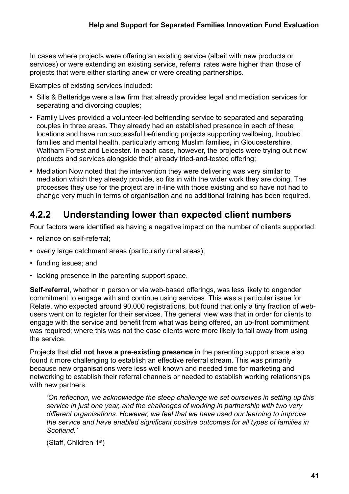In cases where projects were offering an existing service (albeit with new products or services) or were extending an existing service, referral rates were higher than those of projects that were either starting anew or were creating partnerships.

Examples of existing services included:

- Sills & Betteridge were a law firm that already provides legal and mediation services for separating and divorcing couples;
- Family Lives provided a volunteer-led befriending service to separated and separating couples in three areas. They already had an established presence in each of these locations and have run successful befriending projects supporting wellbeing, troubled families and mental health, particularly among Muslim families, in Gloucestershire, Waltham Forest and Leicester. In each case, however, the projects were trying out new products and services alongside their already tried-and-tested offering;
- Mediation Now noted that the intervention they were delivering was very similar to mediation which they already provide, so fits in with the wider work they are doing. The processes they use for the project are in-line with those existing and so have not had to change very much in terms of organisation and no additional training has been required.

### **4.2.2 Understanding lower than expected client numbers**

Four factors were identified as having a negative impact on the number of clients supported:

- reliance on self-referral;
- overly large catchment areas (particularly rural areas);
- funding issues; and
- lacking presence in the parenting support space.

**Self-referral**, whether in person or via web-based offerings, was less likely to engender commitment to engage with and continue using services. This was a particular issue for Relate, who expected around 90,000 registrations, but found that only a tiny fraction of webusers went on to register for their services. The general view was that in order for clients to engage with the service and benefit from what was being offered, an up-front commitment was required; where this was not the case clients were more likely to fall away from using the service.

Projects that **did not have a pre-existing presence** in the parenting support space also found it more challenging to establish an effective referral stream. This was primarily because new organisations were less well known and needed time for marketing and networking to establish their referral channels or needed to establish working relationships with new partners.

*'On reflection, we acknowledge the steep challenge we set ourselves in setting up this service in just one year, and the challenges of working in partnership with two very different organisations. However, we feel that we have used our learning to improve the service and have enabled significant positive outcomes for all types of families in Scotland.'*

(Staff, Children 1st)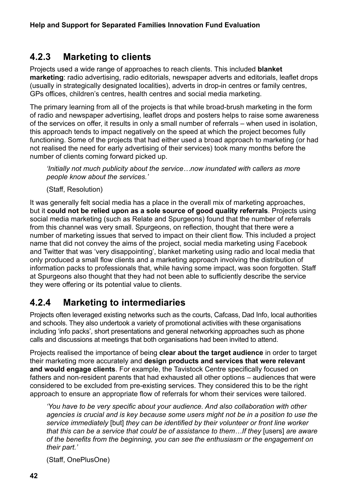### **4.2.3 Marketing to clients**

Projects used a wide range of approaches to reach clients. This included **blanket marketing**: radio advertising, radio editorials, newspaper adverts and editorials, leaflet drops (usually in strategically designated localities), adverts in drop-in centres or family centres, GPs offices, children's centres, health centres and social media marketing.

The primary learning from all of the projects is that while broad-brush marketing in the form of radio and newspaper advertising, leaflet drops and posters helps to raise some awareness of the services on offer, it results in only a small number of referrals – when used in isolation, this approach tends to impact negatively on the speed at which the project becomes fully functioning. Some of the projects that had either used a broad approach to marketing (or had not realised the need for early advertising of their services) took many months before the number of clients coming forward picked up.

*'Initially not much publicity about the service…now inundated with callers as more people know about the services.'*

(Staff, Resolution)

It was generally felt social media has a place in the overall mix of marketing approaches, but it **could not be relied upon as a sole source of good quality referrals**. Projects using social media marketing (such as Relate and Spurgeons) found that the number of referrals from this channel was very small. Spurgeons, on reflection, thought that there were a number of marketing issues that served to impact on their client flow. This included a project name that did not convey the aims of the project, social media marketing using Facebook and Twitter that was 'very disappointing', blanket marketing using radio and local media that only produced a small flow clients and a marketing approach involving the distribution of information packs to professionals that, while having some impact, was soon forgotten. Staff at Spurgeons also thought that they had not been able to sufficiently describe the service they were offering or its potential value to clients.

### **4.2.4 Marketing to intermediaries**

Projects often leveraged existing networks such as the courts, Cafcass, Dad Info, local authorities and schools. They also undertook a variety of promotional activities with these organisations including 'info packs', short presentations and general networking approaches such as phone calls and discussions at meetings that both organisations had been invited to attend.

Projects realised the importance of being **clear about the target audience** in order to target their marketing more accurately and **design products and services that were relevant and would engage clients**. For example, the Tavistock Centre specifically focused on fathers and non-resident parents that had exhausted all other options – audiences that were considered to be excluded from pre-existing services. They considered this to be the right approach to ensure an appropriate flow of referrals for whom their services were tailored.

*'You have to be very specific about your audience. And also collaboration with other agencies is crucial and is key because some users might not be in a position to use the service immediately* [but] *they can be identified by their volunteer or front line worker that this can be a service that could be of assistance to them…If they* [users] *are aware of the benefits from the beginning, you can see the enthusiasm or the engagement on their part.'* 

(Staff, OnePlusOne)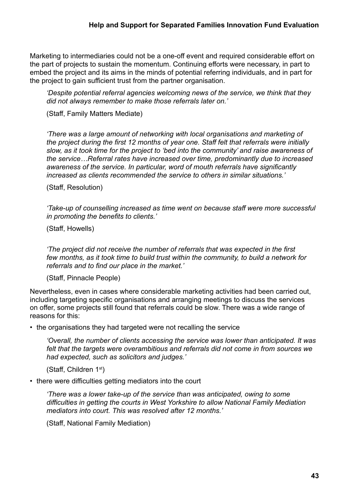Marketing to intermediaries could not be a one-off event and required considerable effort on the part of projects to sustain the momentum. Continuing efforts were necessary, in part to embed the project and its aims in the minds of potential referring individuals, and in part for the project to gain sufficient trust from the partner organisation.

*'Despite potential referral agencies welcoming news of the service, we think that they did not always remember to make those referrals later on.'* 

(Staff, Family Matters Mediate)

*'There was a large amount of networking with local organisations and marketing of the project during the first 12 months of year one. Staff felt that referrals were initially slow, as it took time for the project to 'bed into the community' and raise awareness of the service…Referral rates have increased over time, predominantly due to increased awareness of the service. In particular, word of mouth referrals have significantly increased as clients recommended the service to others in similar situations.'*

(Staff, Resolution)

*'Take-up of counselling increased as time went on because staff were more successful in promoting the benefits to clients.'*

(Staff, Howells)

*'The project did not receive the number of referrals that was expected in the first few months, as it took time to build trust within the community, to build a network for referrals and to find our place in the market.'*

(Staff, Pinnacle People)

Nevertheless, even in cases where considerable marketing activities had been carried out, including targeting specific organisations and arranging meetings to discuss the services on offer, some projects still found that referrals could be slow. There was a wide range of reasons for this:

• the organisations they had targeted were not recalling the service

*'Overall, the number of clients accessing the service was lower than anticipated. It was felt that the targets were overambitious and referrals did not come in from sources we had expected, such as solicitors and judges.'* 

(Staff, Children 1st)

• there were difficulties getting mediators into the court

*'There was a lower take-up of the service than was anticipated, owing to some difficulties in getting the courts in West Yorkshire to allow National Family Mediation mediators into court. This was resolved after 12 months.'* 

(Staff, National Family Mediation)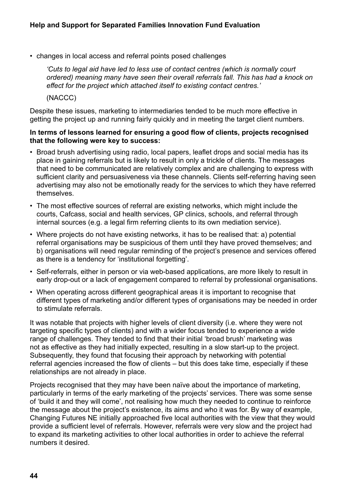• changes in local access and referral points posed challenges

*'Cuts to legal aid have led to less use of contact centres (which is normally court ordered) meaning many have seen their overall referrals fall. This has had a knock on effect for the project which attached itself to existing contact centres.'*

(NACCC)

Despite these issues, marketing to intermediaries tended to be much more effective in getting the project up and running fairly quickly and in meeting the target client numbers.

#### **In terms of lessons learned for ensuring a good flow of clients, projects recognised that the following were key to success:**

- Broad brush advertising using radio, local papers, leaflet drops and social media has its place in gaining referrals but is likely to result in only a trickle of clients. The messages that need to be communicated are relatively complex and are challenging to express with sufficient clarity and persuasiveness via these channels. Clients self-referring having seen advertising may also not be emotionally ready for the services to which they have referred themselves.
- The most effective sources of referral are existing networks, which might include the courts, Cafcass, social and health services, GP clinics, schools, and referral through internal sources (e.g. a legal firm referring clients to its own mediation service).
- Where projects do not have existing networks, it has to be realised that: a) potential referral organisations may be suspicious of them until they have proved themselves; and b) organisations will need regular reminding of the project's presence and services offered as there is a tendency for 'institutional forgetting'.
- Self-referrals, either in person or via web-based applications, are more likely to result in early drop-out or a lack of engagement compared to referral by professional organisations.
- When operating across different geographical areas it is important to recognise that different types of marketing and/or different types of organisations may be needed in order to stimulate referrals.

It was notable that projects with higher levels of client diversity (i.e. where they were not targeting specific types of clients) and with a wider focus tended to experience a wide range of challenges. They tended to find that their initial 'broad brush' marketing was not as effective as they had initially expected, resulting in a slow start-up to the project. Subsequently, they found that focusing their approach by networking with potential referral agencies increased the flow of clients – but this does take time, especially if these relationships are not already in place.

Projects recognised that they may have been naïve about the importance of marketing, particularly in terms of the early marketing of the projects' services. There was some sense of 'build it and they will come', not realising how much they needed to continue to reinforce the message about the project's existence, its aims and who it was for. By way of example, Changing Futures NE initially approached five local authorities with the view that they would provide a sufficient level of referrals. However, referrals were very slow and the project had to expand its marketing activities to other local authorities in order to achieve the referral numbers it desired.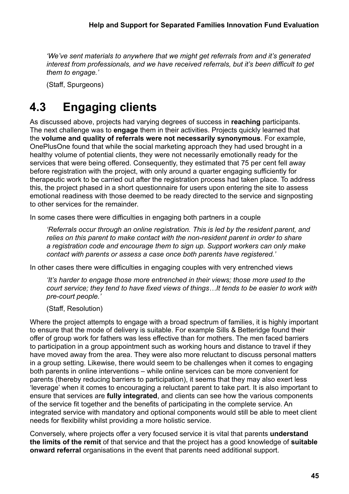*'We've sent materials to anywhere that we might get referrals from and it's generated interest from professionals, and we have received referrals, but it's been difficult to get them to engage.'*

(Staff, Spurgeons)

# **4.3 Engaging clients**

As discussed above, projects had varying degrees of success in **reaching** participants. The next challenge was to **engage** them in their activities. Projects quickly learned that the **volume and quality of referrals were not necessarily synonymous**. For example, OnePlusOne found that while the social marketing approach they had used brought in a healthy volume of potential clients, they were not necessarily emotionally ready for the services that were being offered. Consequently, they estimated that 75 per cent fell away before registration with the project, with only around a quarter engaging sufficiently for therapeutic work to be carried out after the registration process had taken place. To address this, the project phased in a short questionnaire for users upon entering the site to assess emotional readiness with those deemed to be ready directed to the service and signposting to other services for the remainder.

In some cases there were difficulties in engaging both partners in a couple

*'Referrals occur through an online registration. This is led by the resident parent, and relies on this parent to make contact with the non-resident parent in order to share a registration code and encourage them to sign up. Support workers can only make contact with parents or assess a case once both parents have registered.'*

In other cases there were difficulties in engaging couples with very entrenched views

*'It's harder to engage those more entrenched in their views; those more used to the court service; they tend to have fixed views of things…It tends to be easier to work with pre-court people.'*

(Staff, Resolution)

Where the project attempts to engage with a broad spectrum of families, it is highly important to ensure that the mode of delivery is suitable. For example Sills & Betteridge found their offer of group work for fathers was less effective than for mothers. The men faced barriers to participation in a group appointment such as working hours and distance to travel if they have moved away from the area. They were also more reluctant to discuss personal matters in a group setting. Likewise, there would seem to be challenges when it comes to engaging both parents in online interventions – while online services can be more convenient for parents (thereby reducing barriers to participation), it seems that they may also exert less 'leverage' when it comes to encouraging a reluctant parent to take part. It is also important to ensure that services are **fully integrated**, and clients can see how the various components of the service fit together and the benefits of participating in the complete service. An integrated service with mandatory and optional components would still be able to meet client needs for flexibility whilst providing a more holistic service.

Conversely, where projects offer a very focused service it is vital that parents **understand the limits of the remit** of that service and that the project has a good knowledge of **suitable onward referral** organisations in the event that parents need additional support.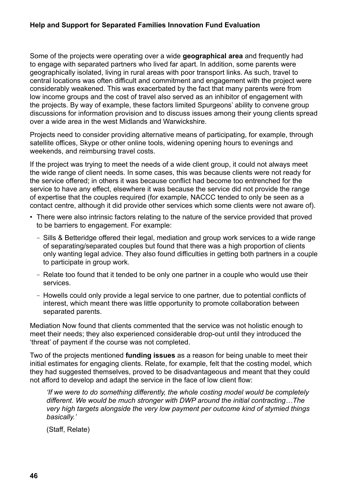#### **Help and Support for Separated Families Innovation Fund Evaluation**

Some of the projects were operating over a wide **geographical area** and frequently had to engage with separated partners who lived far apart. In addition, some parents were geographically isolated, living in rural areas with poor transport links. As such, travel to central locations was often difficult and commitment and engagement with the project were considerably weakened. This was exacerbated by the fact that many parents were from low income groups and the cost of travel also served as an inhibitor of engagement with the projects. By way of example, these factors limited Spurgeons' ability to convene group discussions for information provision and to discuss issues among their young clients spread over a wide area in the west Midlands and Warwickshire.

Projects need to consider providing alternative means of participating, for example, through satellite offices, Skype or other online tools, widening opening hours to evenings and weekends, and reimbursing travel costs.

If the project was trying to meet the needs of a wide client group, it could not always meet the wide range of client needs. In some cases, this was because clients were not ready for the service offered; in others it was because conflict had become too entrenched for the service to have any effect, elsewhere it was because the service did not provide the range of expertise that the couples required (for example, NACCC tended to only be seen as a contact centre, although it did provide other services which some clients were not aware of).

- There were also intrinsic factors relating to the nature of the service provided that proved to be barriers to engagement. For example:
	- Sills & Betteridge offered their legal, mediation and group work services to a wide range of separating/separated couples but found that there was a high proportion of clients only wanting legal advice. They also found difficulties in getting both partners in a couple to participate in group work.
	- Relate too found that it tended to be only one partner in a couple who would use their services.
	- Howells could only provide a legal service to one partner, due to potential conflicts of interest, which meant there was little opportunity to promote collaboration between separated parents.

Mediation Now found that clients commented that the service was not holistic enough to meet their needs; they also experienced considerable drop-out until they introduced the 'threat' of payment if the course was not completed.

Two of the projects mentioned **funding issues** as a reason for being unable to meet their initial estimates for engaging clients. Relate, for example, felt that the costing model, which they had suggested themselves, proved to be disadvantageous and meant that they could not afford to develop and adapt the service in the face of low client flow:

*'If we were to do something differently, the whole costing model would be completely different. We would be much stronger with DWP around the initial contracting…The very high targets alongside the very low payment per outcome kind of stymied things basically.'*

(Staff, Relate)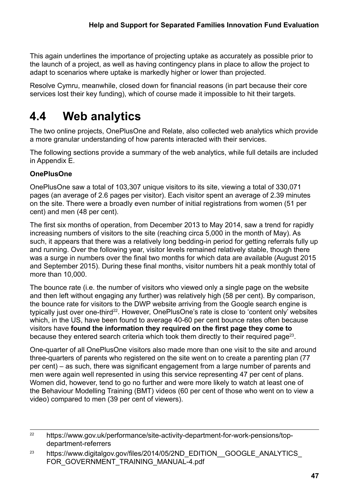This again underlines the importance of projecting uptake as accurately as possible prior to the launch of a project, as well as having contingency plans in place to allow the project to adapt to scenarios where uptake is markedly higher or lower than projected.

Resolve Cymru, meanwhile, closed down for financial reasons (in part because their core services lost their key funding), which of course made it impossible to hit their targets.

# **4.4 Web analytics**

The two online projects, OnePlusOne and Relate, also collected web analytics which provide a more granular understanding of how parents interacted with their services.

The following sections provide a summary of the web analytics, while full details are included in Appendix E.

### **OnePlusOne**

OnePlusOne saw a total of 103,307 unique visitors to its site, viewing a total of 330,071 pages (an average of 2.6 pages per visitor). Each visitor spent an average of 2.39 minutes on the site. There were a broadly even number of initial registrations from women (51 per cent) and men (48 per cent).

The first six months of operation, from December 2013 to May 2014, saw a trend for rapidly increasing numbers of visitors to the site (reaching circa 5,000 in the month of May). As such, it appears that there was a relatively long bedding-in period for getting referrals fully up and running. Over the following year, visitor levels remained relatively stable, though there was a surge in numbers over the final two months for which data are available (August 2015 and September 2015). During these final months, visitor numbers hit a peak monthly total of more than 10,000.

The bounce rate (i.e. the number of visitors who viewed only a single page on the website and then left without engaging any further) was relatively high (58 per cent). By comparison, the bounce rate for visitors to the DWP website arriving from the Google search engine is typically just over one-third<sup>22</sup>. However, OnePlusOne's rate is close to 'content only' websites which, in the US, have been found to average 40-60 per cent bounce rates often because visitors have **found the information they required on the first page they come to** because they entered search criteria which took them directly to their required page<sup>23</sup>.

One-quarter of all OnePlusOne visitors also made more than one visit to the site and around three-quarters of parents who registered on the site went on to create a parenting plan (77 per cent) – as such, there was significant engagement from a large number of parents and men were again well represented in using this service representing 47 per cent of plans. Women did, however, tend to go no further and were more likely to watch at least one of the Behaviour Modelling Training (BMT) videos (60 per cent of those who went on to view a video) compared to men (39 per cent of viewers).

<sup>&</sup>lt;sup>22</sup> [https://www.gov.uk/performance/site-activity-department-for-work-pensions/top](https://www.gov.uk/performance/site-activity-department-for-work-pensions/top-department-referrers)[department-referrers](https://www.gov.uk/performance/site-activity-department-for-work-pensions/top-department-referrers)

<sup>&</sup>lt;sup>23</sup> https://www.digitalgov.gov/files/2014/05/2ND\_EDITION\_GOOGLE\_ANALYTICS FOR GOVERNMENT TRAINING MANUAL-4.pdf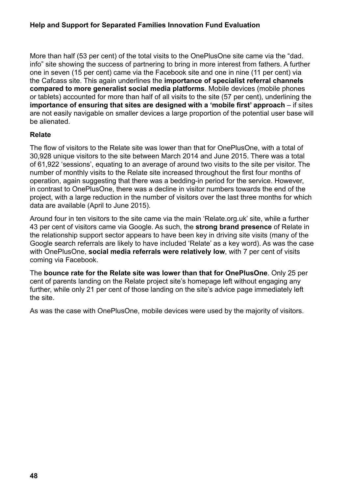#### **Help and Support for Separated Families Innovation Fund Evaluation**

More than half (53 per cent) of the total visits to the OnePlusOne site came via the "dad. info" site showing the success of partnering to bring in more interest from fathers. A further one in seven (15 per cent) came via the Facebook site and one in nine (11 per cent) via the Cafcass site. This again underlines the **importance of specialist referral channels compared to more generalist social media platforms**. Mobile devices (mobile phones or tablets) accounted for more than half of all visits to the site (57 per cent), underlining the **importance of ensuring that sites are designed with a 'mobile first' approach** – if sites are not easily navigable on smaller devices a large proportion of the potential user base will be alienated.

#### **Relate**

The flow of visitors to the Relate site was lower than that for OnePlusOne, with a total of 30,928 unique visitors to the site between March 2014 and June 2015. There was a total of 61,922 'sessions', equating to an average of around two visits to the site per visitor. The number of monthly visits to the Relate site increased throughout the first four months of operation, again suggesting that there was a bedding-in period for the service. However, in contrast to OnePlusOne, there was a decline in visitor numbers towards the end of the project, with a large reduction in the number of visitors over the last three months for which data are available (April to June 2015).

Around four in ten visitors to the site came via the main 'Relate.org.uk' site, while a further 43 per cent of visitors came via Google. As such, the **strong brand presence** of Relate in the relationship support sector appears to have been key in driving site visits (many of the Google search referrals are likely to have included 'Relate' as a key word). As was the case with OnePlusOne, **social media referrals were relatively low**, with 7 per cent of visits coming via Facebook.

The **bounce rate for the Relate site was lower than that for OnePlusOne**. Only 25 per cent of parents landing on the Relate project site's homepage left without engaging any further, while only 21 per cent of those landing on the site's advice page immediately left the site.

As was the case with OnePlusOne, mobile devices were used by the majority of visitors.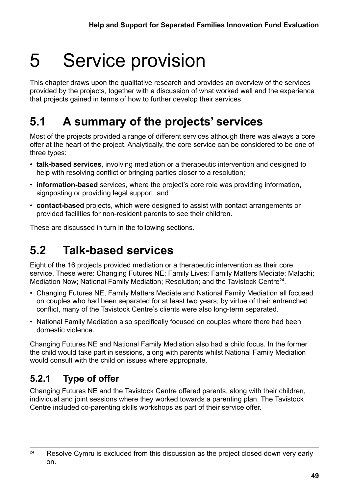# 5 Service provision

This chapter draws upon the qualitative research and provides an overview of the services provided by the projects, together with a discussion of what worked well and the experience that projects gained in terms of how to further develop their services.

# **5.1 A summary of the projects' services**

Most of the projects provided a range of different services although there was always a core offer at the heart of the project. Analytically, the core service can be considered to be one of three types:

- **talk-based services**, involving mediation or a therapeutic intervention and designed to help with resolving conflict or bringing parties closer to a resolution;
- **information-based** services, where the project's core role was providing information, signposting or providing legal support; and
- **contact-based** projects, which were designed to assist with contact arrangements or provided facilities for non-resident parents to see their children.

These are discussed in turn in the following sections.

# **5.2 Talk-based services**

Eight of the 16 projects provided mediation or a therapeutic intervention as their core service. These were: Changing Futures NE; Family Lives; Family Matters Mediate; Malachi; Mediation Now; National Family Mediation; Resolution; and the Tavistock Centre24.

- Changing Futures NE, Family Matters Mediate and National Family Mediation all focused on couples who had been separated for at least two years; by virtue of their entrenched conflict, many of the Tavistock Centre's clients were also long-term separated.
- National Family Mediation also specifically focused on couples where there had been domestic violence.

Changing Futures NE and National Family Mediation also had a child focus. In the former the child would take part in sessions, along with parents whilst National Family Mediation would consult with the child on issues where appropriate.

## **5.2.1 Type of offer**

Changing Futures NE and the Tavistock Centre offered parents, along with their children, individual and joint sessions where they worked towards a parenting plan. The Tavistock Centre included co-parenting skills workshops as part of their service offer.

 $24$  Resolve Cymru is excluded from this discussion as the project closed down very early on.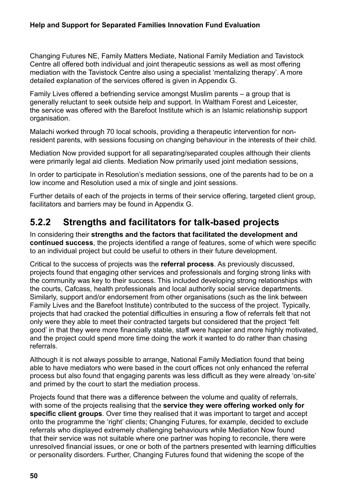### **Help and Support for Separated Families Innovation Fund Evaluation**

Changing Futures NE, Family Matters Mediate, National Family Mediation and Tavistock Centre all offered both individual and joint therapeutic sessions as well as most offering mediation with the Tavistock Centre also using a specialist 'mentalizing therapy'. A more detailed explanation of the services offered is given in Appendix G.

Family Lives offered a befriending service amongst Muslim parents – a group that is generally reluctant to seek outside help and support. In Waltham Forest and Leicester, the service was offered with the Barefoot Institute which is an Islamic relationship support organisation.

Malachi worked through 70 local schools, providing a therapeutic intervention for nonresident parents, with sessions focusing on changing behaviour in the interests of their child.

Mediation Now provided support for all separating/separated couples although their clients were primarily legal aid clients. Mediation Now primarily used joint mediation sessions,

In order to participate in Resolution's mediation sessions, one of the parents had to be on a low income and Resolution used a mix of single and joint sessions.

Further details of each of the projects in terms of their service offering, targeted client group, facilitators and barriers may be found in Appendix G.

### **5.2.2 Strengths and facilitators for talk-based projects**

In considering their **strengths and the factors that facilitated the development and continued success**, the projects identified a range of features, some of which were specific to an individual project but could be useful to others in their future development.

Critical to the success of projects was the **referral process**. As previously discussed, projects found that engaging other services and professionals and forging strong links with the community was key to their success. This included developing strong relationships with the courts, Cafcass, health professionals and local authority social service departments. Similarly, support and/or endorsement from other organisations (such as the link between Family Lives and the Barefoot Institute) contributed to the success of the project. Typically, projects that had cracked the potential difficulties in ensuring a flow of referrals felt that not only were they able to meet their contracted targets but considered that the project 'felt good' in that they were more financially stable, staff were happier and more highly motivated, and the project could spend more time doing the work it wanted to do rather than chasing referrals.

Although it is not always possible to arrange, National Family Mediation found that being able to have mediators who were based in the court offices not only enhanced the referral process but also found that engaging parents was less difficult as they were already 'on-site' and primed by the court to start the mediation process.

Projects found that there was a difference between the volume and quality of referrals, with some of the projects realising that the **service they were offering worked only for specific client groups**. Over time they realised that it was important to target and accept onto the programme the 'right' clients; Changing Futures, for example, decided to exclude referrals who displayed extremely challenging behaviours while Mediation Now found that their service was not suitable where one partner was hoping to reconcile, there were unresolved financial issues, or one or both of the partners presented with learning difficulties or personality disorders. Further, Changing Futures found that widening the scope of the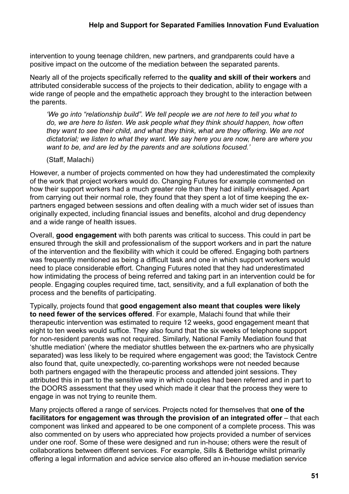intervention to young teenage children, new partners, and grandparents could have a positive impact on the outcome of the mediation between the separated parents.

Nearly all of the projects specifically referred to the **quality and skill of their workers** and attributed considerable success of the projects to their dedication, ability to engage with a wide range of people and the empathetic approach they brought to the interaction between the parents.

*'We go into "relationship build". We tell people we are not here to tell you what to do, we are here to listen. We ask people what they think should happen, how often they want to see their child, and what they think, what are they offering. We are not dictatorial; we listen to what they want. We say here you are now, here are where you want to be, and are led by the parents and are solutions focused.'*

(Staff, Malachi)

However, a number of projects commented on how they had underestimated the complexity of the work that project workers would do. Changing Futures for example commented on how their support workers had a much greater role than they had initially envisaged. Apart from carrying out their normal role, they found that they spent a lot of time keeping the expartners engaged between sessions and often dealing with a much wider set of issues than originally expected, including financial issues and benefits, alcohol and drug dependency and a wide range of health issues.

Overall, **good engagement** with both parents was critical to success. This could in part be ensured through the skill and professionalism of the support workers and in part the nature of the intervention and the flexibility with which it could be offered. Engaging both partners was frequently mentioned as being a difficult task and one in which support workers would need to place considerable effort. Changing Futures noted that they had underestimated how intimidating the process of being referred and taking part in an intervention could be for people. Engaging couples required time, tact, sensitivity, and a full explanation of both the process and the benefits of participating.

Typically, projects found that **good engagement also meant that couples were likely to need fewer of the services offered**. For example, Malachi found that while their therapeutic intervention was estimated to require 12 weeks, good engagement meant that eight to ten weeks would suffice. They also found that the six weeks of telephone support for non-resident parents was not required. Similarly, National Family Mediation found that 'shuttle mediation' (where the mediator shuttles between the ex-partners who are physically separated) was less likely to be required where engagement was good; the Tavistock Centre also found that, quite unexpectedly, co-parenting workshops were not needed because both partners engaged with the therapeutic process and attended joint sessions. They attributed this in part to the sensitive way in which couples had been referred and in part to the DOORS assessment that they used which made it clear that the process they were to engage in was not trying to reunite them.

Many projects offered a range of services. Projects noted for themselves that **one of the facilitators for engagement was through the provision of an integrated offer** – that each component was linked and appeared to be one component of a complete process. This was also commented on by users who appreciated how projects provided a number of services under one roof. Some of these were designed and run in-house; others were the result of collaborations between different services. For example, Sills & Betteridge whilst primarily offering a legal information and advice service also offered an in-house mediation service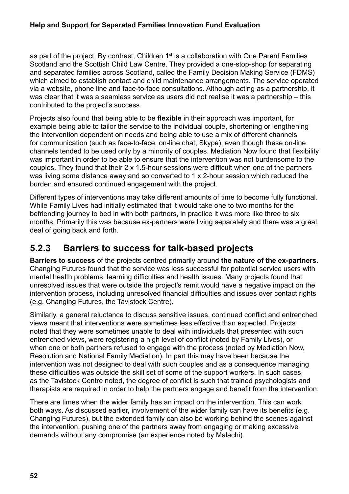### **Help and Support for Separated Families Innovation Fund Evaluation**

as part of the project. By contrast, Children 1<sup>st</sup> is a collaboration with One Parent Families Scotland and the Scottish Child Law Centre. They provided a one-stop-shop for separating and separated families across Scotland, called the Family Decision Making Service (FDMS) which aimed to establish contact and child maintenance arrangements. The service operated via a website, phone line and face-to-face consultations. Although acting as a partnership, it was clear that it was a seamless service as users did not realise it was a partnership – this contributed to the project's success.

Projects also found that being able to be **flexible** in their approach was important, for example being able to tailor the service to the individual couple, shortening or lengthening the intervention dependent on needs and being able to use a mix of different channels for communication (such as face-to-face, on-line chat, Skype), even though these on-line channels tended to be used only by a minority of couples. Mediation Now found that flexibility was important in order to be able to ensure that the intervention was not burdensome to the couples. They found that their 2 x 1.5-hour sessions were difficult when one of the partners was living some distance away and so converted to 1 x 2-hour session which reduced the burden and ensured continued engagement with the project.

Different types of interventions may take different amounts of time to become fully functional. While Family Lives had initially estimated that it would take one to two months for the befriending journey to bed in with both partners, in practice it was more like three to six months. Primarily this was because ex-partners were living separately and there was a great deal of going back and forth.

### **5.2.3 Barriers to success for talk-based projects**

**Barriers to success** of the projects centred primarily around **the nature of the ex-partners**. Changing Futures found that the service was less successful for potential service users with mental health problems, learning difficulties and health issues. Many projects found that unresolved issues that were outside the project's remit would have a negative impact on the intervention process, including unresolved financial difficulties and issues over contact rights (e.g. Changing Futures, the Tavistock Centre).

Similarly, a general reluctance to discuss sensitive issues, continued conflict and entrenched views meant that interventions were sometimes less effective than expected. Projects noted that they were sometimes unable to deal with individuals that presented with such entrenched views, were registering a high level of conflict (noted by Family Lives), or when one or both partners refused to engage with the process (noted by Mediation Now, Resolution and National Family Mediation). In part this may have been because the intervention was not designed to deal with such couples and as a consequence managing these difficulties was outside the skill set of some of the support workers. In such cases, as the Tavistock Centre noted, the degree of conflict is such that trained psychologists and therapists are required in order to help the partners engage and benefit from the intervention.

There are times when the wider family has an impact on the intervention. This can work both ways. As discussed earlier, involvement of the wider family can have its benefits (e.g. Changing Futures), but the extended family can also be working behind the scenes against the intervention, pushing one of the partners away from engaging or making excessive demands without any compromise (an experience noted by Malachi).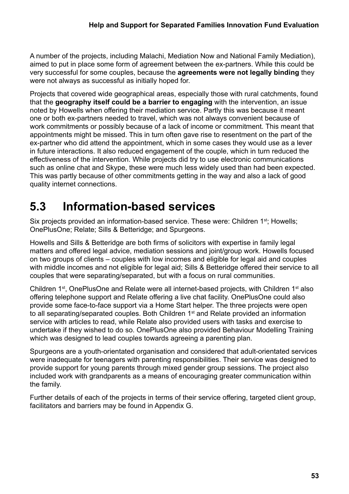A number of the projects, including Malachi, Mediation Now and National Family Mediation), aimed to put in place some form of agreement between the ex-partners. While this could be very successful for some couples, because the **agreements were not legally binding** they were not always as successful as initially hoped for.

Projects that covered wide geographical areas, especially those with rural catchments, found that the **geography itself could be a barrier to engaging** with the intervention, an issue noted by Howells when offering their mediation service. Partly this was because it meant one or both ex-partners needed to travel, which was not always convenient because of work commitments or possibly because of a lack of income or commitment. This meant that appointments might be missed. This in turn often gave rise to resentment on the part of the ex-partner who did attend the appointment, which in some cases they would use as a lever in future interactions. It also reduced engagement of the couple, which in turn reduced the effectiveness of the intervention. While projects did try to use electronic communications such as online chat and Skype, these were much less widely used than had been expected. This was partly because of other commitments getting in the way and also a lack of good quality internet connections.

# **5.3 Information-based services**

Six projects provided an information-based service. These were: Children 1<sup>st</sup>; Howells; OnePlusOne; Relate; Sills & Betteridge; and Spurgeons.

Howells and Sills & Betteridge are both firms of solicitors with expertise in family legal matters and offered legal advice, mediation sessions and joint/group work. Howells focused on two groups of clients – couples with low incomes and eligible for legal aid and couples with middle incomes and not eligible for legal aid; Sills & Betteridge offered their service to all couples that were separating/separated, but with a focus on rural communities.

Children 1<sup>st</sup>, OnePlusOne and Relate were all internet-based projects, with Children 1<sup>st</sup> also offering telephone support and Relate offering a live chat facility. OnePlusOne could also provide some face-to-face support via a Home Start helper. The three projects were open to all separating/separated couples. Both Children 1<sup>st</sup> and Relate provided an information service with articles to read, while Relate also provided users with tasks and exercise to undertake if they wished to do so. OnePlusOne also provided Behaviour Modelling Training which was designed to lead couples towards agreeing a parenting plan.

Spurgeons are a youth-orientated organisation and considered that adult-orientated services were inadequate for teenagers with parenting responsibilities. Their service was designed to provide support for young parents through mixed gender group sessions. The project also included work with grandparents as a means of encouraging greater communication within the family.

Further details of each of the projects in terms of their service offering, targeted client group, facilitators and barriers may be found in Appendix G.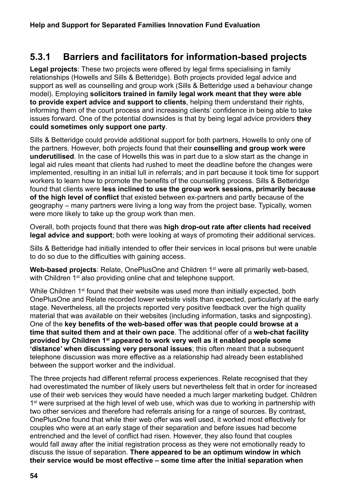### **5.3.1 Barriers and facilitators for information-based projects**

**Legal projects**: These two projects were offered by legal firms specialising in family relationships (Howells and Sills & Betteridge). Both projects provided legal advice and support as well as counselling and group work (Sills & Betteridge used a behaviour change model). Employing **solicitors trained in family legal work meant that they were able to provide expert advice and support to clients**, helping them understand their rights, informing them of the court process and increasing clients' confidence in being able to take issues forward. One of the potential downsides is that by being legal advice providers **they could sometimes only support one party**.

Sills & Betteridge could provide additional support for both partners, Howells to only one of the partners. However, both projects found that their **counselling and group work were underutilised**. In the case of Howells this was in part due to a slow start as the change in legal aid rules meant that clients had rushed to meet the deadline before the changes were implemented, resulting in an initial lull in referrals; and in part because it took time for support workers to learn how to promote the benefits of the counselling process. Sills & Betteridge found that clients were **less inclined to use the group work sessions, primarily because of the high level of conflict** that existed between ex-partners and partly because of the geography – many partners were living a long way from the project base. Typically, women were more likely to take up the group work than men.

Overall, both projects found that there was **high drop-out rate after clients had received legal advice and support**; both were looking at ways of promoting their additional services.

Sills & Betteridge had initially intended to offer their services in local prisons but were unable to do so due to the difficulties with gaining access.

Web-based projects: Relate, OnePlusOne and Children 1<sup>st</sup> were all primarily web-based, with Children 1<sup>st</sup> also providing online chat and telephone support.

While Children 1<sup>st</sup> found that their website was used more than initially expected, both OnePlusOne and Relate recorded lower website visits than expected, particularly at the early stage. Nevertheless, all the projects reported very positive feedback over the high quality material that was available on their websites (including information, tasks and signposting). One of the **key benefits of the web-based offer was that people could browse at a time that suited them and at their own pace**. The additional offer of a **web-chat facility provided by Children 1st appeared to work very well as it enabled people some 'distance' when discussing very personal issues**; this often meant that a subsequent telephone discussion was more effective as a relationship had already been established between the support worker and the individual.

The three projects had different referral process experiences. Relate recognised that they had overestimated the number of likely users but nevertheless felt that in order for increased use of their web services they would have needed a much larger marketing budget. Children 1<sup>st</sup> were surprised at the high level of web use, which was due to working in partnership with two other services and therefore had referrals arising for a range of sources. By contrast, OnePlusOne found that while their web offer was well used, it worked most effectively for couples who were at an early stage of their separation and before issues had become entrenched and the level of conflict had risen. However, they also found that couples would fall away after the initial registration process as they were not emotionally ready to discuss the issue of separation. **There appeared to be an optimum window in which their service would be most effective – some time after the initial separation when**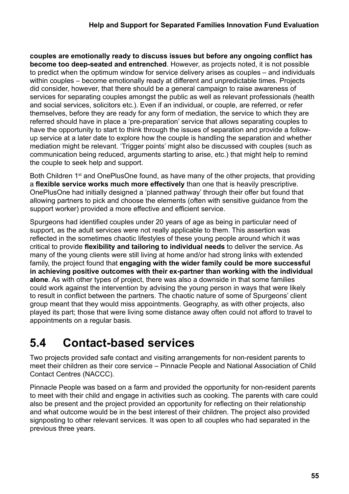**couples are emotionally ready to discuss issues but before any ongoing conflict has become too deep-seated and entrenched**. However, as projects noted, it is not possible to predict when the optimum window for service delivery arises as couples – and individuals within couples – become emotionally ready at different and unpredictable times. Projects did consider, however, that there should be a general campaign to raise awareness of services for separating couples amongst the public as well as relevant professionals (health and social services, solicitors etc.). Even if an individual, or couple, are referred, or refer themselves, before they are ready for any form of mediation, the service to which they are referred should have in place a 'pre-preparation' service that allows separating couples to have the opportunity to start to think through the issues of separation and provide a followup service at a later date to explore how the couple is handling the separation and whether mediation might be relevant. 'Trigger points' might also be discussed with couples (such as communication being reduced, arguments starting to arise, etc.) that might help to remind the couple to seek help and support.

Both Children 1<sup>st</sup> and OnePlusOne found, as have many of the other projects, that providing a **flexible service works much more effectively** than one that is heavily prescriptive. OnePlusOne had initially designed a 'planned pathway' through their offer but found that allowing partners to pick and choose the elements (often with sensitive guidance from the support worker) provided a more effective and efficient service.

Spurgeons had identified couples under 20 years of age as being in particular need of support, as the adult services were not really applicable to them. This assertion was reflected in the sometimes chaotic lifestyles of these young people around which it was critical to provide **flexibility and tailoring to individual needs** to deliver the service. As many of the young clients were still living at home and/or had strong links with extended family, the project found that **engaging with the wider family could be more successful in achieving positive outcomes with their ex-partner than working with the individual alone**. As with other types of project, there was also a downside in that some families could work against the intervention by advising the young person in ways that were likely to result in conflict between the partners. The chaotic nature of some of Spurgeons' client group meant that they would miss appointments. Geography, as with other projects, also played its part; those that were living some distance away often could not afford to travel to appointments on a regular basis.

# **5.4 Contact-based services**

Two projects provided safe contact and visiting arrangements for non-resident parents to meet their children as their core service – Pinnacle People and National Association of Child Contact Centres (NACCC).

Pinnacle People was based on a farm and provided the opportunity for non-resident parents to meet with their child and engage in activities such as cooking. The parents with care could also be present and the project provided an opportunity for reflecting on their relationship and what outcome would be in the best interest of their children. The project also provided signposting to other relevant services. It was open to all couples who had separated in the previous three years.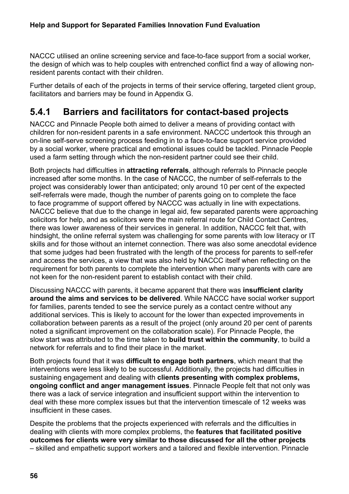NACCC utilised an online screening service and face-to-face support from a social worker, the design of which was to help couples with entrenched conflict find a way of allowing nonresident parents contact with their children.

Further details of each of the projects in terms of their service offering, targeted client group, facilitators and barriers may be found in Appendix G.

### **5.4.1 Barriers and facilitators for contact-based projects**

NACCC and Pinnacle People both aimed to deliver a means of providing contact with children for non-resident parents in a safe environment. NACCC undertook this through an on-line self-serve screening process feeding in to a face-to-face support service provided by a social worker, where practical and emotional issues could be tackled. Pinnacle People used a farm setting through which the non-resident partner could see their child.

Both projects had difficulties in **attracting referrals**, although referrals to Pinnacle people increased after some months. In the case of NACCC, the number of self-referrals to the project was considerably lower than anticipated; only around 10 per cent of the expected self-referrals were made, though the number of parents going on to complete the face to face programme of support offered by NACCC was actually in line with expectations. NACCC believe that due to the change in legal aid, few separated parents were approaching solicitors for help, and as solicitors were the main referral route for Child Contact Centres, there was lower awareness of their services in general. In addition, NACCC felt that, with hindsight, the online referral system was challenging for some parents with low literacy or IT skills and for those without an internet connection. There was also some anecdotal evidence that some judges had been frustrated with the length of the process for parents to self-refer and access the services, a view that was also held by NACCC itself when reflecting on the requirement for both parents to complete the intervention when many parents with care are not keen for the non-resident parent to establish contact with their child.

Discussing NACCC with parents, it became apparent that there was **insufficient clarity around the aims and services to be delivered**. While NACCC have social worker support for families, parents tended to see the service purely as a contact centre without any additional services. This is likely to account for the lower than expected improvements in collaboration between parents as a result of the project (only around 20 per cent of parents noted a significant improvement on the collaboration scale). For Pinnacle People, the slow start was attributed to the time taken to **build trust within the community**, to build a network for referrals and to find their place in the market.

Both projects found that it was **difficult to engage both partners**, which meant that the interventions were less likely to be successful. Additionally, the projects had difficulties in sustaining engagement and dealing with **clients presenting with complex problems, ongoing conflict and anger management issues**. Pinnacle People felt that not only was there was a lack of service integration and insufficient support within the intervention to deal with these more complex issues but that the intervention timescale of 12 weeks was insufficient in these cases.

Despite the problems that the projects experienced with referrals and the difficulties in dealing with clients with more complex problems, the **features that facilitated positive outcomes for clients were very similar to those discussed for all the other projects** – skilled and empathetic support workers and a tailored and flexible intervention. Pinnacle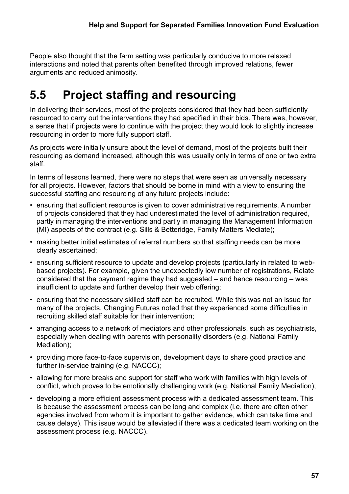People also thought that the farm setting was particularly conducive to more relaxed interactions and noted that parents often benefited through improved relations, fewer arguments and reduced animosity.

# **5.5 Project staffing and resourcing**

In delivering their services, most of the projects considered that they had been sufficiently resourced to carry out the interventions they had specified in their bids. There was, however, a sense that if projects were to continue with the project they would look to slightly increase resourcing in order to more fully support staff.

As projects were initially unsure about the level of demand, most of the projects built their resourcing as demand increased, although this was usually only in terms of one or two extra staff.

In terms of lessons learned, there were no steps that were seen as universally necessary for all projects. However, factors that should be borne in mind with a view to ensuring the successful staffing and resourcing of any future projects include:

- ensuring that sufficient resource is given to cover administrative requirements. A number of projects considered that they had underestimated the level of administration required, partly in managing the interventions and partly in managing the Management Information (MI) aspects of the contract (e.g. Sills & Betteridge, Family Matters Mediate);
- making better initial estimates of referral numbers so that staffing needs can be more clearly ascertained;
- ensuring sufficient resource to update and develop projects (particularly in related to webbased projects). For example, given the unexpectedly low number of registrations, Relate considered that the payment regime they had suggested – and hence resourcing – was insufficient to update and further develop their web offering;
- ensuring that the necessary skilled staff can be recruited. While this was not an issue for many of the projects, Changing Futures noted that they experienced some difficulties in recruiting skilled staff suitable for their intervention;
- arranging access to a network of mediators and other professionals, such as psychiatrists, especially when dealing with parents with personality disorders (e.g. National Family Mediation);
- providing more face-to-face supervision, development days to share good practice and further in-service training (e.g. NACCC);
- allowing for more breaks and support for staff who work with families with high levels of conflict, which proves to be emotionally challenging work (e.g. National Family Mediation);
- developing a more efficient assessment process with a dedicated assessment team. This is because the assessment process can be long and complex (i.e. there are often other agencies involved from whom it is important to gather evidence, which can take time and cause delays). This issue would be alleviated if there was a dedicated team working on the assessment process (e.g. NACCC).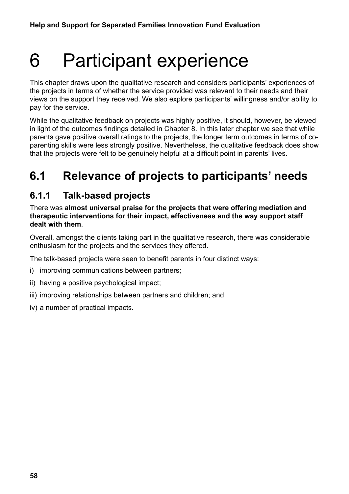# 6 Participant experience

This chapter draws upon the qualitative research and considers participants' experiences of the projects in terms of whether the service provided was relevant to their needs and their views on the support they received. We also explore participants' willingness and/or ability to pay for the service.

While the qualitative feedback on projects was highly positive, it should, however, be viewed in light of the outcomes findings detailed in Chapter 8. In this later chapter we see that while parents gave positive overall ratings to the projects, the longer term outcomes in terms of coparenting skills were less strongly positive. Nevertheless, the qualitative feedback does show that the projects were felt to be genuinely helpful at a difficult point in parents' lives.

# **6.1 Relevance of projects to participants' needs**

### **6.1.1 Talk-based projects**

There was **almost universal praise for the projects that were offering mediation and therapeutic interventions for their impact, effectiveness and the way support staff dealt with them**.

Overall, amongst the clients taking part in the qualitative research, there was considerable enthusiasm for the projects and the services they offered.

The talk-based projects were seen to benefit parents in four distinct ways:

- i) improving communications between partners;
- ii) having a positive psychological impact;
- iii) improving relationships between partners and children; and
- iv) a number of practical impacts.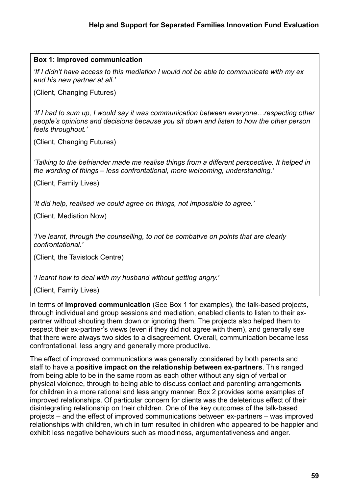### **Box 1: Improved communication**

*'If I didn't have access to this mediation I would not be able to communicate with my ex and his new partner at all.'* 

(Client, Changing Futures)

*'If I had to sum up, I would say it was communication between everyone…respecting other people's opinions and decisions because you sit down and listen to how the other person feels throughout.'*

(Client, Changing Futures)

*'Talking to the befriender made me realise things from a different perspective. It helped in the wording of things – less confrontational, more welcoming, understanding.'*

(Client, Family Lives)

*'It did help, realised we could agree on things, not impossible to agree.'*

(Client, Mediation Now)

*'I've learnt, through the counselling, to not be combative on points that are clearly confrontational.'*

(Client, the Tavistock Centre)

*'I learnt how to deal with my husband without getting angry.'*

(Client, Family Lives)

In terms of **improved communication** (See Box 1 for examples), the talk-based projects, through individual and group sessions and mediation, enabled clients to listen to their expartner without shouting them down or ignoring them. The projects also helped them to respect their ex-partner's views (even if they did not agree with them), and generally see that there were always two sides to a disagreement. Overall, communication became less confrontational, less angry and generally more productive.

The effect of improved communications was generally considered by both parents and staff to have a **positive impact on the relationship between ex-partners**. This ranged from being able to be in the same room as each other without any sign of verbal or physical violence, through to being able to discuss contact and parenting arrangements for children in a more rational and less angry manner. Box 2 provides some examples of improved relationships. Of particular concern for clients was the deleterious effect of their disintegrating relationship on their children. One of the key outcomes of the talk-based projects – and the effect of improved communications between ex-partners – was improved relationships with children, which in turn resulted in children who appeared to be happier and exhibit less negative behaviours such as moodiness, argumentativeness and anger.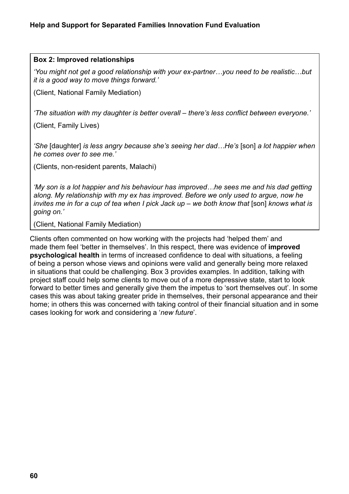#### **Box 2: Improved relationships**

*'You might not get a good relationship with your ex-partner…you need to be realistic…but it is a good way to move things forward.'* 

(Client, National Family Mediation)

*'The situation with my daughter is better overall – there's less conflict between everyone.'*

(Client, Family Lives)

*'She* [daughter] *is less angry because she's seeing her dad…He's* [son] *a lot happier when he comes over to see me.'*

(Clients, non-resident parents, Malachi)

*'My son is a lot happier and his behaviour has improved…he sees me and his dad getting along. My relationship with my ex has improved. Before we only used to argue, now he invites me in for a cup of tea when I pick Jack up – we both know that* [son] *knows what is going on.'*

(Client, National Family Mediation)

Clients often commented on how working with the projects had 'helped them' and made them feel 'better in themselves'. In this respect, there was evidence of **improved psychological health** in terms of increased confidence to deal with situations, a feeling of being a person whose views and opinions were valid and generally being more relaxed in situations that could be challenging. Box 3 provides examples. In addition, talking with project staff could help some clients to move out of a more depressive state, start to look forward to better times and generally give them the impetus to 'sort themselves out'. In some cases this was about taking greater pride in themselves, their personal appearance and their home; in others this was concerned with taking control of their financial situation and in some cases looking for work and considering a '*new future*'.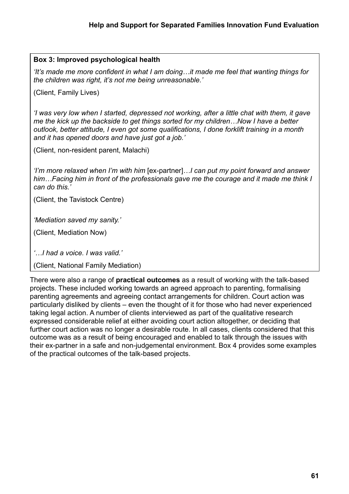### **Box 3: Improved psychological health**

*'It's made me more confident in what I am doing…it made me feel that wanting things for the children was right, it's not me being unreasonable.'*

(Client, Family Lives)

*'I was very low when I started, depressed not working, after a little chat with them, it gave me the kick up the backside to get things sorted for my children…Now I have a better outlook, better attitude, I even got some qualifications, I done forklift training in a month and it has opened doors and have just got a job.'*

(Client, non-resident parent, Malachi)

*'I'm more relaxed when I'm with him* [ex-partner]*…I can put my point forward and answer him…Facing him in front of the professionals gave me the courage and it made me think I can do this.'*

(Client, the Tavistock Centre)

*'Mediation saved my sanity.'*

(Client, Mediation Now)

*'…I had a voice. I was valid.'*

(Client, National Family Mediation)

There were also a range of **practical outcomes** as a result of working with the talk-based projects. These included working towards an agreed approach to parenting, formalising parenting agreements and agreeing contact arrangements for children. Court action was particularly disliked by clients – even the thought of it for those who had never experienced taking legal action. A number of clients interviewed as part of the qualitative research expressed considerable relief at either avoiding court action altogether, or deciding that further court action was no longer a desirable route. In all cases, clients considered that this outcome was as a result of being encouraged and enabled to talk through the issues with their ex-partner in a safe and non-judgemental environment. Box 4 provides some examples of the practical outcomes of the talk-based projects.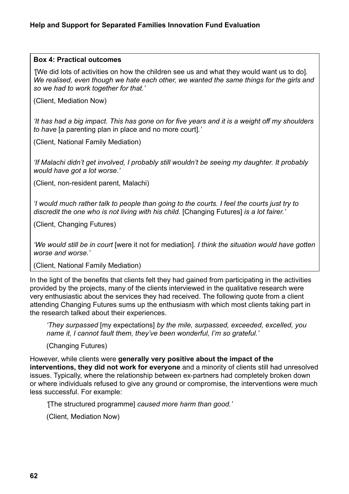#### **Box 4: Practical outcomes**

*'*[We did lots of activities on how the children see us and what they would want us to do]*. We realised, even though we hate each other, we wanted the same things for the girls and so we had to work together for that.'* 

(Client, Mediation Now)

*'It has had a big impact. This has gone on for five years and it is a weight off my shoulders to have* [a parenting plan in place and no more court]*.'* 

(Client, National Family Mediation)

*'If Malachi didn't get involved, I probably still wouldn't be seeing my daughter. It probably would have got a lot worse.'* 

(Client, non-resident parent, Malachi)

*'I would much rather talk to people than going to the courts. I feel the courts just try to discredit the one who is not living with his child.* [Changing Futures] *is a lot fairer.'* 

(Client, Changing Futures)

*'We would still be in court* [were it not for mediation]*. I think the situation would have gotten worse and worse.'* 

(Client, National Family Mediation)

In the light of the benefits that clients felt they had gained from participating in the activities provided by the projects, many of the clients interviewed in the qualitative research were very enthusiastic about the services they had received. The following quote from a client attending Changing Futures sums up the enthusiasm with which most clients taking part in the research talked about their experiences.

*'They surpassed* [my expectations] *by the mile, surpassed, exceeded, excelled, you name it, I cannot fault them, they've been wonderful, I'm so grateful.'*

(Changing Futures)

However, while clients were **generally very positive about the impact of the interventions, they did not work for everyone** and a minority of clients still had unresolved issues. Typically, where the relationship between ex-partners had completely broken down or where individuals refused to give any ground or compromise, the interventions were much less successful. For example:

*'*[The structured programme] *caused more harm than good.'* 

(Client, Mediation Now)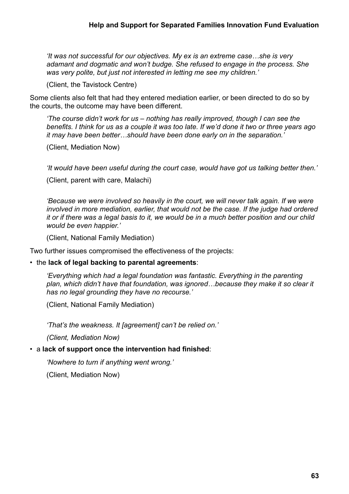*'It was not successful for our objectives. My ex is an extreme case…she is very adamant and dogmatic and won't budge. She refused to engage in the process. She was very polite, but just not interested in letting me see my children.'*

(Client, the Tavistock Centre)

Some clients also felt that had they entered mediation earlier, or been directed to do so by the courts, the outcome may have been different.

*'The course didn't work for us – nothing has really improved, though I can see the benefits. I think for us as a couple it was too late. If we'd done it two or three years ago it may have been better…should have been done early on in the separation.'*

(Client, Mediation Now)

*'It would have been useful during the court case, would have got us talking better then.'*

(Client, parent with care, Malachi)

*'Because we were involved so heavily in the court, we will never talk again. If we were involved in more mediation, earlier, that would not be the case. If the judge had ordered it or if there was a legal basis to it, we would be in a much better position and our child would be even happier.'*

(Client, National Family Mediation)

Two further issues compromised the effectiveness of the projects:

#### • the **lack of legal backing to parental agreements**:

*'Everything which had a legal foundation was fantastic. Everything in the parenting*  plan, which didn't have that foundation, was ignored...because they make it so clear it *has no legal grounding they have no recourse.'*

(Client, National Family Mediation)

*'That's the weakness. It [agreement] can't be relied on.'*

*(Client, Mediation Now)*

#### • a **lack of support once the intervention had finished**:

*'Nowhere to turn if anything went wrong.'*

(Client, Mediation Now)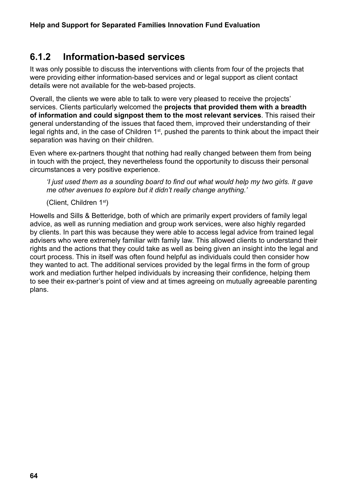### **6.1.2 Information-based services**

It was only possible to discuss the interventions with clients from four of the projects that were providing either information-based services and or legal support as client contact details were not available for the web-based projects.

Overall, the clients we were able to talk to were very pleased to receive the projects' services. Clients particularly welcomed the **projects that provided them with a breadth of information and could signpost them to the most relevant services**. This raised their general understanding of the issues that faced them, improved their understanding of their legal rights and, in the case of Children 1<sup>st</sup>, pushed the parents to think about the impact their separation was having on their children.

Even where ex-partners thought that nothing had really changed between them from being in touch with the project, they nevertheless found the opportunity to discuss their personal circumstances a very positive experience.

*'I just used them as a sounding board to find out what would help my two girls. It gave me other avenues to explore but it didn't really change anything.'*

(Client, Children 1st)

Howells and Sills & Betteridge, both of which are primarily expert providers of family legal advice, as well as running mediation and group work services, were also highly regarded by clients. In part this was because they were able to access legal advice from trained legal advisers who were extremely familiar with family law. This allowed clients to understand their rights and the actions that they could take as well as being given an insight into the legal and court process. This in itself was often found helpful as individuals could then consider how they wanted to act. The additional services provided by the legal firms in the form of group work and mediation further helped individuals by increasing their confidence, helping them to see their ex-partner's point of view and at times agreeing on mutually agreeable parenting plans.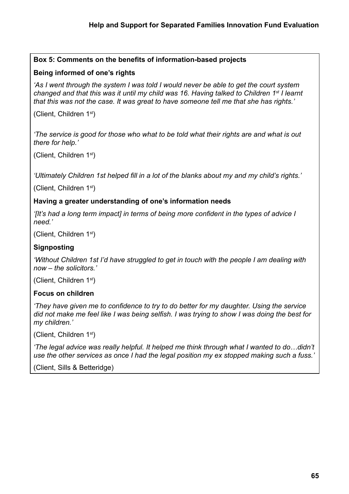### **Box 5: Comments on the benefits of information-based projects**

### **Being informed of one's rights**

*'As I went through the system I was told I would never be able to get the court system changed and that this was it until my child was 16. Having talked to Children 1st I learnt that this was not the case. It was great to have someone tell me that she has rights.'*

(Client, Children 1st)

*'The service is good for those who what to be told what their rights are and what is out there for help.'*

(Client, Children 1st)

*'Ultimately Children 1st helped fill in a lot of the blanks about my and my child's rights.'*

(Client, Children 1st)

### **Having a greater understanding of one's information needs**

*'[It's had a long term impact] in terms of being more confident in the types of advice I need.'* 

(Client, Children 1st)

### **Signposting**

*'Without Children 1st I'd have struggled to get in touch with the people I am dealing with now – the solicitors.'*

(Client, Children 1st)

### **Focus on children**

*'They have given me to confidence to try to do better for my daughter. Using the service did not make me feel like I was being selfish. I was trying to show I was doing the best for my children.'*

(Client, Children 1st)

*'The legal advice was really helpful. It helped me think through what I wanted to do…didn't use the other services as once I had the legal position my ex stopped making such a fuss.'*

(Client, Sills & Betteridge)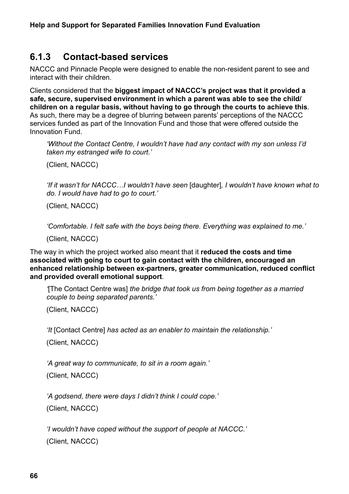### **6.1.3 Contact-based services**

NACCC and Pinnacle People were designed to enable the non-resident parent to see and interact with their children.

Clients considered that the **biggest impact of NACCC's project was that it provided a safe, secure, supervised environment in which a parent was able to see the child/ children on a regular basis, without having to go through the courts to achieve this**. As such, there may be a degree of blurring between parents' perceptions of the NACCC services funded as part of the Innovation Fund and those that were offered outside the Innovation Fund.

*'Without the Contact Centre, I wouldn't have had any contact with my son unless I'd taken my estranged wife to court.'*

(Client, NACCC)

*'If it wasn't for NACCC…I wouldn't have seen* [daughter]*, I wouldn't have known what to do. I would have had to go to court.'*

(Client, NACCC)

*'Comfortable. I felt safe with the boys being there. Everything was explained to me.'*

(Client, NACCC)

The way in which the project worked also meant that it **reduced the costs and time associated with going to court to gain contact with the children, encouraged an enhanced relationship between ex-partners, greater communication, reduced conflict and provided overall emotional support**.

*'*[The Contact Centre was] *the bridge that took us from being together as a married couple to being separated parents.'*

(Client, NACCC)

*'It* [Contact Centre] *has acted as an enabler to maintain the relationship.'*

(Client, NACCC)

*'A great way to communicate, to sit in a room again.'*

(Client, NACCC)

*'A godsend, there were days I didn't think I could cope.'*

(Client, NACCC)

*'I wouldn't have coped without the support of people at NACCC.'* (Client, NACCC)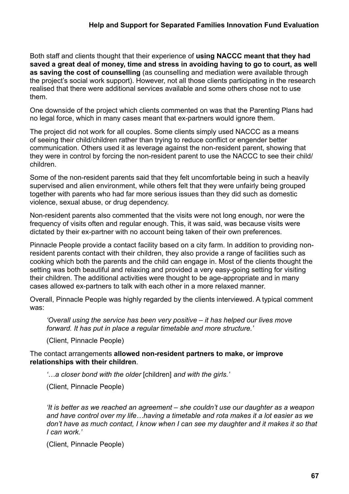Both staff and clients thought that their experience of **using NACCC meant that they had saved a great deal of money, time and stress in avoiding having to go to court, as well as saving the cost of counselling** (as counselling and mediation were available through the project's social work support). However, not all those clients participating in the research realised that there were additional services available and some others chose not to use them.

One downside of the project which clients commented on was that the Parenting Plans had no legal force, which in many cases meant that ex-partners would ignore them.

The project did not work for all couples. Some clients simply used NACCC as a means of seeing their child/children rather than trying to reduce conflict or engender better communication. Others used it as leverage against the non-resident parent, showing that they were in control by forcing the non-resident parent to use the NACCC to see their child/ children.

Some of the non-resident parents said that they felt uncomfortable being in such a heavily supervised and alien environment, while others felt that they were unfairly being grouped together with parents who had far more serious issues than they did such as domestic violence, sexual abuse, or drug dependency.

Non-resident parents also commented that the visits were not long enough, nor were the frequency of visits often and regular enough. This, it was said, was because visits were dictated by their ex-partner with no account being taken of their own preferences.

Pinnacle People provide a contact facility based on a city farm. In addition to providing nonresident parents contact with their children, they also provide a range of facilities such as cooking which both the parents and the child can engage in. Most of the clients thought the setting was both beautiful and relaxing and provided a very easy-going setting for visiting their children. The additional activities were thought to be age-appropriate and in many cases allowed ex-partners to talk with each other in a more relaxed manner.

Overall, Pinnacle People was highly regarded by the clients interviewed. A typical comment was:

*'Overall using the service has been very positive – it has helped our lives move forward. It has put in place a regular timetable and more structure.'*

(Client, Pinnacle People)

The contact arrangements **allowed non-resident partners to make, or improve relationships with their children**.

*'…a closer bond with the older* [children] *and with the girls.'*

(Client, Pinnacle People)

*'It is better as we reached an agreement – she couldn't use our daughter as a weapon and have control over my life…having a timetable and rota makes it a lot easier as we don't have as much contact, I know when I can see my daughter and it makes it so that I can work.'*

(Client, Pinnacle People)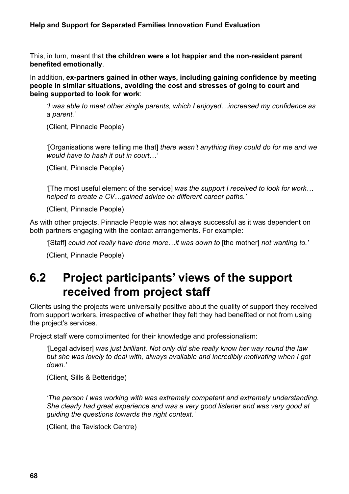### **Help and Support for Separated Families Innovation Fund Evaluation**

This, in turn, meant that **the children were a lot happier and the non-resident parent benefited emotionally**.

In addition, **ex-partners gained in other ways, including gaining confidence by meeting people in similar situations, avoiding the cost and stresses of going to court and being supported to look for work**:

*'I was able to meet other single parents, which I enjoyed…increased my confidence as a parent.'*

(Client, Pinnacle People)

*'*[Organisations were telling me that] *there wasn't anything they could do for me and we would have to hash it out in court…'*

(Client, Pinnacle People)

*'*[The most useful element of the service] *was the support I received to look for work… helped to create a CV…gained advice on different career paths.'*

(Client, Pinnacle People)

As with other projects, Pinnacle People was not always successful as it was dependent on both partners engaging with the contact arrangements. For example:

*'*[Staff] *could not really have done more…it was down to* [the mother] *not wanting to.'*

(Client, Pinnacle People)

# **6.2 Project participants' views of the support received from project staff**

Clients using the projects were universally positive about the quality of support they received from support workers, irrespective of whether they felt they had benefited or not from using the project's services.

Project staff were complimented for their knowledge and professionalism:

*'*[Legal adviser] *was just brilliant. Not only did she really know her way round the law but she was lovely to deal with, always available and incredibly motivating when I got down.'*

(Client, Sills & Betteridge)

*'The person I was working with was extremely competent and extremely understanding. She clearly had great experience and was a very good listener and was very good at guiding the questions towards the right context.'* 

(Client, the Tavistock Centre)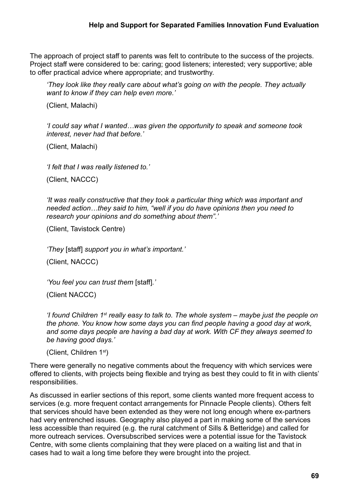The approach of project staff to parents was felt to contribute to the success of the projects. Project staff were considered to be: caring: good listeners; interested; very supportive; able to offer practical advice where appropriate; and trustworthy.

*'They look like they really care about what's going on with the people. They actually want to know if they can help even more.'*

(Client, Malachi)

*'I could say what I wanted…was given the opportunity to speak and someone took interest, never had that before.'*

(Client, Malachi)

*'I felt that I was really listened to.'*

(Client, NACCC)

*'It was really constructive that they took a particular thing which was important and needed action…they said to him, "well if you do have opinions then you need to research your opinions and do something about them".'*

(Client, Tavistock Centre)

*'They* [staff] *support you in what's important.'* 

(Client, NACCC)

*'You feel you can trust them* [staff]*.'* 

(Client NACCC)

*'I found Children 1st really easy to talk to. The whole system – maybe just the people on the phone. You know how some days you can find people having a good day at work, and some days people are having a bad day at work. With CF they always seemed to be having good days.'* 

(Client, Children 1st)

There were generally no negative comments about the frequency with which services were offered to clients, with projects being flexible and trying as best they could to fit in with clients' responsibilities.

As discussed in earlier sections of this report, some clients wanted more frequent access to services (e.g. more frequent contact arrangements for Pinnacle People clients). Others felt that services should have been extended as they were not long enough where ex-partners had very entrenched issues. Geography also played a part in making some of the services less accessible than required (e.g. the rural catchment of Sills & Betteridge) and called for more outreach services. Oversubscribed services were a potential issue for the Tavistock Centre, with some clients complaining that they were placed on a waiting list and that in cases had to wait a long time before they were brought into the project.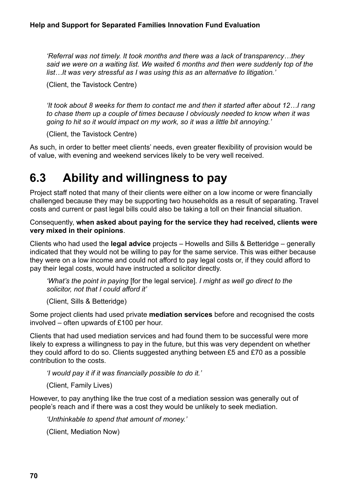*'Referral was not timely. It took months and there was a lack of transparency…they said we were on a waiting list. We waited 6 months and then were suddenly top of the list…It was very stressful as I was using this as an alternative to litigation.'*

(Client, the Tavistock Centre)

*'It took about 8 weeks for them to contact me and then it started after about 12…I rang to chase them up a couple of times because I obviously needed to know when it was going to hit so it would impact on my work, so it was a little bit annoying.'*

(Client, the Tavistock Centre)

As such, in order to better meet clients' needs, even greater flexibility of provision would be of value, with evening and weekend services likely to be very well received.

# **6.3 Ability and willingness to pay**

Project staff noted that many of their clients were either on a low income or were financially challenged because they may be supporting two households as a result of separating. Travel costs and current or past legal bills could also be taking a toll on their financial situation.

Consequently, **when asked about paying for the service they had received, clients were very mixed in their opinions**.

Clients who had used the **legal advice** projects – Howells and Sills & Betteridge – generally indicated that they would not be willing to pay for the same service. This was either because they were on a low income and could not afford to pay legal costs or, if they could afford to pay their legal costs, would have instructed a solicitor directly.

*'What's the point in paying* [for the legal service]*. I might as well go direct to the solicitor, not that I could afford it'* 

(Client, Sills & Betteridge)

Some project clients had used private **mediation services** before and recognised the costs involved – often upwards of £100 per hour.

Clients that had used mediation services and had found them to be successful were more likely to express a willingness to pay in the future, but this was very dependent on whether they could afford to do so. Clients suggested anything between £5 and £70 as a possible contribution to the costs.

*'I would pay it if it was financially possible to do it.'* 

(Client, Family Lives)

However, to pay anything like the true cost of a mediation session was generally out of people's reach and if there was a cost they would be unlikely to seek mediation.

*'Unthinkable to spend that amount of money.'*

(Client, Mediation Now)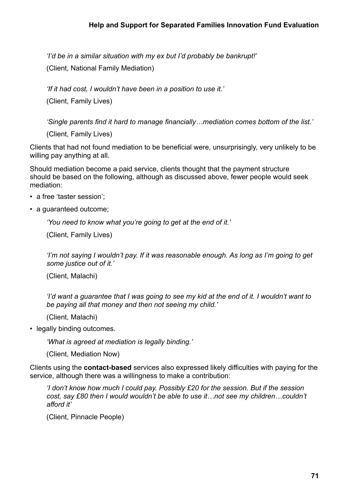*'I'd be in a similar situation with my ex but I'd probably be bankrupt!'*

(Client, National Family Mediation)

*'If it had cost, I wouldn't have been in a position to use it.'*

(Client, Family Lives)

*'Single parents find it hard to manage financially…mediation comes bottom of the list.'*

(Client, Family Lives)

Clients that had not found mediation to be beneficial were, unsurprisingly, very unlikely to be willing pay anything at all.

Should mediation become a paid service, clients thought that the payment structure should be based on the following, although as discussed above, fewer people would seek mediation:

- a free 'taster session':
- a guaranteed outcome;

*'You need to know what you're going to get at the end of it.'*

(Client, Family Lives)

*'I'm not saying I wouldn't pay. If it was reasonable enough. As long as I'm going to get some justice out of it.'*

(Client, Malachi)

*'I'd want a guarantee that I was going to see my kid at the end of it. I wouldn't want to be paying all that money and then not seeing my child.'*

(Client, Malachi)

• legally binding outcomes.

*'What is agreed at mediation is legally binding.'*

(Client, Mediation Now)

Clients using the **contact-based** services also expressed likely difficulties with paying for the service, although there was a willingness to make a contribution:

*'I don't know how much I could pay. Possibly £20 for the session. But if the session cost, say £80 then I would wouldn't be able to use it…not see my children…couldn't afford it'*

(Client, Pinnacle People)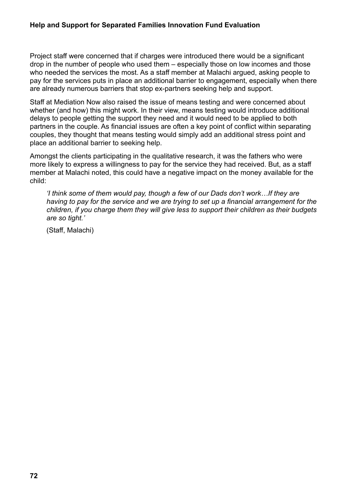Project staff were concerned that if charges were introduced there would be a significant drop in the number of people who used them – especially those on low incomes and those who needed the services the most. As a staff member at Malachi argued, asking people to pay for the services puts in place an additional barrier to engagement, especially when there are already numerous barriers that stop ex-partners seeking help and support.

Staff at Mediation Now also raised the issue of means testing and were concerned about whether (and how) this might work. In their view, means testing would introduce additional delays to people getting the support they need and it would need to be applied to both partners in the couple. As financial issues are often a key point of conflict within separating couples, they thought that means testing would simply add an additional stress point and place an additional barrier to seeking help.

Amongst the clients participating in the qualitative research, it was the fathers who were more likely to express a willingness to pay for the service they had received. But, as a staff member at Malachi noted, this could have a negative impact on the money available for the child:

*'I think some of them would pay, though a few of our Dads don't work…If they are having to pay for the service and we are trying to set up a financial arrangement for the children, if you charge them they will give less to support their children as their budgets are so tight.'*

(Staff, Malachi)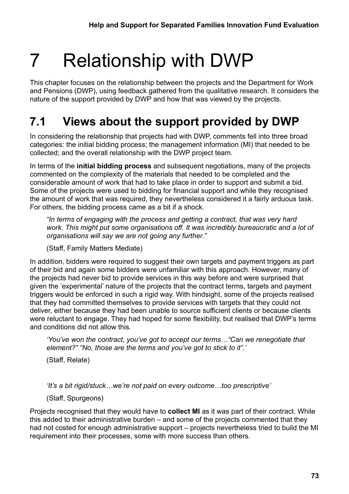# 7 Relationship with DWP

This chapter focuses on the relationship between the projects and the Department for Work and Pensions (DWP), using feedback gathered from the qualitative research. It considers the nature of the support provided by DWP and how that was viewed by the projects.

# **7.1 Views about the support provided by DWP**

In considering the relationship that projects had with DWP, comments fell into three broad categories: the initial bidding process; the management information (MI) that needed to be collected; and the overall relationship with the DWP project team.

In terms of the **initial bidding process** and subsequent negotiations, many of the projects commented on the complexity of the materials that needed to be completed and the considerable amount of work that had to take place in order to support and submit a bid. Some of the projects were used to bidding for financial support and while they recognised the amount of work that was required, they nevertheless considered it a fairly arduous task. For others, the bidding process came as a bit if a shock.

*"In terms of engaging with the process and getting a contract, that was very hard*  work. This might put some organisations off. It was incredibly bureaucratic and a lot of *organisations will say we are not going any further."* 

(Staff, Family Matters Mediate)

In addition, bidders were required to suggest their own targets and payment triggers as part of their bid and again some bidders were unfamiliar with this approach. However, many of the projects had never bid to provide services in this way before and were surprised that given the 'experimental' nature of the projects that the contract terms, targets and payment triggers would be enforced in such a rigid way. With hindsight, some of the projects realised that they had committed themselves to provide services with targets that they could not deliver, either because they had been unable to source sufficient clients or because clients were reluctant to engage. They had hoped for some flexibility, but realised that DWP's terms and conditions did not allow this.

*'You've won the contract, you've got to accept our terms…"Can we renegotiate that element?" "No, those are the terms and you've got to stick to it".'*

(Staff, Relate)

*'It's a bit rigid/stuck…we're not paid on every outcome…too prescriptive'*

(Staff, Spurgeons)

Projects recognised that they would have to **collect MI** as it was part of their contract. While this added to their administrative burden – and some of the projects commented that they had not costed for enough administrative support – projects nevertheless tried to build the MI requirement into their processes, some with more success than others.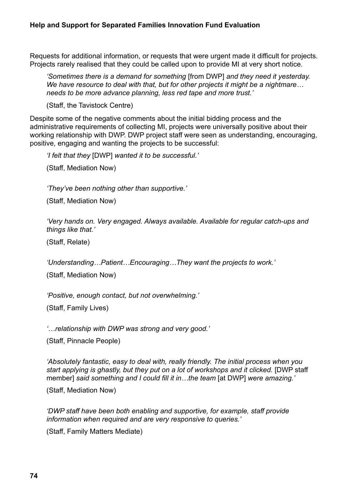Requests for additional information, or requests that were urgent made it difficult for projects. Projects rarely realised that they could be called upon to provide MI at very short notice.

*'Sometimes there is a demand for something* [from DWP] *and they need it yesterday. We have resource to deal with that, but for other projects it might be a nightmare… needs to be more advance planning, less red tape and more trust.'*

(Staff, the Tavistock Centre)

Despite some of the negative comments about the initial bidding process and the administrative requirements of collecting MI, projects were universally positive about their working relationship with DWP. DWP project staff were seen as understanding, encouraging, positive, engaging and wanting the projects to be successful:

*'I felt that they* [DWP] *wanted it to be successful.'*

(Staff, Mediation Now)

*'They've been nothing other than supportive.'*

(Staff, Mediation Now)

*'Very hands on. Very engaged. Always available. Available for regular catch-ups and things like that.'*

(Staff, Relate)

*'Understanding…Patient…Encouraging…They want the projects to work.'*

(Staff, Mediation Now)

*'Positive, enough contact, but not overwhelming.'*

(Staff, Family Lives)

*'…relationship with DWP was strong and very good.'*

(Staff, Pinnacle People)

*'Absolutely fantastic, easy to deal with, really friendly. The initial process when you start applying is ghastly, but they put on a lot of workshops and it clicked.* [DWP staff member] *said something and I could fill it in…the team* [at DWP] *were amazing.'*

(Staff, Mediation Now)

*'DWP staff have been both enabling and supportive, for example, staff provide information when required and are very responsive to queries.'*

(Staff, Family Matters Mediate)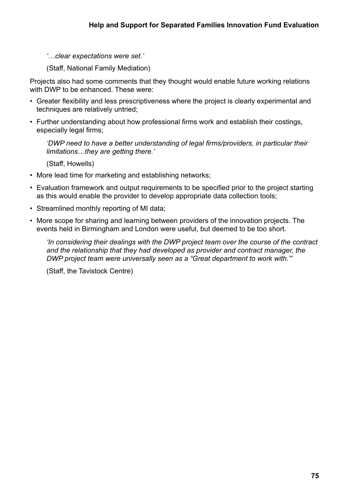*'…clear expectations were set.'*

(Staff, National Family Mediation)

Projects also had some comments that they thought would enable future working relations with DWP to be enhanced. These were:

- Greater flexibility and less prescriptiveness where the project is clearly experimental and techniques are relatively untried;
- Further understanding about how professional firms work and establish their costings, especially legal firms;

*'DWP need to have a better understanding of legal firms/providers, in particular their limitations…they are getting there.'*

(Staff, Howells)

- More lead time for marketing and establishing networks;
- Evaluation framework and output requirements to be specified prior to the project starting as this would enable the provider to develop appropriate data collection tools;
- Streamlined monthly reporting of MI data;
- More scope for sharing and learning between providers of the innovation projects. The events held in Birmingham and London were useful, but deemed to be too short.

*'In considering their dealings with the DWP project team over the course of the contract and the relationship that they had developed as provider and contract manager, the DWP project team were universally seen as a "Great department to work with."'* 

(Staff, the Tavistock Centre)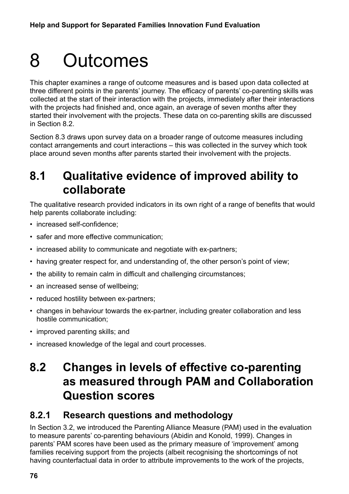# 8 Outcomes

This chapter examines a range of outcome measures and is based upon data collected at three different points in the parents' journey. The efficacy of parents' co-parenting skills was collected at the start of their interaction with the projects, immediately after their interactions with the projects had finished and, once again, an average of seven months after they started their involvement with the projects. These data on co-parenting skills are discussed in Section 8.2.

Section 8.3 draws upon survey data on a broader range of outcome measures including contact arrangements and court interactions – this was collected in the survey which took place around seven months after parents started their involvement with the projects.

# **8.1 Qualitative evidence of improved ability to collaborate**

The qualitative research provided indicators in its own right of a range of benefits that would help parents collaborate including:

- increased self-confidence;
- safer and more effective communication;
- increased ability to communicate and negotiate with ex-partners;
- having greater respect for, and understanding of, the other person's point of view;
- the ability to remain calm in difficult and challenging circumstances;
- an increased sense of wellbeing;
- reduced hostility between ex-partners;
- changes in behaviour towards the ex-partner, including greater collaboration and less hostile communication;
- improved parenting skills; and
- increased knowledge of the legal and court processes.

# **8.2 Changes in levels of effective co-parenting as measured through PAM and Collaboration Question scores**

#### **8.2.1 Research questions and methodology**

In Section 3.2, we introduced the Parenting Alliance Measure (PAM) used in the evaluation to measure parents' co-parenting behaviours (Abidin and Konold, 1999). Changes in parents' PAM scores have been used as the primary measure of 'improvement' among families receiving support from the projects (albeit recognising the shortcomings of not having counterfactual data in order to attribute improvements to the work of the projects,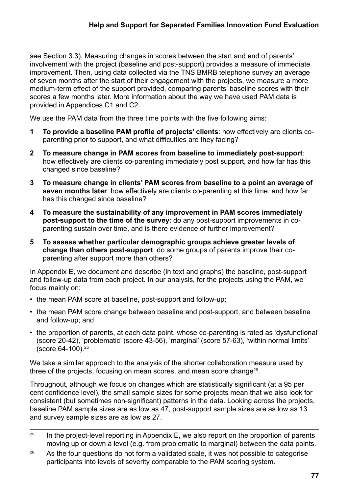see Section 3.3). Measuring changes in scores between the start and end of parents' involvement with the project (baseline and post-support) provides a measure of immediate improvement. Then, using data collected via the TNS BMRB telephone survey an average of seven months after the start of their engagement with the projects, we measure a more medium-term effect of the support provided, comparing parents' baseline scores with their scores a few months later. More information about the way we have used PAM data is provided in Appendices C1 and C2.

We use the PAM data from the three time points with the five following aims:

- **1 To provide a baseline PAM profile of projects' clients**: how effectively are clients coparenting prior to support, and what difficulties are they facing?
- **2 To measure change in PAM scores from baseline to immediately post-support**: how effectively are clients co-parenting immediately post support, and how far has this changed since baseline?
- **3 To measure change in clients' PAM scores from baseline to a point an average of seven months later**: how effectively are clients co-parenting at this time, and how far has this changed since baseline?
- **4 To measure the sustainability of any improvement in PAM scores immediately post-support to the time of the survey**: do any post-support improvements in coparenting sustain over time, and is there evidence of further improvement?
- **5 To assess whether particular demographic groups achieve greater levels of change than others post-support**: do some groups of parents improve their coparenting after support more than others?

In Appendix E, we document and describe (in text and graphs) the baseline, post-support and follow-up data from each project. In our analysis, for the projects using the PAM, we focus mainly on:

- the mean PAM score at baseline, post-support and follow-up;
- the mean PAM score change between baseline and post-support, and between baseline and follow-up; and
- the proportion of parents, at each data point, whose co-parenting is rated as 'dysfunctional' (score 20-42), 'problematic' (score 43-56), 'marginal' (score 57-63), 'within normal limits' (score 64-100).25

We take a similar approach to the analysis of the shorter collaboration measure used by three of the projects, focusing on mean scores, and mean score change<sup>26</sup>.

Throughout, although we focus on changes which are statistically significant (at a 95 per cent confidence level), the small sample sizes for some projects mean that we also look for consistent (but sometimes non-significant) patterns in the data. Looking across the projects, baseline PAM sample sizes are as low as 47, post-support sample sizes are as low as 13 and survey sample sizes are as low as 27.

- $25$  In the project-level reporting in Appendix E, we also report on the proportion of parents moving up or down a level (e.g. from problematic to marginal) between the data points.
- $26$  As the four questions do not form a validated scale, it was not possible to categorise participants into levels of severity comparable to the PAM scoring system.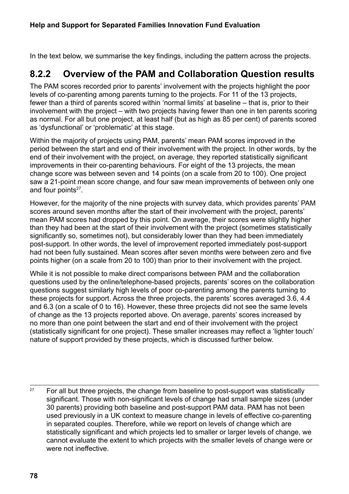In the text below, we summarise the key findings, including the pattern across the projects.

#### **8.2.2 Overview of the PAM and Collaboration Question results**

The PAM scores recorded prior to parents' involvement with the projects highlight the poor levels of co-parenting among parents turning to the projects. For 11 of the 13 projects, fewer than a third of parents scored within 'normal limits' at baseline – that is, prior to their involvement with the project – with two projects having fewer than one in ten parents scoring as normal. For all but one project, at least half (but as high as 85 per cent) of parents scored as 'dysfunctional' or 'problematic' at this stage.

Within the majority of projects using PAM, parents' mean PAM scores improved in the period between the start and end of their involvement with the project. In other words, by the end of their involvement with the project, on average, they reported statistically significant improvements in their co-parenting behaviours. For eight of the 13 projects, the mean change score was between seven and 14 points (on a scale from 20 to 100). One project saw a 21-point mean score change, and four saw mean improvements of between only one and four points $27$ .

However, for the majority of the nine projects with survey data, which provides parents' PAM scores around seven months after the start of their involvement with the project, parents' mean PAM scores had dropped by this point. On average, their scores were slightly higher than they had been at the start of their involvement with the project (sometimes statistically significantly so, sometimes not), but considerably lower than they had been immediately post-support. In other words, the level of improvement reported immediately post-support had not been fully sustained. Mean scores after seven months were between zero and five points higher (on a scale from 20 to 100) than prior to their involvement with the project.

While it is not possible to make direct comparisons between PAM and the collaboration questions used by the online/telephone-based projects, parents' scores on the collaboration questions suggest similarly high levels of poor co-parenting among the parents turning to these projects for support. Across the three projects, the parents' scores averaged 3.6, 4.4 and 6.3 (on a scale of 0 to 16). However, these three projects did not see the same levels of change as the 13 projects reported above. On average, parents' scores increased by no more than one point between the start and end of their involvement with the project (statistically significant for one project). These smaller increases may reflect a 'lighter touch' nature of support provided by these projects, which is discussed further below.

 $27$  For all but three projects, the change from baseline to post-support was statistically significant. Those with non-significant levels of change had small sample sizes (under 30 parents) providing both baseline and post-support PAM data. PAM has not been used previously in a UK context to measure change in levels of effective co-parenting in separated couples. Therefore, while we report on levels of change which are statistically significant and which projects led to smaller or larger levels of change, we cannot evaluate the extent to which projects with the smaller levels of change were or were not ineffective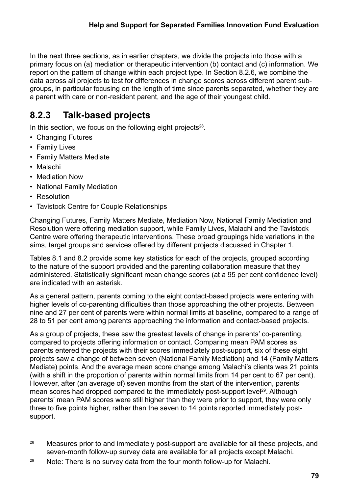In the next three sections, as in earlier chapters, we divide the projects into those with a primary focus on (a) mediation or therapeutic intervention (b) contact and (c) information. We report on the pattern of change within each project type. In Section 8.2.6, we combine the data across all projects to test for differences in change scores across different parent subgroups, in particular focusing on the length of time since parents separated, whether they are a parent with care or non-resident parent, and the age of their youngest child.

# **8.2.3 Talk-based projects**

In this section, we focus on the following eight projects $28$ .

- Changing Futures
- Family Lives
- Family Matters Mediate
- Malachi
- Mediation Now
- National Family Mediation
- Resolution
- Tavistock Centre for Couple Relationships

Changing Futures, Family Matters Mediate, Mediation Now, National Family Mediation and Resolution were offering mediation support, while Family Lives, Malachi and the Tavistock Centre were offering therapeutic interventions. These broad groupings hide variations in the aims, target groups and services offered by different projects discussed in Chapter 1.

Tables 8.1 and 8.2 provide some key statistics for each of the projects, grouped according to the nature of the support provided and the parenting collaboration measure that they administered. Statistically significant mean change scores (at a 95 per cent confidence level) are indicated with an asterisk.

As a general pattern, parents coming to the eight contact-based projects were entering with higher levels of co-parenting difficulties than those approaching the other projects. Between nine and 27 per cent of parents were within normal limits at baseline, compared to a range of 28 to 51 per cent among parents approaching the information and contact-based projects.

As a group of projects, these saw the greatest levels of change in parents' co-parenting, compared to projects offering information or contact. Comparing mean PAM scores as parents entered the projects with their scores immediately post-support, six of these eight projects saw a change of between seven (National Family Mediation) and 14 (Family Matters Mediate) points. And the average mean score change among Malachi's clients was 21 points (with a shift in the proportion of parents within normal limits from 14 per cent to 67 per cent). However, after (an average of) seven months from the start of the intervention, parents' mean scores had dropped compared to the immediately post-support level<sup>29</sup>. Although parents' mean PAM scores were still higher than they were prior to support, they were only three to five points higher, rather than the seven to 14 points reported immediately postsupport.

 $28$  Measures prior to and immediately post-support are available for all these projects, and seven-month follow-up survey data are available for all projects except Malachi.

<sup>&</sup>lt;sup>29</sup> Note: There is no survey data from the four month follow-up for Malachi.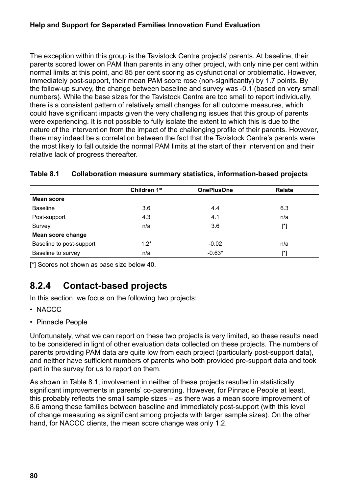The exception within this group is the Tavistock Centre projects' parents. At baseline, their parents scored lower on PAM than parents in any other project, with only nine per cent within normal limits at this point, and 85 per cent scoring as dysfunctional or problematic. However, immediately post-support, their mean PAM score rose (non-significantly) by 1.7 points. By the follow-up survey, the change between baseline and survey was -0.1 (based on very small numbers). While the base sizes for the Tavistock Centre are too small to report individually, there is a consistent pattern of relatively small changes for all outcome measures, which could have significant impacts given the very challenging issues that this group of parents were experiencing. It is not possible to fully isolate the extent to which this is due to the nature of the intervention from the impact of the challenging profile of their parents. However, there may indeed be a correlation between the fact that the Tavistock Centre's parents were the most likely to fall outside the normal PAM limits at the start of their intervention and their relative lack of progress thereafter.

|                          | Children 1st | <b>OnePlusOne</b> | <b>Relate</b> |
|--------------------------|--------------|-------------------|---------------|
| <b>Mean score</b>        |              |                   |               |
| <b>Baseline</b>          | 3.6          | 4.4               | 6.3           |
| Post-support             | 4.3          | 4.1               | n/a           |
| Survey                   | n/a          | 3.6               | $[^*]$        |
| Mean score change        |              |                   |               |
| Baseline to post-support | $1.2*$       | $-0.02$           | n/a           |
| Baseline to survey       | n/a          | $-0.63*$          | $[^*]$        |

#### **Table 8.1 Collaboration measure summary statistics, information-based projects**

[\*] Scores not shown as base size below 40.

## **8.2.4 Contact-based projects**

In this section, we focus on the following two projects:

- NACCC
- Pinnacle People

Unfortunately, what we can report on these two projects is very limited, so these results need to be considered in light of other evaluation data collected on these projects. The numbers of parents providing PAM data are quite low from each project (particularly post-support data), and neither have sufficient numbers of parents who both provided pre-support data and took part in the survey for us to report on them.

As shown in Table 8.1, involvement in neither of these projects resulted in statistically significant improvements in parents' co-parenting. However, for Pinnacle People at least, this probably reflects the small sample sizes – as there was a mean score improvement of 8.6 among these families between baseline and immediately post-support (with this level of change measuring as significant among projects with larger sample sizes). On the other hand, for NACCC clients, the mean score change was only 1.2.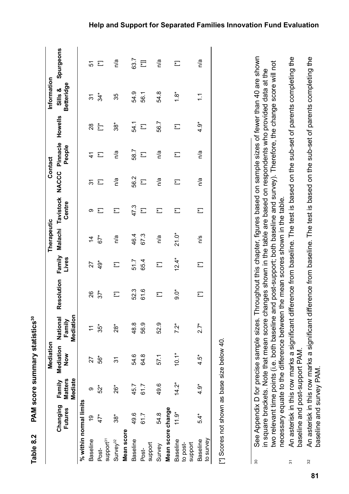|                     |                                                                                                                                                                      |                                     | Mediation        |                                 |                                    |                          | Therapeutic    |                            |                          | Contact                  |                          | Information                                                                      |                          |
|---------------------|----------------------------------------------------------------------------------------------------------------------------------------------------------------------|-------------------------------------|------------------|---------------------------------|------------------------------------|--------------------------|----------------|----------------------------|--------------------------|--------------------------|--------------------------|----------------------------------------------------------------------------------|--------------------------|
|                     | Changing<br>Futures                                                                                                                                                  | Mediate<br><b>Matters</b><br>Family | Mediation<br>Now | Mediation<br>National<br>Family | Resolution                         | Family<br>Lives          | Malachi        | <b>Tavistock</b><br>Centre | NACCC                    | Pinnacle<br>People       | Howells                  | Betteridge<br>Sills &                                                            | Spurgeons                |
|                     | % within normal limits                                                                                                                                               |                                     |                  |                                 |                                    |                          |                |                            |                          |                          |                          |                                                                                  |                          |
|                     | <u>ღ</u><br><b>Baseline</b>                                                                                                                                          | တ                                   | 27               | $\tilde{t}$                     | 26                                 | 27                       | $\overline{4}$ | တ                          | 51                       | $\mathcal{A}$            | $^{8}$                   | $\overline{3}$                                                                   | 57                       |
| Post-               | $47*$                                                                                                                                                                | $52*$                               | 56*              | 35*                             | $37*$                              | $49*$                    | $67*$          | $\overline{\phantom{1}}$   | $\overline{\phantom{1}}$ | 汇                        | $\stackrel{*}{\Box}$     | $34*$                                                                            | $\overline{\phantom{1}}$ |
|                     | support <sup>31</sup>                                                                                                                                                |                                     |                  |                                 |                                    |                          |                |                            |                          |                          |                          |                                                                                  |                          |
|                     | $38^*$<br>Survey <sup>32</sup>                                                                                                                                       | $26*$                               | 31               | $28*$                           | $\sum$                             | 辷                        | n/a            | $\overline{\phantom{1}}$   | n/a                      | n/a                      | $\rm{38}^*$              | 35                                                                               | n/a                      |
|                     | Mean score                                                                                                                                                           |                                     |                  |                                 |                                    |                          |                |                            |                          |                          |                          |                                                                                  |                          |
|                     | 49.6<br><b>Baseline</b>                                                                                                                                              | 45.7                                | 54.6             | 48.8                            | 523                                | 51.7                     | 46.4           | 47.3                       | 56.2                     | 58.7                     | 54.1                     | 54.9                                                                             | 63.7                     |
| Post-               | 61.7                                                                                                                                                                 | 61.7                                | 64.8             | 56.9                            | 61.6                               | 65.4                     | 67.3           | $\sum$                     | $\sum$                   | $\sum$                   | $\sum$                   | 56.1                                                                             | 冠                        |
| support             |                                                                                                                                                                      |                                     |                  |                                 |                                    |                          |                |                            |                          |                          |                          |                                                                                  |                          |
| Survey              | 54.8                                                                                                                                                                 | 49.6                                | 57.1             | 52.9                            | $\overline{\phantom{1}}$           | $\sum$                   | n/a            | 辷                          | n/a                      | n/a                      | 56.7                     | 54.8                                                                             | n/a                      |
|                     | Mean score change                                                                                                                                                    |                                     |                  |                                 |                                    |                          |                |                            |                          |                          |                          |                                                                                  |                          |
|                     | $11.9*$<br><b>Baseline</b>                                                                                                                                           | $14.2*$                             | $10.1*$          | $7.2*$                          | ð.g                                | $12.4*$                  | $21.0*$        | $\sum$                     | $\sum$                   | $\overline{\phantom{1}}$ | $\overline{\phantom{1}}$ | $1.8*$                                                                           | $\overline{\phantom{1}}$ |
| support<br>to post- |                                                                                                                                                                      |                                     |                  |                                 |                                    |                          |                |                            |                          |                          |                          |                                                                                  |                          |
|                     | 5.4*<br>to survey<br><b>Baseline</b>                                                                                                                                 | $4.9*$                              | $4.5*$           | $2.7*$                          | $\overline{\phantom{1}}$           | $\overline{\phantom{1}}$ | n/s            | 辷                          | n/a                      | n/a                      | $\ddot{9}$               | $\tilde{\mathcal{L}}$                                                            | n/a                      |
|                     | [*] Scores not shown as base size below 40.                                                                                                                          |                                     |                  |                                 |                                    |                          |                |                            |                          |                          |                          |                                                                                  |                          |
| $\boldsymbol{S}$    | in square brackets. Note that mean score changes shown in the table are based on respondents who provided data at the<br>See Appendix D for precise sample sizes. Th |                                     |                  |                                 |                                    |                          |                |                            |                          |                          |                          | roughout this chapter, figures based on sample sizes of fewer than 40 are shown  |                          |
|                     | two relevant time points (i.e. both baseline ar<br>necessary equate to the difference between i                                                                      |                                     |                  |                                 | the mean scores shown in the table |                          |                |                            |                          |                          |                          | nd post-support; both baseline and survey). Therefore, the change score will not |                          |
| $\overline{5}$      | An asterisk in this row marks a significant diff<br>baseline and post-support PAM                                                                                    |                                     |                  |                                 | erence from baseline.              |                          |                |                            |                          |                          |                          | The test is based on the sub-set of parents completing the                       |                          |
| $32\,$              | An asterisk in this row marks a significant diff<br>baseline and survey PAM.                                                                                         |                                     |                  |                                 |                                    |                          |                |                            |                          |                          |                          | erence from baseline. The test is based on the sub-set of parents completing the |                          |

# PAM score summary statistics<sup>30</sup> Table 8.2 PAM score summary statistics<sup>30</sup> Table 8.2

**81**

#### **Help and Support for Separated Families Innovation Fund Evaluation**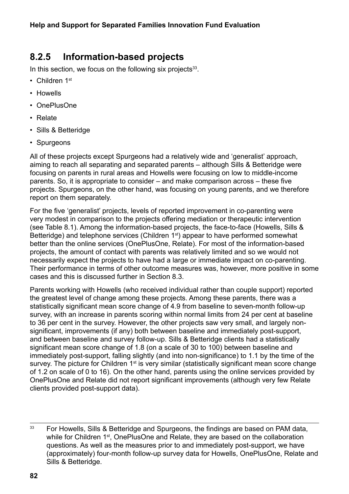#### **8.2.5 Information-based projects**

In this section, we focus on the following six projects $33$ .

- Children 1st
- Howells
- OnePlusOne
- Relate
- Sills & Betteridge
- Spurgeons

All of these projects except Spurgeons had a relatively wide and 'generalist' approach, aiming to reach all separating and separated parents – although Sills & Betteridge were focusing on parents in rural areas and Howells were focusing on low to middle-income parents. So, it is appropriate to consider – and make comparison across – these five projects. Spurgeons, on the other hand, was focusing on young parents, and we therefore report on them separately.

For the five 'generalist' projects, levels of reported improvement in co-parenting were very modest in comparison to the projects offering mediation or therapeutic intervention (see Table 8.1). Among the information-based projects, the face-to-face (Howells, Sills & Betteridge) and telephone services (Children 1<sup>st</sup>) appear to have performed somewhat better than the online services (OnePlusOne, Relate). For most of the information-based projects, the amount of contact with parents was relatively limited and so we would not necessarily expect the projects to have had a large or immediate impact on co-parenting. Their performance in terms of other outcome measures was, however, more positive in some cases and this is discussed further in Section 8.3.

Parents working with Howells (who received individual rather than couple support) reported the greatest level of change among these projects. Among these parents, there was a statistically significant mean score change of 4.9 from baseline to seven-month follow-up survey, with an increase in parents scoring within normal limits from 24 per cent at baseline to 36 per cent in the survey. However, the other projects saw very small, and largely nonsignificant, improvements (if any) both between baseline and immediately post-support, and between baseline and survey follow-up. Sills & Betteridge clients had a statistically significant mean score change of 1.8 (on a scale of 30 to 100) between baseline and immediately post-support, falling slightly (and into non-significance) to 1.1 by the time of the survey. The picture for Children 1<sup>st</sup> is very similar (statistically significant mean score change of 1.2 on scale of 0 to 16). On the other hand, parents using the online services provided by OnePlusOne and Relate did not report significant improvements (although very few Relate clients provided post-support data).

<sup>33</sup> For Howells, Sills & Betteridge and Spurgeons, the findings are based on PAM data, while for Children 1<sup>st</sup>, OnePlusOne and Relate, they are based on the collaboration questions. As well as the measures prior to and immediately post-support, we have (approximately) four-month follow-up survey data for Howells, OnePlusOne, Relate and Sills & Betteridge.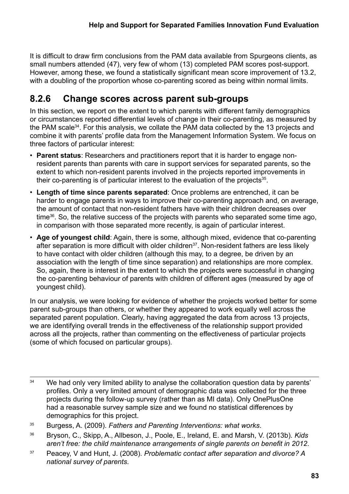It is difficult to draw firm conclusions from the PAM data available from Spurgeons clients, as small numbers attended (47), very few of whom (13) completed PAM scores post-support. However, among these, we found a statistically significant mean score improvement of 13.2, with a doubling of the proportion whose co-parenting scored as being within normal limits.

#### **8.2.6 Change scores across parent sub-groups**

In this section, we report on the extent to which parents with different family demographics or circumstances reported differential levels of change in their co-parenting, as measured by the PAM scale<sup>34</sup>. For this analysis, we collate the PAM data collected by the 13 projects and combine it with parents' profile data from the Management Information System. We focus on three factors of particular interest:

- **Parent status**: Researchers and practitioners report that it is harder to engage nonresident parents than parents with care in support services for separated parents, so the extent to which non-resident parents involved in the projects reported improvements in their co-parenting is of particular interest to the evaluation of the projects<sup>35</sup>.
- **Length of time since parents separated**: Once problems are entrenched, it can be harder to engage parents in ways to improve their co-parenting approach and, on average, the amount of contact that non-resident fathers have with their children decreases over time<sup>36</sup>. So, the relative success of the projects with parents who separated some time ago, in comparison with those separated more recently, is again of particular interest.
- **Age of youngest child**: Again, there is some, although mixed, evidence that co-parenting after separation is more difficult with older children<sup>37</sup>. Non-resident fathers are less likely to have contact with older children (although this may, to a degree, be driven by an association with the length of time since separation) and relationships are more complex. So, again, there is interest in the extent to which the projects were successful in changing the co-parenting behaviour of parents with children of different ages (measured by age of youngest child).

In our analysis, we were looking for evidence of whether the projects worked better for some parent sub-groups than others, or whether they appeared to work equally well across the separated parent population. Clearly, having aggregated the data from across 13 projects, we are identifying overall trends in the effectiveness of the relationship support provided across all the projects, rather than commenting on the effectiveness of particular projects (some of which focused on particular groups).

<sup>&</sup>lt;sup>34</sup> We had only very limited ability to analyse the collaboration question data by parents' profiles. Only a very limited amount of demographic data was collected for the three projects during the follow-up survey (rather than as MI data). Only OnePlusOne had a reasonable survey sample size and we found no statistical differences by demographics for this project.

<sup>35</sup> Burgess, A. (2009). *Fathers and Parenting Interventions: what works*.

<sup>36</sup> Bryson, C., Skipp, A., Allbeson, J., Poole, E., Ireland, E. and Marsh, V. (2013b). *Kids aren't free: the child maintenance arrangements of single parents on benefit in 2012*.

<sup>37</sup> Peacey, V and Hunt, J. (2008). *Problematic contact after separation and divorce? A national survey of parents*.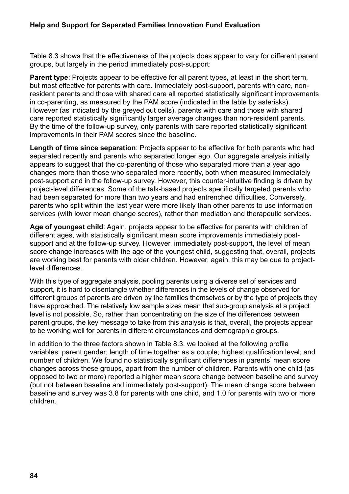#### **Help and Support for Separated Families Innovation Fund Evaluation**

Table 8.3 shows that the effectiveness of the projects does appear to vary for different parent groups, but largely in the period immediately post-support:

**Parent type**: Projects appear to be effective for all parent types, at least in the short term, but most effective for parents with care. Immediately post-support, parents with care, nonresident parents and those with shared care all reported statistically significant improvements in co-parenting, as measured by the PAM score (indicated in the table by asterisks). However (as indicated by the greyed out cells), parents with care and those with shared care reported statistically significantly larger average changes than non-resident parents. By the time of the follow-up survey, only parents with care reported statistically significant improvements in their PAM scores since the baseline.

**Length of time since separation**: Projects appear to be effective for both parents who had separated recently and parents who separated longer ago. Our aggregate analysis initially appears to suggest that the co-parenting of those who separated more than a year ago changes more than those who separated more recently, both when measured immediately post-support and in the follow-up survey. However, this counter-intuitive finding is driven by project-level differences. Some of the talk-based projects specifically targeted parents who had been separated for more than two years and had entrenched difficulties. Conversely, parents who split within the last year were more likely than other parents to use information services (with lower mean change scores), rather than mediation and therapeutic services.

**Age of youngest child**: Again, projects appear to be effective for parents with children of different ages, with statistically significant mean score improvements immediately postsupport and at the follow-up survey. However, immediately post-support, the level of mean score change increases with the age of the youngest child, suggesting that, overall, projects are working best for parents with older children. However, again, this may be due to projectlevel differences.

With this type of aggregate analysis, pooling parents using a diverse set of services and support, it is hard to disentangle whether differences in the levels of change observed for different groups of parents are driven by the families themselves or by the type of projects they have approached. The relatively low sample sizes mean that sub-group analysis at a project level is not possible. So, rather than concentrating on the size of the differences between parent groups, the key message to take from this analysis is that, overall, the projects appear to be working well for parents in different circumstances and demographic groups.

In addition to the three factors shown in Table 8.3, we looked at the following profile variables: parent gender; length of time together as a couple; highest qualification level; and number of children. We found no statistically significant differences in parents' mean score changes across these groups, apart from the number of children. Parents with one child (as opposed to two or more) reported a higher mean score change between baseline and survey (but not between baseline and immediately post-support). The mean change score between baseline and survey was 3.8 for parents with one child, and 1.0 for parents with two or more children.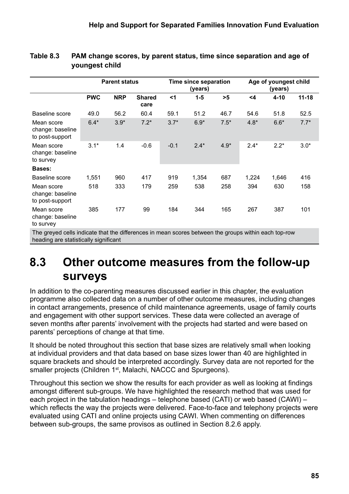|                                                   |            | <b>Parent status</b> |                       |          | Time since separation<br>(years) |        |        | Age of youngest child<br>(years) |           |
|---------------------------------------------------|------------|----------------------|-----------------------|----------|----------------------------------|--------|--------|----------------------------------|-----------|
|                                                   | <b>PWC</b> | <b>NRP</b>           | <b>Shared</b><br>care | $\leq$ 1 | $1-5$                            | >5     | <4     | $4 - 10$                         | $11 - 18$ |
| Baseline score                                    | 49.0       | 56.2                 | 60.4                  | 59.1     | 51.2                             | 46.7   | 54.6   | 51.8                             | 52.5      |
| Mean score<br>change: baseline<br>to post-support | $6.4*$     | $3.9*$               | $7.2*$                | $3.7*$   | $6.9*$                           | $7.5*$ | $4.8*$ | $6.6*$                           | $7.7*$    |
| Mean score<br>change: baseline<br>to survey       | $3.1*$     | 1.4                  | $-0.6$                | $-0.1$   | $2.4*$                           | $4.9*$ | $2.4*$ | $2.2*$                           | $3.0*$    |
| <b>Bases:</b>                                     |            |                      |                       |          |                                  |        |        |                                  |           |
| Baseline score                                    | 1,551      | 960                  | 417                   | 919      | 1,354                            | 687    | 1,224  | 1,646                            | 416       |
| Mean score<br>change: baseline<br>to post-support | 518        | 333                  | 179                   | 259      | 538                              | 258    | 394    | 630                              | 158       |
| Mean score<br>change: baseline<br>to survey       | 385        | 177                  | 99                    | 184      | 344                              | 165    | 267    | 387                              | 101       |

#### **Table 8.3 PAM change scores, by parent status, time since separation and age of youngest child**

The greyed cells indicate that the differences in mean scores between the groups within each top-row heading are statistically significant

# **8.3 Other outcome measures from the follow-up surveys**

In addition to the co-parenting measures discussed earlier in this chapter, the evaluation programme also collected data on a number of other outcome measures, including changes in contact arrangements, presence of child maintenance agreements, usage of family courts and engagement with other support services. These data were collected an average of seven months after parents' involvement with the projects had started and were based on parents' perceptions of change at that time.

It should be noted throughout this section that base sizes are relatively small when looking at individual providers and that data based on base sizes lower than 40 are highlighted in square brackets and should be interpreted accordingly. Survey data are not reported for the smaller projects (Children 1<sup>st</sup>, Malachi, NACCC and Spurgeons).

Throughout this section we show the results for each provider as well as looking at findings amongst different sub-groups. We have highlighted the research method that was used for each project in the tabulation headings – telephone based (CATI) or web based (CAWI) – which reflects the way the projects were delivered. Face-to-face and telephony projects were evaluated using CATI and online projects using CAWI. When commenting on differences between sub-groups, the same provisos as outlined in Section 8.2.6 apply.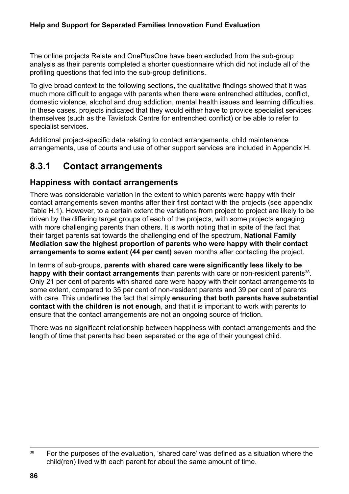The online projects Relate and OnePlusOne have been excluded from the sub-group analysis as their parents completed a shorter questionnaire which did not include all of the profiling questions that fed into the sub-group definitions.

To give broad context to the following sections, the qualitative findings showed that it was much more difficult to engage with parents when there were entrenched attitudes, conflict, domestic violence, alcohol and drug addiction, mental health issues and learning difficulties. In these cases, projects indicated that they would either have to provide specialist services themselves (such as the Tavistock Centre for entrenched conflict) or be able to refer to specialist services.

Additional project-specific data relating to contact arrangements, child maintenance arrangements, use of courts and use of other support services are included in Appendix H.

#### **8.3.1 Contact arrangements**

#### **Happiness with contact arrangements**

There was considerable variation in the extent to which parents were happy with their contact arrangements seven months after their first contact with the projects (see appendix Table H.1). However, to a certain extent the variations from project to project are likely to be driven by the differing target groups of each of the projects, with some projects engaging with more challenging parents than others. It is worth noting that in spite of the fact that their target parents sat towards the challenging end of the spectrum, **National Family Mediation saw the highest proportion of parents who were happy with their contact arrangements to some extent (44 per cent)** seven months after contacting the project.

In terms of sub-groups, **parents with shared care were significantly less likely to be**  happy with their contact arrangements than parents with care or non-resident parents<sup>38</sup>. Only 21 per cent of parents with shared care were happy with their contact arrangements to some extent, compared to 35 per cent of non-resident parents and 39 per cent of parents with care. This underlines the fact that simply **ensuring that both parents have substantial contact with the children is not enough**, and that it is important to work with parents to ensure that the contact arrangements are not an ongoing source of friction.

There was no significant relationship between happiness with contact arrangements and the length of time that parents had been separated or the age of their youngest child.

<sup>&</sup>lt;sup>38</sup> For the purposes of the evaluation, 'shared care' was defined as a situation where the child(ren) lived with each parent for about the same amount of time.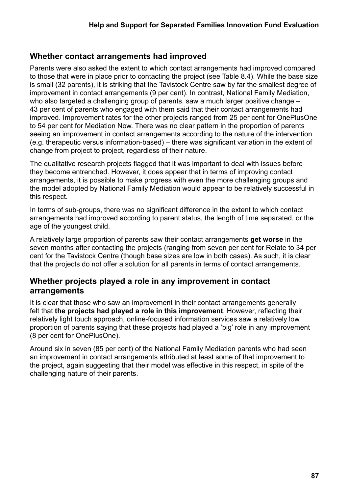#### **Whether contact arrangements had improved**

Parents were also asked the extent to which contact arrangements had improved compared to those that were in place prior to contacting the project (see Table 8.4). While the base size is small (32 parents), it is striking that the Tavistock Centre saw by far the smallest degree of improvement in contact arrangements (9 per cent). In contrast, National Family Mediation, who also targeted a challenging group of parents, saw a much larger positive change – 43 per cent of parents who engaged with them said that their contact arrangements had improved. Improvement rates for the other projects ranged from 25 per cent for OnePlusOne to 54 per cent for Mediation Now. There was no clear pattern in the proportion of parents seeing an improvement in contact arrangements according to the nature of the intervention (e.g. therapeutic versus information-based) – there was significant variation in the extent of change from project to project, regardless of their nature.

The qualitative research projects flagged that it was important to deal with issues before they become entrenched. However, it does appear that in terms of improving contact arrangements, it is possible to make progress with even the more challenging groups and the model adopted by National Family Mediation would appear to be relatively successful in this respect.

In terms of sub-groups, there was no significant difference in the extent to which contact arrangements had improved according to parent status, the length of time separated, or the age of the youngest child.

A relatively large proportion of parents saw their contact arrangements **get worse** in the seven months after contacting the projects (ranging from seven per cent for Relate to 34 per cent for the Tavistock Centre (though base sizes are low in both cases). As such, it is clear that the projects do not offer a solution for all parents in terms of contact arrangements.

#### **Whether projects played a role in any improvement in contact arrangements**

It is clear that those who saw an improvement in their contact arrangements generally felt that **the projects had played a role in this improvement**. However, reflecting their relatively light touch approach, online-focused information services saw a relatively low proportion of parents saying that these projects had played a 'big' role in any improvement (8 per cent for OnePlusOne).

Around six in seven (85 per cent) of the National Family Mediation parents who had seen an improvement in contact arrangements attributed at least some of that improvement to the project, again suggesting that their model was effective in this respect, in spite of the challenging nature of their parents.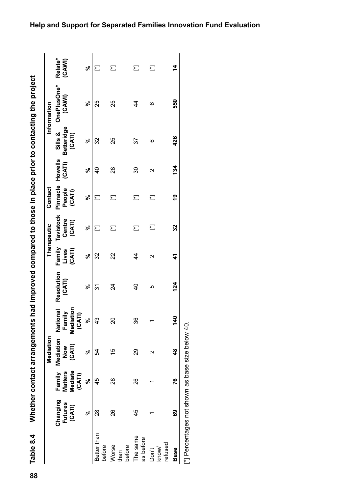Whether contact arrangements had improved compared to those in place prior to contacting the project Table 8.4

|                           |                                      |                                               | Mediation                  |                                           |                      |                 | Therapeutic                          | Contact                      |                          |                                        | Information           |                          |
|---------------------------|--------------------------------------|-----------------------------------------------|----------------------------|-------------------------------------------|----------------------|-----------------|--------------------------------------|------------------------------|--------------------------|----------------------------------------|-----------------------|--------------------------|
|                           | Changing<br><b>Futures</b><br>(CATI) | Mediate<br><b>Matters</b><br>Family<br>(CATI) | Mediation<br>(CATI)<br>Now | Mediation<br>National<br>Family<br>(CATI) | Resolution<br>(CATI) | (CATI)<br>Lives | Family Tavistock<br>Centre<br>(CATI) | Pinnacle<br>People<br>(CATI) | <b>Howells</b><br>(CATI) | <b>Betteridge</b><br>Sills &<br>(CATI) | OnePlusOne*<br>(CAWI) | Relate*<br>(CAWI)        |
|                           | ಸಿ                                   | వ్                                            | వ్                         | ಸಿ                                        | వ్                   | ಽ               | ಸಿ                                   | ಽ                            | ಸಿ                       | ಸಿ                                     | వ్                    | వ్                       |
| Better than<br>before     | 28                                   | 45                                            | 54                         | 43                                        | 31                   | 32              | ٣j                                   | £                            | d<br>4                   | 32                                     | 25                    | F                        |
| before<br>Worse<br>than   | 26                                   | 28                                            | 15                         | 20                                        | $\overline{2}$       | 22              | 辷                                    | 汇                            | 28                       | 25                                     | 25                    | Ĕ                        |
| The same<br>as before     | 45                                   | 26                                            | 29                         | 36                                        | $\overline{6}$       | 4               | 辷                                    | Σ                            | 30                       | 37                                     | $\frac{4}{3}$         | $\overline{\phantom{0}}$ |
| refused<br>know/<br>Don't |                                      |                                               | $\scriptstyle\sim$         |                                           | 5                    | Ν               | Ĕ                                    | Ĕ                            | $\mathbf{\Omega}$        | ဖ                                      | ဖ                     | Ĕ                        |
| <b>Base</b>               | စ္မ                                  | 26                                            | $\frac{8}{4}$              | 140                                       | 124                  | $\mathbf{r}$    | 32                                   | <u>စု</u>                    | 134                      | 426                                    | 550                   | 4                        |

**Help and Support for Separated Families Innovation Fund Evaluation**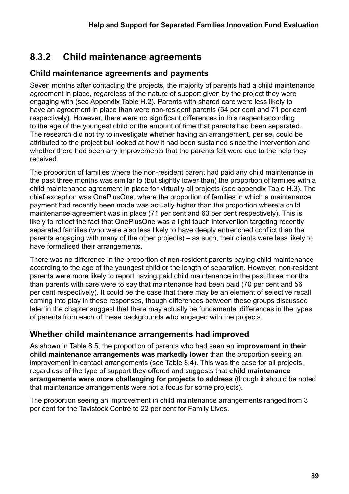## **8.3.2 Child maintenance agreements**

#### **Child maintenance agreements and payments**

Seven months after contacting the projects, the majority of parents had a child maintenance agreement in place, regardless of the nature of support given by the project they were engaging with (see Appendix Table H.2). Parents with shared care were less likely to have an agreement in place than were non-resident parents (54 per cent and 71 per cent respectively). However, there were no significant differences in this respect according to the age of the youngest child or the amount of time that parents had been separated. The research did not try to investigate whether having an arrangement, per se, could be attributed to the project but looked at how it had been sustained since the intervention and whether there had been any improvements that the parents felt were due to the help they received.

The proportion of families where the non-resident parent had paid any child maintenance in the past three months was similar to (but slightly lower than) the proportion of families with a child maintenance agreement in place for virtually all projects (see appendix Table H.3). The chief exception was OnePlusOne, where the proportion of families in which a maintenance payment had recently been made was actually higher than the proportion where a child maintenance agreement was in place (71 per cent and 63 per cent respectively). This is likely to reflect the fact that OnePlusOne was a light touch intervention targeting recently separated families (who were also less likely to have deeply entrenched conflict than the parents engaging with many of the other projects) – as such, their clients were less likely to have formalised their arrangements.

There was no difference in the proportion of non-resident parents paying child maintenance according to the age of the youngest child or the length of separation. However, non-resident parents were more likely to report having paid child maintenance in the past three months than parents with care were to say that maintenance had been paid (70 per cent and 56 per cent respectively). It could be the case that there may be an element of selective recall coming into play in these responses, though differences between these groups discussed later in the chapter suggest that there may actually be fundamental differences in the types of parents from each of these backgrounds who engaged with the projects.

#### **Whether child maintenance arrangements had improved**

As shown in Table 8.5, the proportion of parents who had seen an **improvement in their child maintenance arrangements was markedly lower** than the proportion seeing an improvement in contact arrangements (see Table 8.4). This was the case for all projects, regardless of the type of support they offered and suggests that **child maintenance arrangements were more challenging for projects to address** (though it should be noted that maintenance arrangements were not a focus for some projects).

The proportion seeing an improvement in child maintenance arrangements ranged from 3 per cent for the Tavistock Centre to 22 per cent for Family Lives.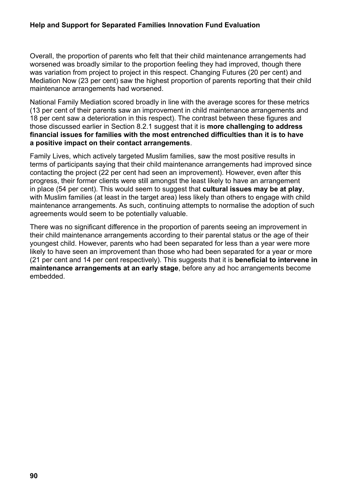#### **Help and Support for Separated Families Innovation Fund Evaluation**

Overall, the proportion of parents who felt that their child maintenance arrangements had worsened was broadly similar to the proportion feeling they had improved, though there was variation from project to project in this respect. Changing Futures (20 per cent) and Mediation Now (23 per cent) saw the highest proportion of parents reporting that their child maintenance arrangements had worsened.

National Family Mediation scored broadly in line with the average scores for these metrics (13 per cent of their parents saw an improvement in child maintenance arrangements and 18 per cent saw a deterioration in this respect). The contrast between these figures and those discussed earlier in Section 8.2.1 suggest that it is **more challenging to address financial issues for families with the most entrenched difficulties than it is to have a positive impact on their contact arrangements**.

Family Lives, which actively targeted Muslim families, saw the most positive results in terms of participants saying that their child maintenance arrangements had improved since contacting the project (22 per cent had seen an improvement). However, even after this progress, their former clients were still amongst the least likely to have an arrangement in place (54 per cent). This would seem to suggest that **cultural issues may be at play**, with Muslim families (at least in the target area) less likely than others to engage with child maintenance arrangements. As such, continuing attempts to normalise the adoption of such agreements would seem to be potentially valuable.

There was no significant difference in the proportion of parents seeing an improvement in their child maintenance arrangements according to their parental status or the age of their youngest child. However, parents who had been separated for less than a year were more likely to have seen an improvement than those who had been separated for a year or more (21 per cent and 14 per cent respectively). This suggests that it is **beneficial to intervene in maintenance arrangements at an early stage**, before any ad hoc arrangements become embedded.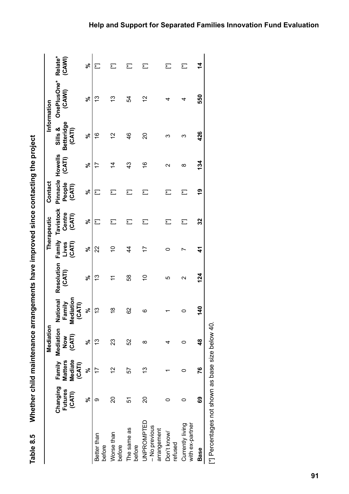| )<br>2                                                                    |  |
|---------------------------------------------------------------------------|--|
| relid majntanance arrangemente have improved eince contacting the plidor. |  |
| ч<br>ے۔<br>ہ                                                              |  |

|                                                  |                               |                                     | Mediation                         |                                                  |                      |                 | Therapeutic                                           | Contact          |                                |                                        | Information           |                          |
|--------------------------------------------------|-------------------------------|-------------------------------------|-----------------------------------|--------------------------------------------------|----------------------|-----------------|-------------------------------------------------------|------------------|--------------------------------|----------------------------------------|-----------------------|--------------------------|
|                                                  | Changing<br>Futures<br>(CATI) | Mediate<br><b>Matters</b><br>(CATI) | Family Mediation<br>(CATI)<br>MoN | <b>National</b><br>Mediation<br>Family<br>(CATI) | Resolution<br>(CATI) | (CATI)<br>Lives | Family Tavistock Pinnacle Howells<br>Centre<br>(CATI) | People<br>(CATI) | (CATI)                         | <b>Betteridge</b><br>Sills &<br>(CATI) | OnePlusOne*<br>(CANI) | Relate*<br>(CAWI)        |
|                                                  | ಸಿ                            | ಸಿ                                  | ಸಿ                                | $\infty$                                         | ೢೕ                   | ಸ್              | ೢೕ                                                    | ಸಿ               | ೢೕ                             | ಸಿ                                     | వి                    | $\zeta$                  |
| Better than<br>before                            | ග                             | 7                                   | ဇ္                                | <u>ლ</u>                                         | <u>ლ</u>             | 22              | 辷                                                     | Ĕ                | 7                              | $\widetilde{e}$                        | ĉ                     | Ł                        |
| Worse than<br>before                             | 20                            | 2                                   | ಔ                                 | $\overline{\mathbf{e}}$                          |                      | S               | Ł                                                     | 汇                | 4                              | $\tilde{c}$                            | ౖ                     | $\overline{\phantom{0}}$ |
| The same as<br>before                            | 57                            | 57                                  | 52                                | 8                                                | 58                   | 4               | 辷                                                     | Ĕ                | $\frac{3}{2}$                  | 46                                     | 54                    | $\overline{\phantom{0}}$ |
| UNPROMPTED<br>- No previous<br>arrangement       | 20                            | 3                                   | ∞                                 | ဖ                                                | S                    | 17              | 辷                                                     | Ł                | $\overset{\circ}{\rightarrow}$ | 20                                     | $\tilde{c}$           | 汇                        |
| Don't know/<br>refused                           |                               |                                     |                                   |                                                  | LO                   |                 | 辷                                                     | 辷                | $\mathbf{\sim}$                | ო                                      |                       | 辷                        |
| with ex-partner<br>Currently living              |                               |                                     | 0                                 | 0                                                | $\scriptstyle\sim$   |                 | 辷                                                     | Ĕ                | ∞                              | ო                                      | 4                     | 汇                        |
| <b>Base</b>                                      | 69                            | 76                                  | $\frac{8}{3}$                     | $\frac{6}{3}$                                    | 124                  | 4               | 32                                                    | <u>ဇု</u>        | 134                            | 426                                    | 550                   | $\frac{4}{4}$            |
| [*] Percentages not shown as base size below 40. |                               |                                     |                                   |                                                  |                      |                 |                                                       |                  |                                |                                        |                       |                          |

**Help and Support for Separated Families Innovation Fund Evaluation**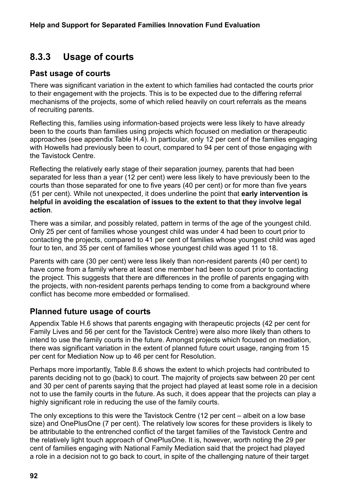## **8.3.3 Usage of courts**

#### **Past usage of courts**

There was significant variation in the extent to which families had contacted the courts prior to their engagement with the projects. This is to be expected due to the differing referral mechanisms of the projects, some of which relied heavily on court referrals as the means of recruiting parents.

Reflecting this, families using information-based projects were less likely to have already been to the courts than families using projects which focused on mediation or therapeutic approaches (see appendix Table H.4). In particular, only 12 per cent of the families engaging with Howells had previously been to court, compared to 94 per cent of those engaging with the Tavistock Centre.

Reflecting the relatively early stage of their separation journey, parents that had been separated for less than a year (12 per cent) were less likely to have previously been to the courts than those separated for one to five years (40 per cent) or for more than five years (51 per cent). While not unexpected, it does underline the point that **early intervention is helpful in avoiding the escalation of issues to the extent to that they involve legal action**.

There was a similar, and possibly related, pattern in terms of the age of the youngest child. Only 25 per cent of families whose youngest child was under 4 had been to court prior to contacting the projects, compared to 41 per cent of families whose youngest child was aged four to ten, and 35 per cent of families whose youngest child was aged 11 to 18.

Parents with care (30 per cent) were less likely than non-resident parents (40 per cent) to have come from a family where at least one member had been to court prior to contacting the project. This suggests that there are differences in the profile of parents engaging with the projects, with non-resident parents perhaps tending to come from a background where conflict has become more embedded or formalised.

#### **Planned future usage of courts**

Appendix Table H.6 shows that parents engaging with therapeutic projects (42 per cent for Family Lives and 56 per cent for the Tavistock Centre) were also more likely than others to intend to use the family courts in the future. Amongst projects which focused on mediation, there was significant variation in the extent of planned future court usage, ranging from 15 per cent for Mediation Now up to 46 per cent for Resolution.

Perhaps more importantly, Table 8.6 shows the extent to which projects had contributed to parents deciding not to go (back) to court. The majority of projects saw between 20 per cent and 30 per cent of parents saying that the project had played at least some role in a decision not to use the family courts in the future. As such, it does appear that the projects can play a highly significant role in reducing the use of the family courts.

The only exceptions to this were the Tavistock Centre (12 per cent – albeit on a low base size) and OnePlusOne (7 per cent). The relatively low scores for these providers is likely to be attributable to the entrenched conflict of the target families of the Tavistock Centre and the relatively light touch approach of OnePlusOne. It is, however, worth noting the 29 per cent of families engaging with National Family Mediation said that the project had played a role in a decision not to go back to court, in spite of the challenging nature of their target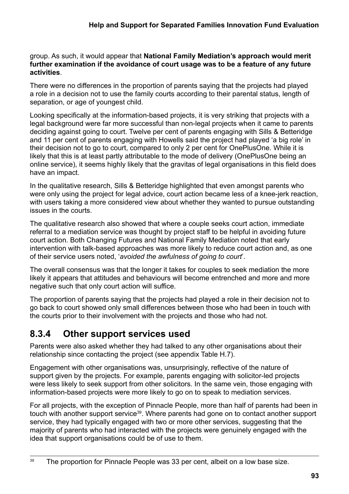#### group. As such, it would appear that **National Family Mediation's approach would merit further examination if the avoidance of court usage was to be a feature of any future activities**.

There were no differences in the proportion of parents saying that the projects had played a role in a decision not to use the family courts according to their parental status, length of separation, or age of youngest child.

Looking specifically at the information-based projects, it is very striking that projects with a legal background were far more successful than non-legal projects when it came to parents deciding against going to court. Twelve per cent of parents engaging with Sills & Betteridge and 11 per cent of parents engaging with Howells said the project had played 'a big role' in their decision not to go to court, compared to only 2 per cent for OnePlusOne. While it is likely that this is at least partly attributable to the mode of delivery (OnePlusOne being an online service), it seems highly likely that the gravitas of legal organisations in this field does have an impact.

In the qualitative research, Sills & Betteridge highlighted that even amongst parents who were only using the project for legal advice, court action became less of a knee-jerk reaction, with users taking a more considered view about whether they wanted to pursue outstanding issues in the courts.

The qualitative research also showed that where a couple seeks court action, immediate referral to a mediation service was thought by project staff to be helpful in avoiding future court action. Both Changing Futures and National Family Mediation noted that early intervention with talk-based approaches was more likely to reduce court action and, as one of their service users noted, '*avoided the awfulness of going to court*'.

The overall consensus was that the longer it takes for couples to seek mediation the more likely it appears that attitudes and behaviours will become entrenched and more and more negative such that only court action will suffice.

The proportion of parents saying that the projects had played a role in their decision not to go back to court showed only small differences between those who had been in touch with the courts prior to their involvement with the projects and those who had not.

#### **8.3.4 Other support services used**

Parents were also asked whether they had talked to any other organisations about their relationship since contacting the project (see appendix Table H.7).

Engagement with other organisations was, unsurprisingly, reflective of the nature of support given by the projects. For example, parents engaging with solicitor-led projects were less likely to seek support from other solicitors. In the same vein, those engaging with information-based projects were more likely to go on to speak to mediation services.

For all projects, with the exception of Pinnacle People, more than half of parents had been in touch with another support service<sup>39</sup>. Where parents had gone on to contact another support service, they had typically engaged with two or more other services, suggesting that the majority of parents who had interacted with the projects were genuinely engaged with the idea that support organisations could be of use to them.

<sup>&</sup>lt;sup>39</sup> The proportion for Pinnacle People was 33 per cent, albeit on a low base size.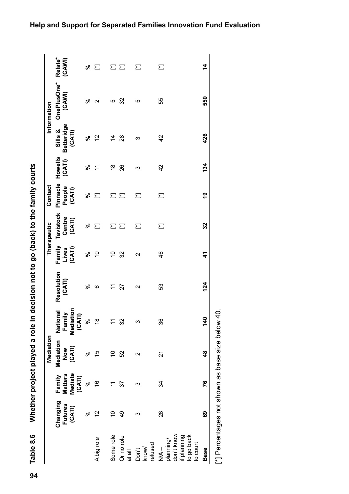Whether project played a role in decision not to go (back) to the family courts Table 8.6

|                                                                                   |                               |                                                      |                                                                                                                 |                                           | Table 8.6 Mhether project played a role in decision not to go (back) to the family courts |                           |                               |                              |                   |                                        |                       |                   |
|-----------------------------------------------------------------------------------|-------------------------------|------------------------------------------------------|-----------------------------------------------------------------------------------------------------------------|-------------------------------------------|-------------------------------------------------------------------------------------------|---------------------------|-------------------------------|------------------------------|-------------------|----------------------------------------|-----------------------|-------------------|
|                                                                                   |                               |                                                      | <b>Mediation</b>                                                                                                |                                           |                                                                                           |                           | Therapeutic                   | Contact                      |                   |                                        | Information           |                   |
|                                                                                   | Changing<br>Futures<br>(CATI) | <b>Mediate</b><br><b>Matters</b><br>Family<br>(CATI) | Mediation<br>(CATI)<br>Now                                                                                      | Mediation<br>National<br>Family<br>(CATI) | Resolution<br>(CATI)                                                                      | Family<br>(CATI)<br>Lives | Tavistock<br>Centre<br>(CATI) | Pinnacle<br>People<br>(CATI) | Howells<br>(CATI) | <b>Betteridge</b><br>Sills &<br>(CATI) | OnePlusOne*<br>(CAWI) | Relate*<br>(CAVI) |
|                                                                                   | వ్                            | వ్                                                   | న                                                                                                               |                                           | న్                                                                                        | న్                        | వ్                            | ೢೕ                           | వ్                | న్                                     | న్                    | న్                |
| A big role                                                                        | $\frac{2}{3}$                 | $\frac{6}{1}$                                        | 15                                                                                                              | $\frac{8}{1}$                             | ဖ                                                                                         | $\tilde{c}$               | 辷                             | 辷                            | $\tilde{t}$       | 2                                      | $\mathbf{\Omega}$     | 辷                 |
| Some role                                                                         | S                             |                                                      | $\tilde{c}$                                                                                                     | $\overline{\phantom{0}}$                  | $\overline{ }$                                                                            | ó                         | 汇                             | 辷                            | $\frac{8}{1}$     | Ξ,                                     | 5                     | 汇                 |
| Or no role<br>at all                                                              | $\frac{1}{4}$                 | 57                                                   | 52                                                                                                              | 32                                        | 27                                                                                        | 32                        | 汇                             | $\overline{\phantom{1}}$     | 26                | 28                                     | 32                    | 汇                 |
| refused<br>know/<br>Don't                                                         | ო                             | ო                                                    | $\mathbf{\sim}$                                                                                                 | ∞                                         | $\mathbf{\Omega}$                                                                         | $\mathbf{\sim}$           | 辷                             | $\overline{\phantom{1}}$     | ო                 | ო                                      | LO                    | 门                 |
| don't know<br>if planning<br>to go back<br>planning/<br>to court<br>$\frac{1}{2}$ | 26                            | 34                                                   | $\overline{2}$                                                                                                  | 36                                        | 53                                                                                        | 46                        | 辷                             | 汇                            | 42                | 42                                     | 55                    | 辷                 |
| <b>Base</b>                                                                       | 69                            | 76                                                   | $\frac{8}{4}$                                                                                                   | $\frac{40}{5}$                            | 124                                                                                       | $\mathbf{r}$              | 32                            | <u>စု</u>                    | 134               | 426                                    | 550                   | $\frac{4}{4}$     |
|                                                                                   |                               |                                                      | D AniOn Doctor and the part of the part of the part of the part of the part of the part of the part of the part |                                           |                                                                                           |                           |                               |                              |                   |                                        |                       |                   |

[.] Le Pelogne Sage Survers 1900 Sage Shore Show And Mondon State Shore Shore Shore Shore Shore Shore Shore Shore Shore Shore Shore Shore Shore Shore Shore Shore Shore Shore Shore Shore Shore Shore Shore Shore Shore Shore [\*] Percentages not shown as base size below 40.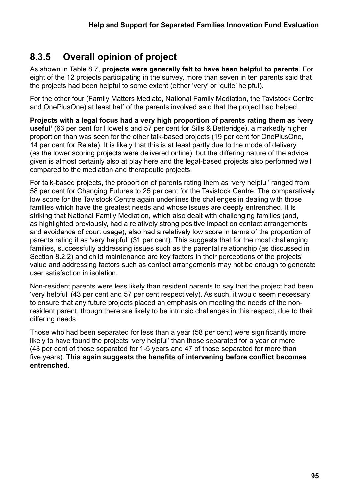## **8.3.5 Overall opinion of project**

As shown in Table 8.7, **projects were generally felt to have been helpful to parents**. For eight of the 12 projects participating in the survey, more than seven in ten parents said that the projects had been helpful to some extent (either 'very' or 'quite' helpful).

For the other four (Family Matters Mediate, National Family Mediation, the Tavistock Centre and OnePlusOne) at least half of the parents involved said that the project had helped.

**Projects with a legal focus had a very high proportion of parents rating them as 'very useful'** (63 per cent for Howells and 57 per cent for Sills & Betteridge), a markedly higher proportion than was seen for the other talk-based projects (19 per cent for OnePlusOne, 14 per cent for Relate). It is likely that this is at least partly due to the mode of delivery (as the lower scoring projects were delivered online), but the differing nature of the advice given is almost certainly also at play here and the legal-based projects also performed well compared to the mediation and therapeutic projects.

For talk-based projects, the proportion of parents rating them as 'very helpful' ranged from 58 per cent for Changing Futures to 25 per cent for the Tavistock Centre. The comparatively low score for the Tavistock Centre again underlines the challenges in dealing with those families which have the greatest needs and whose issues are deeply entrenched. It is striking that National Family Mediation, which also dealt with challenging families (and, as highlighted previously, had a relatively strong positive impact on contact arrangements and avoidance of court usage), also had a relatively low score in terms of the proportion of parents rating it as 'very helpful' (31 per cent). This suggests that for the most challenging families, successfully addressing issues such as the parental relationship (as discussed in Section 8.2.2) and child maintenance are key factors in their perceptions of the projects' value and addressing factors such as contact arrangements may not be enough to generate user satisfaction in isolation.

Non-resident parents were less likely than resident parents to say that the project had been 'very helpful' (43 per cent and 57 per cent respectively). As such, it would seem necessary to ensure that any future projects placed an emphasis on meeting the needs of the nonresident parent, though there are likely to be intrinsic challenges in this respect, due to their differing needs.

Those who had been separated for less than a year (58 per cent) were significantly more likely to have found the projects 'very helpful' than those separated for a year or more (48 per cent of those separated for 1-5 years and 47 of those separated for more than five years). **This again suggests the benefits of intervening before conflict becomes entrenched**.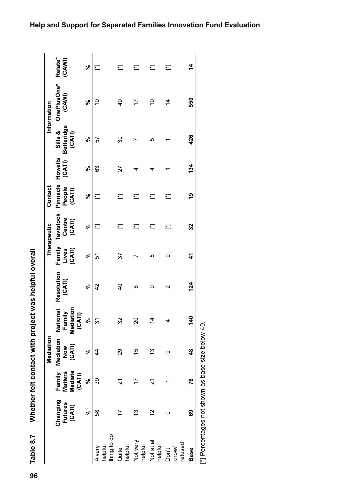| Caroline<br>」<br>5<br>2<br>2                             |
|----------------------------------------------------------|
| )<br>-<br>-                                              |
| act was halmti<br>- ^ Chan コンピュー<br>$\ddot{\phantom{a}}$ |
| )<br>پا<br>j<br>r telt cont<br>m<br>DD D                 |
| 7000                                                     |

| Table 8.7                        |                                                  |                                               | Whether felt contact with project    |                                              | was helpful overall  |                           |                                      |                                      |        |                                 |                       |                    |
|----------------------------------|--------------------------------------------------|-----------------------------------------------|--------------------------------------|----------------------------------------------|----------------------|---------------------------|--------------------------------------|--------------------------------------|--------|---------------------------------|-----------------------|--------------------|
|                                  |                                                  |                                               | Mediation                            |                                              |                      |                           | Therapeutic                          | Contact                              |        |                                 | Information           |                    |
|                                  | Changing<br>Futures<br>(CATI)                    | Mediate<br><b>Matters</b><br>Family<br>(CATI) | Mediation<br>(CATI)<br>$\frac{8}{2}$ | ξ<br>Nationa<br>Family<br>Mediatio<br>(CATI) | Resolution<br>(CATI) | Family<br>(CATI)<br>Lives | <b>Tavistock</b><br>Centre<br>(CATI) | Pinnacle Howells<br>People<br>(CATI) | (CATI) | Betteridge<br>Sills &<br>(CATI) | OnePlusOne*<br>(CAWI) | Relate*<br>(CAVI)  |
|                                  | ಸಿ                                               | ಽ                                             | వ్                                   | ಽ                                            | వ్                   | ೢೕ                        | ಸಿ                                   | వ్                                   | ಸಿ     | వ్                              | వ్                    | వ్                 |
| thing to do<br>helpful<br>A very | 58                                               | 39                                            | 4                                    | 31                                           | $\frac{2}{4}$        | 51                        | Ĕ                                    | 辷                                    | 63     | 57                              | ë                     | Ł                  |
| helpful<br>Quite                 |                                                  | Z                                             | 29                                   | 32                                           | $\frac{1}{4}$        | 57                        | 辷                                    | 辷                                    | 27     | 30                              | $\overline{a}$        | 门                  |
| Not very<br>helpful              | 3                                                |                                               | 15                                   | 20                                           | ဖ                    |                           | 辷                                    | 辷                                    | 4      |                                 | 17                    | ξ                  |
| Not at all<br>helpful            | 12                                               | 21                                            | 13                                   | $\overline{4}$                               | ග                    | ம                         | 辷                                    | 辷                                    |        | ம                               | S                     | 汇                  |
| refused<br>know/<br>Don't        | 0                                                |                                               | 0                                    | 4                                            | $\mathbf{\Omega}$    | 0                         | 汇                                    | 辷                                    |        |                                 | $\dot{4}$             | Ĕ                  |
| <b>Base</b>                      | 89                                               | 76                                            | $\frac{8}{3}$                        | 140                                          | 124                  | $\mathbf{r}$              | 32                                   | ღ<br>1                               | 134    | 426                             | 550                   | $\dot{\mathbf{z}}$ |
|                                  | [*] Percentages not shown as base size below 40. |                                               |                                      |                                              |                      |                           |                                      |                                      |        |                                 |                       |                    |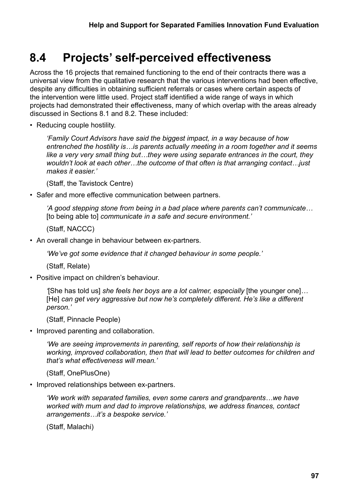# **8.4 Projects' self-perceived effectiveness**

Across the 16 projects that remained functioning to the end of their contracts there was a universal view from the qualitative research that the various interventions had been effective, despite any difficulties in obtaining sufficient referrals or cases where certain aspects of the intervention were little used. Project staff identified a wide range of ways in which projects had demonstrated their effectiveness, many of which overlap with the areas already discussed in Sections 8.1 and 8.2. These included:

• Reducing couple hostility.

*'Family Court Advisors have said the biggest impact, in a way because of how entrenched the hostility is…is parents actually meeting in a room together and it seems like a very very small thing but…they were using separate entrances in the court, they wouldn't look at each other…the outcome of that often is that arranging contact…just makes it easier.'* 

(Staff, the Tavistock Centre)

• Safer and more effective communication between partners.

*'A good stepping stone from being in a bad place where parents can't communicate…* [to being able to] *communicate in a safe and secure environment.'* 

(Staff, NACCC)

• An overall change in behaviour between ex-partners.

*'We've got some evidence that it changed behaviour in some people.'*

(Staff, Relate)

• Positive impact on children's behaviour.

*'*[She has told us] *she feels her boys are a lot calmer, especially* [the younger one]*…* [He] *can get very aggressive but now he's completely different. He's like a different person.'*

(Staff, Pinnacle People)

• Improved parenting and collaboration.

*'We are seeing improvements in parenting, self reports of how their relationship is working, improved collaboration, then that will lead to better outcomes for children and that's what effectiveness will mean.'* 

(Staff, OnePlusOne)

• Improved relationships between ex-partners.

*'We work with separated families, even some carers and grandparents…we have worked with mum and dad to improve relationships, we address finances, contact arrangements…it's a bespoke service.'*

(Staff, Malachi)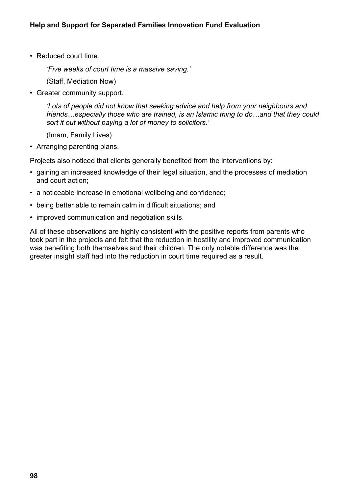• Reduced court time.

*'Five weeks of court time is a massive saving.'*

(Staff, Mediation Now)

• Greater community support.

*'Lots of people did not know that seeking advice and help from your neighbours and friends…especially those who are trained, is an Islamic thing to do…and that they could sort it out without paying a lot of money to solicitors.'*

(Imam, Family Lives)

• Arranging parenting plans.

Projects also noticed that clients generally benefited from the interventions by:

- gaining an increased knowledge of their legal situation, and the processes of mediation and court action;
- a noticeable increase in emotional wellbeing and confidence;
- being better able to remain calm in difficult situations; and
- improved communication and negotiation skills.

All of these observations are highly consistent with the positive reports from parents who took part in the projects and felt that the reduction in hostility and improved communication was benefiting both themselves and their children. The only notable difference was the greater insight staff had into the reduction in court time required as a result.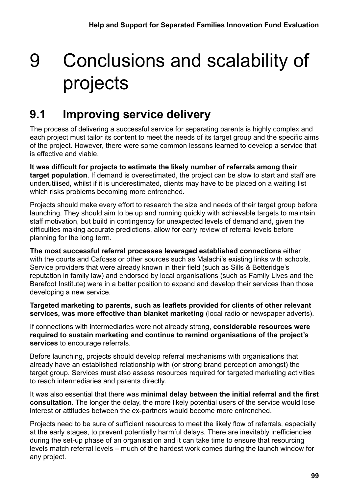# 9 Conclusions and scalability of projects

# **9.1 Improving service delivery**

The process of delivering a successful service for separating parents is highly complex and each project must tailor its content to meet the needs of its target group and the specific aims of the project. However, there were some common lessons learned to develop a service that is effective and viable.

**It was difficult for projects to estimate the likely number of referrals among their target population**. If demand is overestimated, the project can be slow to start and staff are underutilised, whilst if it is underestimated, clients may have to be placed on a waiting list which risks problems becoming more entrenched.

Projects should make every effort to research the size and needs of their target group before launching. They should aim to be up and running quickly with achievable targets to maintain staff motivation, but build in contingency for unexpected levels of demand and, given the difficulties making accurate predictions, allow for early review of referral levels before planning for the long term.

**The most successful referral processes leveraged established connections** either with the courts and Cafcass or other sources such as Malachi's existing links with schools. Service providers that were already known in their field (such as Sills & Betteridge's reputation in family law) and endorsed by local organisations (such as Family Lives and the Barefoot Institute) were in a better position to expand and develop their services than those developing a new service.

**Targeted marketing to parents, such as leaflets provided for clients of other relevant services, was more effective than blanket marketing** (local radio or newspaper adverts).

If connections with intermediaries were not already strong, **considerable resources were required to sustain marketing and continue to remind organisations of the project's services** to encourage referrals.

Before launching, projects should develop referral mechanisms with organisations that already have an established relationship with (or strong brand perception amongst) the target group. Services must also assess resources required for targeted marketing activities to reach intermediaries and parents directly.

It was also essential that there was **minimal delay between the initial referral and the first consultation**. The longer the delay, the more likely potential users of the service would lose interest or attitudes between the ex-partners would become more entrenched.

Projects need to be sure of sufficient resources to meet the likely flow of referrals, especially at the early stages, to prevent potentially harmful delays. There are inevitably inefficiencies during the set-up phase of an organisation and it can take time to ensure that resourcing levels match referral levels – much of the hardest work comes during the launch window for any project.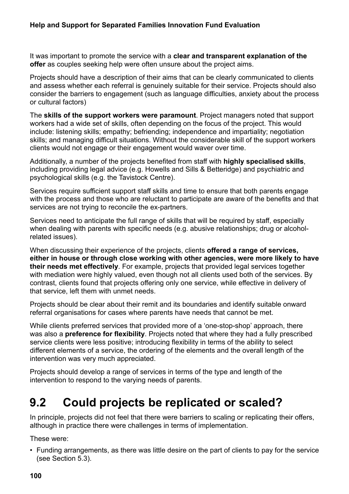It was important to promote the service with a **clear and transparent explanation of the offer** as couples seeking help were often unsure about the project aims.

Projects should have a description of their aims that can be clearly communicated to clients and assess whether each referral is genuinely suitable for their service. Projects should also consider the barriers to engagement (such as language difficulties, anxiety about the process or cultural factors)

The **skills of the support workers were paramount**. Project managers noted that support workers had a wide set of skills, often depending on the focus of the project. This would include: listening skills; empathy; befriending; independence and impartiality; negotiation skills; and managing difficult situations. Without the considerable skill of the support workers clients would not engage or their engagement would waver over time.

Additionally, a number of the projects benefited from staff with **highly specialised skills**, including providing legal advice (e.g. Howells and Sills & Betteridge) and psychiatric and psychological skills (e.g. the Tavistock Centre).

Services require sufficient support staff skills and time to ensure that both parents engage with the process and those who are reluctant to participate are aware of the benefits and that services are not trying to reconcile the ex-partners.

Services need to anticipate the full range of skills that will be required by staff, especially when dealing with parents with specific needs (e.g. abusive relationships; drug or alcoholrelated issues).

When discussing their experience of the projects, clients **offered a range of services, either in house or through close working with other agencies, were more likely to have their needs met effectively**. For example, projects that provided legal services together with mediation were highly valued, even though not all clients used both of the services. By contrast, clients found that projects offering only one service, while effective in delivery of that service, left them with unmet needs.

Projects should be clear about their remit and its boundaries and identify suitable onward referral organisations for cases where parents have needs that cannot be met.

While clients preferred services that provided more of a 'one-stop-shop' approach, there was also a **preference for flexibility**. Projects noted that where they had a fully prescribed service clients were less positive; introducing flexibility in terms of the ability to select different elements of a service, the ordering of the elements and the overall length of the intervention was very much appreciated.

Projects should develop a range of services in terms of the type and length of the intervention to respond to the varying needs of parents.

# **9.2 Could projects be replicated or scaled?**

In principle, projects did not feel that there were barriers to scaling or replicating their offers, although in practice there were challenges in terms of implementation.

These were:

• Funding arrangements, as there was little desire on the part of clients to pay for the service (see Section 5.3).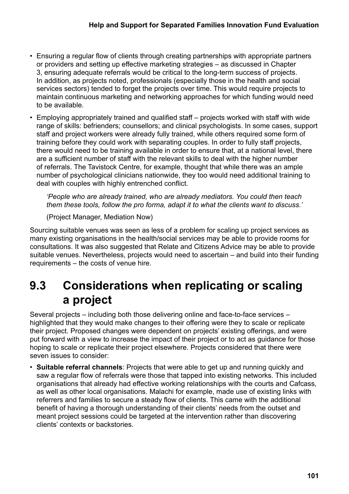- Ensuring a regular flow of clients through creating partnerships with appropriate partners or providers and setting up effective marketing strategies – as discussed in Chapter 3, ensuring adequate referrals would be critical to the long-term success of projects. In addition, as projects noted, professionals (especially those in the health and social services sectors) tended to forget the projects over time. This would require projects to maintain continuous marketing and networking approaches for which funding would need to be available.
- Employing appropriately trained and qualified staff projects worked with staff with wide range of skills: befrienders; counsellors; and clinical psychologists. In some cases, support staff and project workers were already fully trained, while others required some form of training before they could work with separating couples. In order to fully staff projects, there would need to be training available in order to ensure that, at a national level, there are a sufficient number of staff with the relevant skills to deal with the higher number of referrals. The Tavistock Centre, for example, thought that while there was an ample number of psychological clinicians nationwide, they too would need additional training to deal with couples with highly entrenched conflict.

*'People who are already trained, who are already mediators. You could then teach them these tools, follow the pro forma, adapt it to what the clients want to discuss.'*

(Project Manager, Mediation Now)

Sourcing suitable venues was seen as less of a problem for scaling up project services as many existing organisations in the health/social services may be able to provide rooms for consultations. It was also suggested that Relate and Citizens Advice may be able to provide suitable venues. Nevertheless, projects would need to ascertain – and build into their funding requirements – the costs of venue hire.

# **9.3 Considerations when replicating or scaling a project**

Several projects – including both those delivering online and face-to-face services – highlighted that they would make changes to their offering were they to scale or replicate their project. Proposed changes were dependent on projects' existing offerings, and were put forward with a view to increase the impact of their project or to act as guidance for those hoping to scale or replicate their project elsewhere. Projects considered that there were seven issues to consider:

• **Suitable referral channels**: Projects that were able to get up and running quickly and saw a regular flow of referrals were those that tapped into existing networks. This included organisations that already had effective working relationships with the courts and Cafcass, as well as other local organisations. Malachi for example, made use of existing links with referrers and families to secure a steady flow of clients. This came with the additional benefit of having a thorough understanding of their clients' needs from the outset and meant project sessions could be targeted at the intervention rather than discovering clients' contexts or backstories.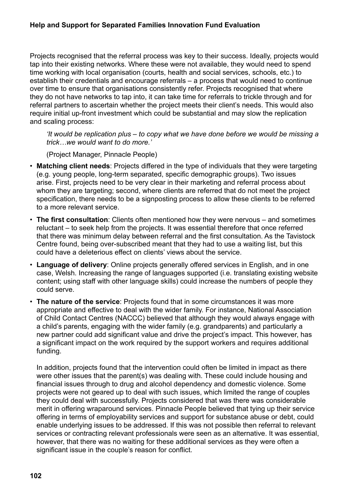#### **Help and Support for Separated Families Innovation Fund Evaluation**

Projects recognised that the referral process was key to their success. Ideally, projects would tap into their existing networks. Where these were not available, they would need to spend time working with local organisation (courts, health and social services, schools, etc.) to establish their credentials and encourage referrals – a process that would need to continue over time to ensure that organisations consistently refer. Projects recognised that where they do not have networks to tap into, it can take time for referrals to trickle through and for referral partners to ascertain whether the project meets their client's needs. This would also require initial up-front investment which could be substantial and may slow the replication and scaling process:

*'It would be replication plus – to copy what we have done before we would be missing a trick…we would want to do more.'*

(Project Manager, Pinnacle People)

- **Matching client needs**: Projects differed in the type of individuals that they were targeting (e.g. young people, long-term separated, specific demographic groups). Two issues arise. First, projects need to be very clear in their marketing and referral process about whom they are targeting; second, where clients are referred that do not meet the project specification, there needs to be a signposting process to allow these clients to be referred to a more relevant service.
- **The first consultation**: Clients often mentioned how they were nervous and sometimes reluctant – to seek help from the projects. It was essential therefore that once referred that there was minimum delay between referral and the first consultation. As the Tavistock Centre found, being over-subscribed meant that they had to use a waiting list, but this could have a deleterious effect on clients' views about the service.
- **Language of delivery**: Online projects generally offered services in English, and in one case, Welsh. Increasing the range of languages supported (i.e. translating existing website content; using staff with other language skills) could increase the numbers of people they could serve.
- **The nature of the service**: Projects found that in some circumstances it was more appropriate and effective to deal with the wider family. For instance, National Association of Child Contact Centres (NACCC) believed that although they would always engage with a child's parents, engaging with the wider family (e.g. grandparents) and particularly a new partner could add significant value and drive the project's impact. This however, has a significant impact on the work required by the support workers and requires additional funding.

In addition, projects found that the intervention could often be limited in impact as there were other issues that the parent(s) was dealing with. These could include housing and financial issues through to drug and alcohol dependency and domestic violence. Some projects were not geared up to deal with such issues, which limited the range of couples they could deal with successfully. Projects considered that was there was considerable merit in offering wraparound services. Pinnacle People believed that tying up their service offering in terms of employability services and support for substance abuse or debt, could enable underlying issues to be addressed. If this was not possible then referral to relevant services or contracting relevant professionals were seen as an alternative. It was essential, however, that there was no waiting for these additional services as they were often a significant issue in the couple's reason for conflict.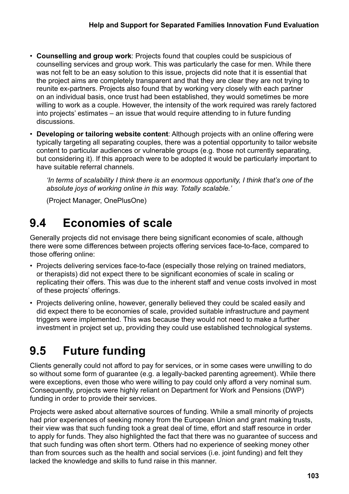- **Counselling and group work**: Projects found that couples could be suspicious of counselling services and group work. This was particularly the case for men. While there was not felt to be an easy solution to this issue, projects did note that it is essential that the project aims are completely transparent and that they are clear they are not trying to reunite ex-partners. Projects also found that by working very closely with each partner on an individual basis, once trust had been established, they would sometimes be more willing to work as a couple. However, the intensity of the work required was rarely factored into projects' estimates – an issue that would require attending to in future funding discussions.
- **Developing or tailoring website content**: Although projects with an online offering were typically targeting all separating couples, there was a potential opportunity to tailor website content to particular audiences or vulnerable groups (e.g. those not currently separating, but considering it). If this approach were to be adopted it would be particularly important to have suitable referral channels.

*'In terms of scalability I think there is an enormous opportunity, I think that's one of the absolute joys of working online in this way. Totally scalable.'*

(Project Manager, OnePlusOne)

# **9.4 Economies of scale**

Generally projects did not envisage there being significant economies of scale, although there were some differences between projects offering services face-to-face, compared to those offering online:

- Projects delivering services face-to-face (especially those relying on trained mediators, or therapists) did not expect there to be significant economies of scale in scaling or replicating their offers. This was due to the inherent staff and venue costs involved in most of these projects' offerings.
- Projects delivering online, however, generally believed they could be scaled easily and did expect there to be economies of scale, provided suitable infrastructure and payment triggers were implemented. This was because they would not need to make a further investment in project set up, providing they could use established technological systems.

# **9.5 Future funding**

Clients generally could not afford to pay for services, or in some cases were unwilling to do so without some form of guarantee (e.g. a legally-backed parenting agreement). While there were exceptions, even those who were willing to pay could only afford a very nominal sum. Consequently, projects were highly reliant on Department for Work and Pensions (DWP) funding in order to provide their services.

Projects were asked about alternative sources of funding. While a small minority of projects had prior experiences of seeking money from the European Union and grant making trusts, their view was that such funding took a great deal of time, effort and staff resource in order to apply for funds. They also highlighted the fact that there was no guarantee of success and that such funding was often short term. Others had no experience of seeking money other than from sources such as the health and social services (i.e. joint funding) and felt they lacked the knowledge and skills to fund raise in this manner.